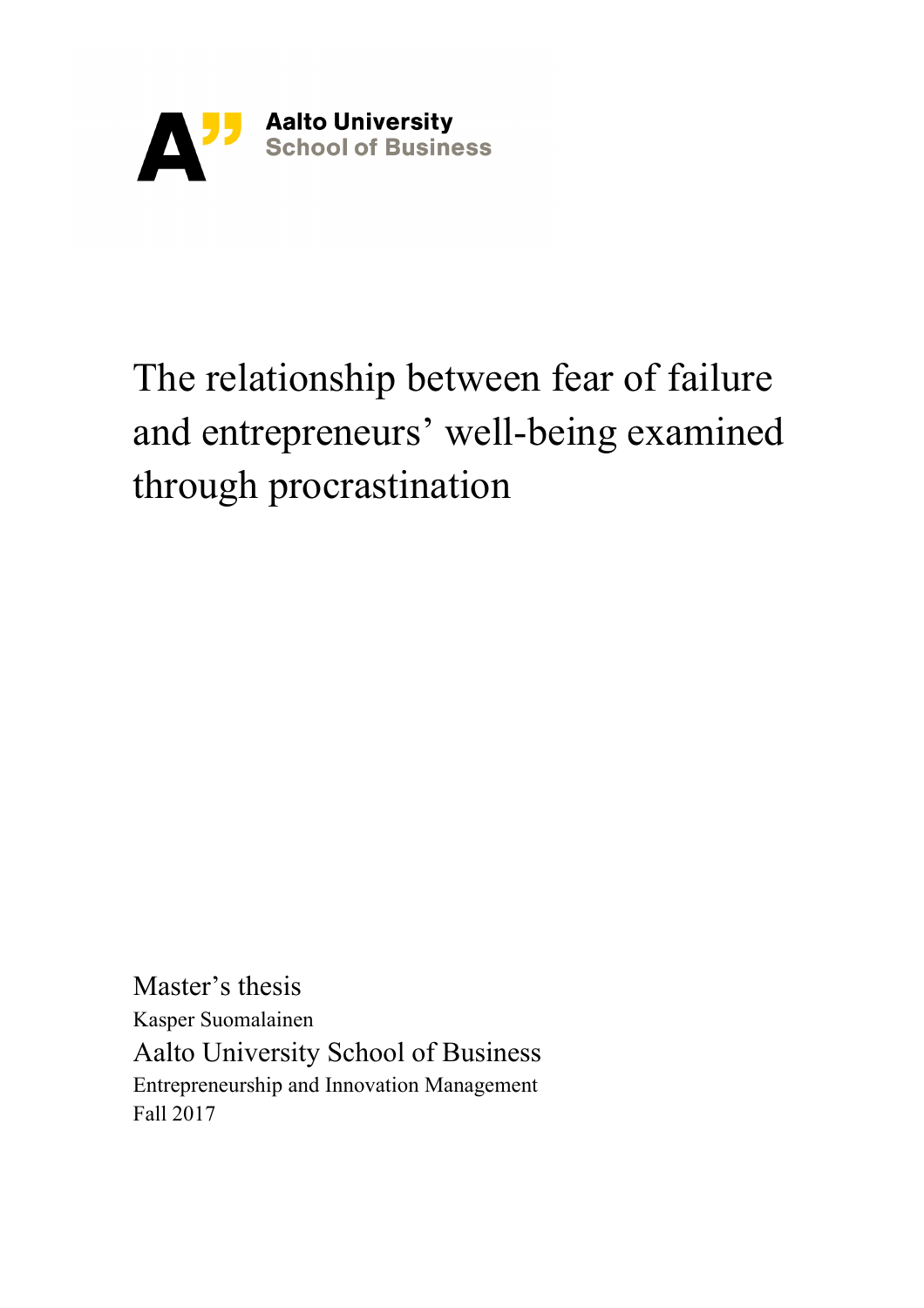

# The relationship between fear of failure and entrepreneurs' well-being examined through procrastination

Master's thesis Kasper Suomalainen Aalto University School of Business Entrepreneurship and Innovation Management Fall 2017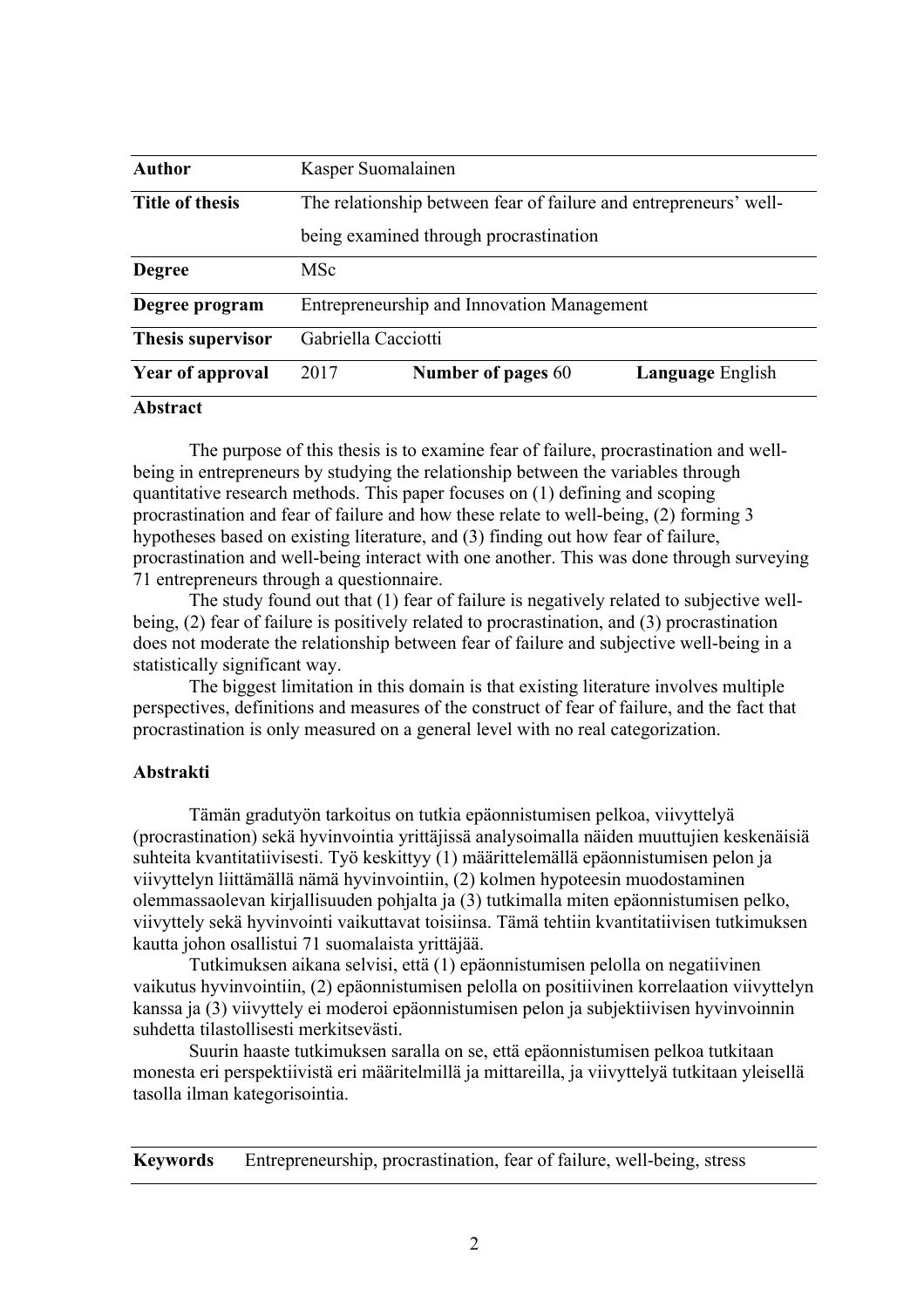| <b>Author</b>            |                                                                   | Kasper Suomalainen                                |                         |  |  |  |  |  |
|--------------------------|-------------------------------------------------------------------|---------------------------------------------------|-------------------------|--|--|--|--|--|
| <b>Title of thesis</b>   | The relationship between fear of failure and entrepreneurs' well- |                                                   |                         |  |  |  |  |  |
|                          |                                                                   | being examined through procrastination            |                         |  |  |  |  |  |
| <b>Degree</b>            | <b>MSc</b>                                                        |                                                   |                         |  |  |  |  |  |
| Degree program           |                                                                   | <b>Entrepreneurship and Innovation Management</b> |                         |  |  |  |  |  |
| <b>Thesis supervisor</b> | Gabriella Cacciotti                                               |                                                   |                         |  |  |  |  |  |
| <b>Year of approval</b>  | 2017                                                              | Number of pages 60                                | <b>Language English</b> |  |  |  |  |  |
| $\triangle$ leaders at   |                                                                   |                                                   |                         |  |  |  |  |  |

#### **Abstract**

The purpose of this thesis is to examine fear of failure, procrastination and wellbeing in entrepreneurs by studying the relationship between the variables through quantitative research methods. This paper focuses on (1) defining and scoping procrastination and fear of failure and how these relate to well-being, (2) forming 3 hypotheses based on existing literature, and (3) finding out how fear of failure, procrastination and well-being interact with one another. This was done through surveying 71 entrepreneurs through a questionnaire.

The study found out that (1) fear of failure is negatively related to subjective wellbeing, (2) fear of failure is positively related to procrastination, and (3) procrastination does not moderate the relationship between fear of failure and subjective well-being in a statistically significant way.

The biggest limitation in this domain is that existing literature involves multiple perspectives, definitions and measures of the construct of fear of failure, and the fact that procrastination is only measured on a general level with no real categorization.

#### **Abstrakti**

Tämän gradutyön tarkoitus on tutkia epäonnistumisen pelkoa, viivyttelyä (procrastination) sekä hyvinvointia yrittäjissä analysoimalla näiden muuttujien keskenäisiä suhteita kvantitatiivisesti. Työ keskittyy (1) määrittelemällä epäonnistumisen pelon ja viivyttelyn liittämällä nämä hyvinvointiin, (2) kolmen hypoteesin muodostaminen olemmassaolevan kirjallisuuden pohjalta ja (3) tutkimalla miten epäonnistumisen pelko, viivyttely sekä hyvinvointi vaikuttavat toisiinsa. Tämä tehtiin kvantitatiivisen tutkimuksen kautta johon osallistui 71 suomalaista yrittäjää.

Tutkimuksen aikana selvisi, että (1) epäonnistumisen pelolla on negatiivinen vaikutus hyvinvointiin, (2) epäonnistumisen pelolla on positiivinen korrelaation viivyttelyn kanssa ja (3) viivyttely ei moderoi epäonnistumisen pelon ja subjektiivisen hyvinvoinnin suhdetta tilastollisesti merkitsevästi.

Suurin haaste tutkimuksen saralla on se, että epäonnistumisen pelkoa tutkitaan monesta eri perspektiivistä eri määritelmillä ja mittareilla, ja viivyttelyä tutkitaan yleisellä tasolla ilman kategorisointia.

**Keywords** Entrepreneurship, procrastination, fear of failure, well-being, stress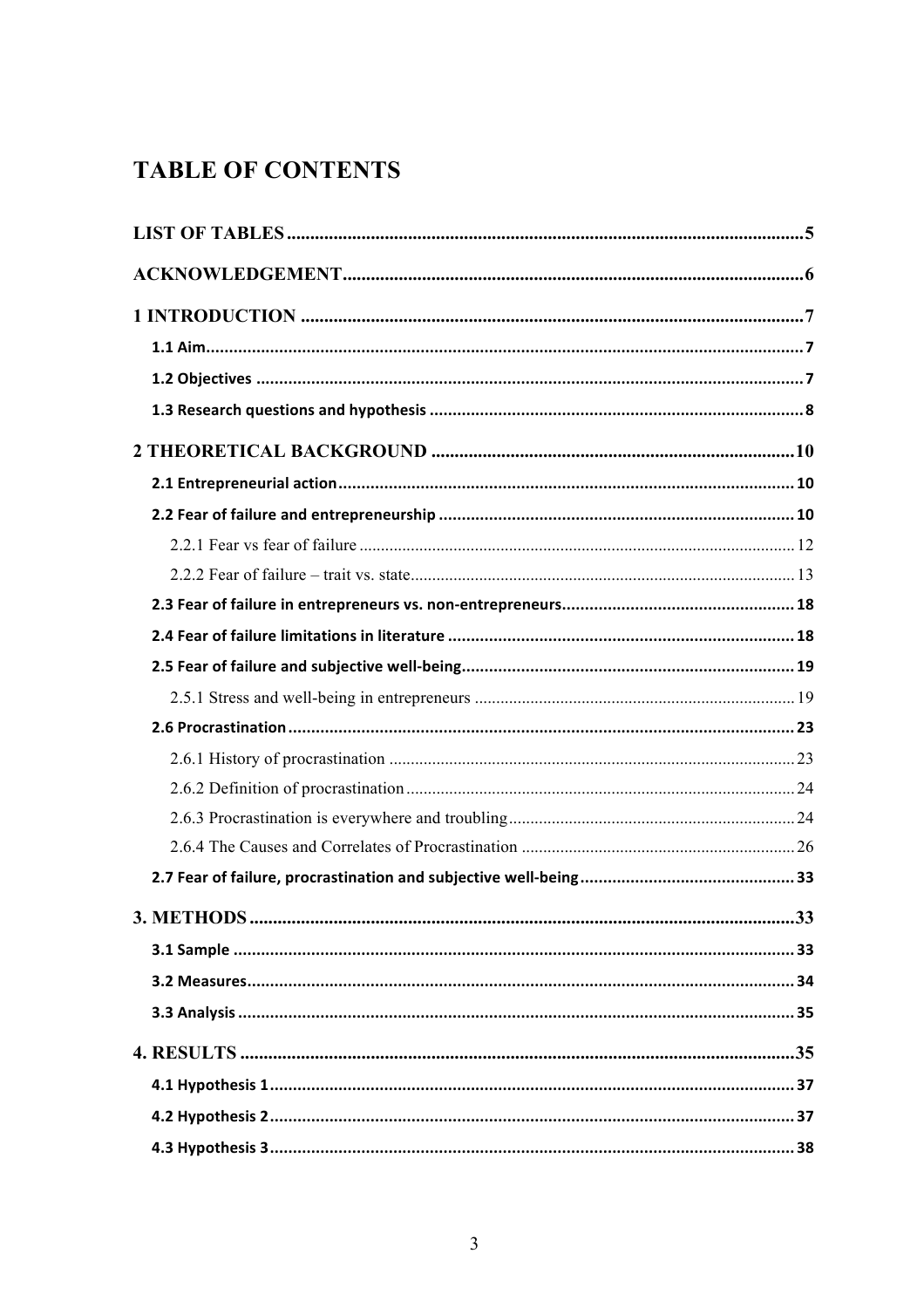# **TABLE OF CONTENTS**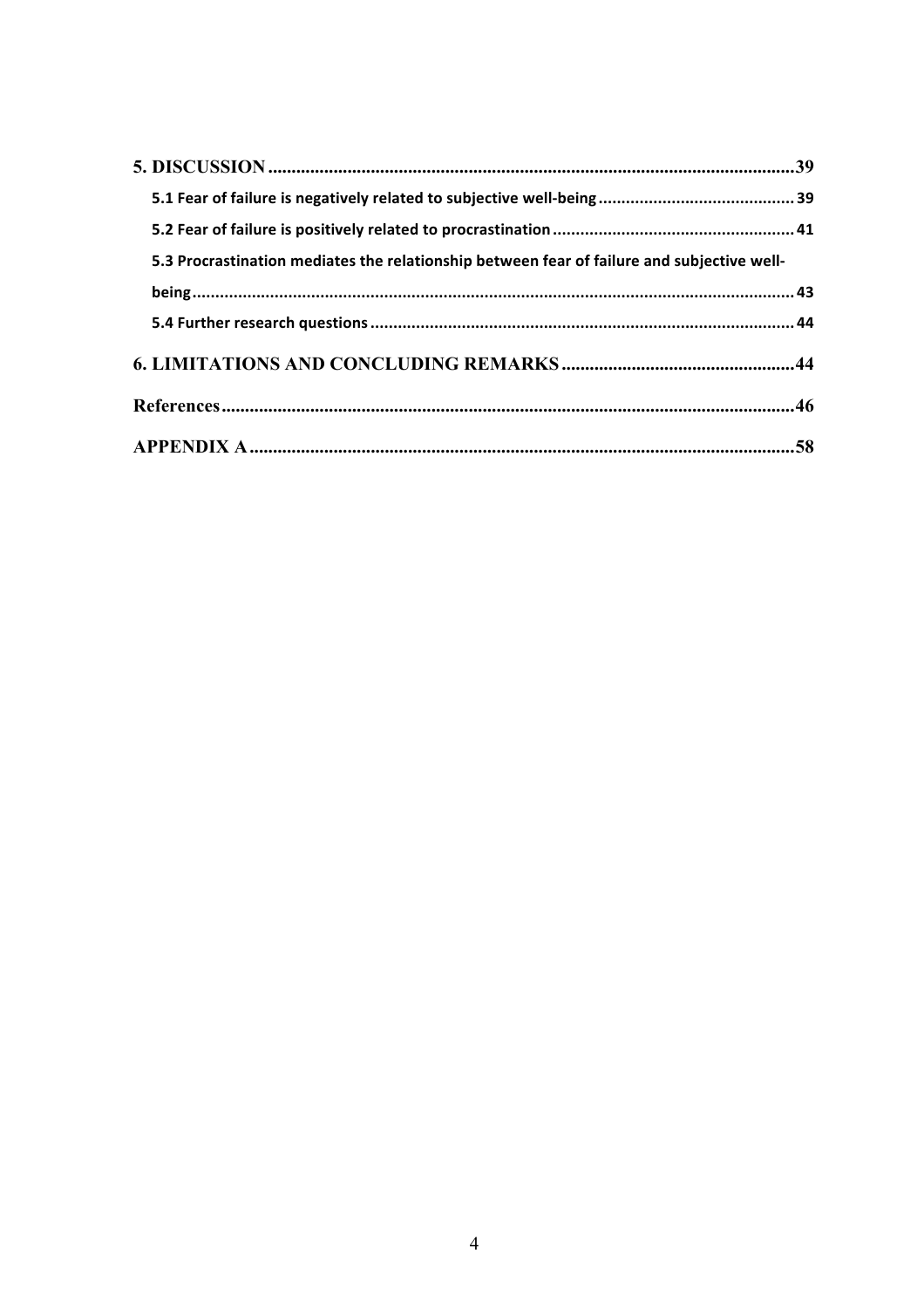| 5.3 Procrastination mediates the relationship between fear of failure and subjective well- |  |
|--------------------------------------------------------------------------------------------|--|
|                                                                                            |  |
|                                                                                            |  |
|                                                                                            |  |
|                                                                                            |  |
|                                                                                            |  |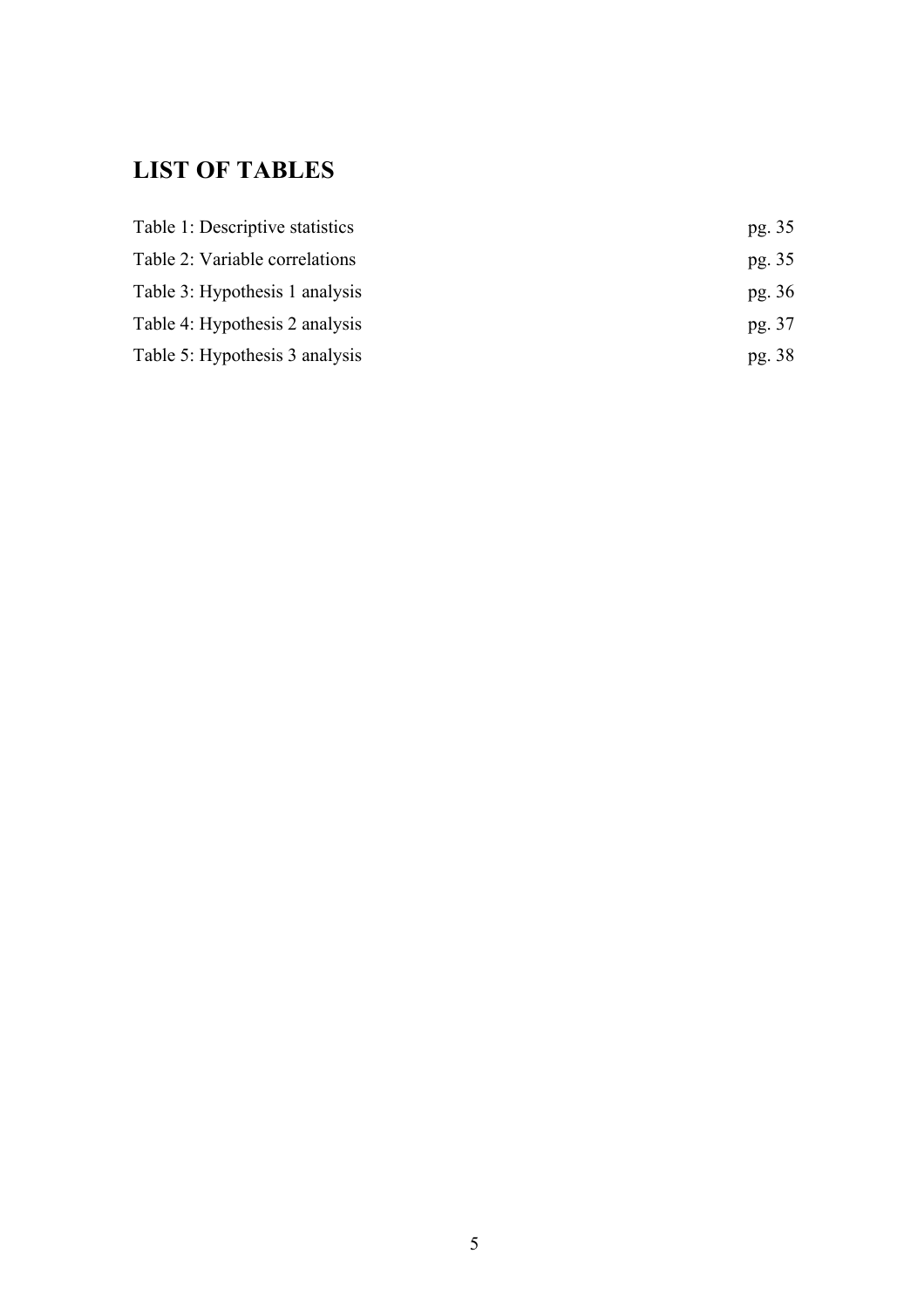# **LIST OF TABLES**

| Table 1: Descriptive statistics | pg. 35 |
|---------------------------------|--------|
| Table 2: Variable correlations  | pg. 35 |
| Table 3: Hypothesis 1 analysis  | pg. 36 |
| Table 4: Hypothesis 2 analysis  | pg. 37 |
| Table 5: Hypothesis 3 analysis  | pg. 38 |
|                                 |        |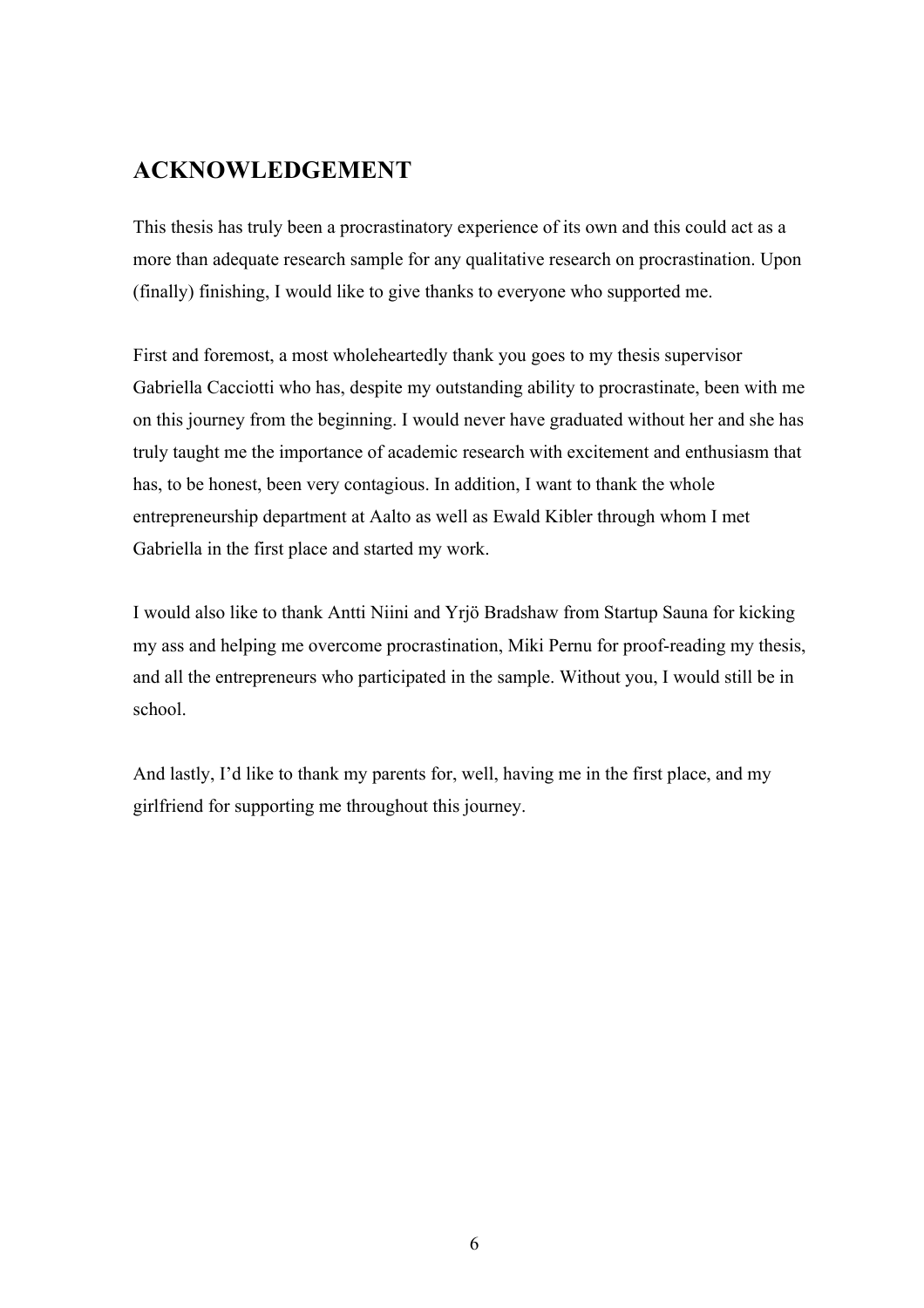# **ACKNOWLEDGEMENT**

This thesis has truly been a procrastinatory experience of its own and this could act as a more than adequate research sample for any qualitative research on procrastination. Upon (finally) finishing, I would like to give thanks to everyone who supported me.

First and foremost, a most wholeheartedly thank you goes to my thesis supervisor Gabriella Cacciotti who has, despite my outstanding ability to procrastinate, been with me on this journey from the beginning. I would never have graduated without her and she has truly taught me the importance of academic research with excitement and enthusiasm that has, to be honest, been very contagious. In addition, I want to thank the whole entrepreneurship department at Aalto as well as Ewald Kibler through whom I met Gabriella in the first place and started my work.

I would also like to thank Antti Niini and Yrjö Bradshaw from Startup Sauna for kicking my ass and helping me overcome procrastination, Miki Pernu for proof-reading my thesis, and all the entrepreneurs who participated in the sample. Without you, I would still be in school.

And lastly, I'd like to thank my parents for, well, having me in the first place, and my girlfriend for supporting me throughout this journey.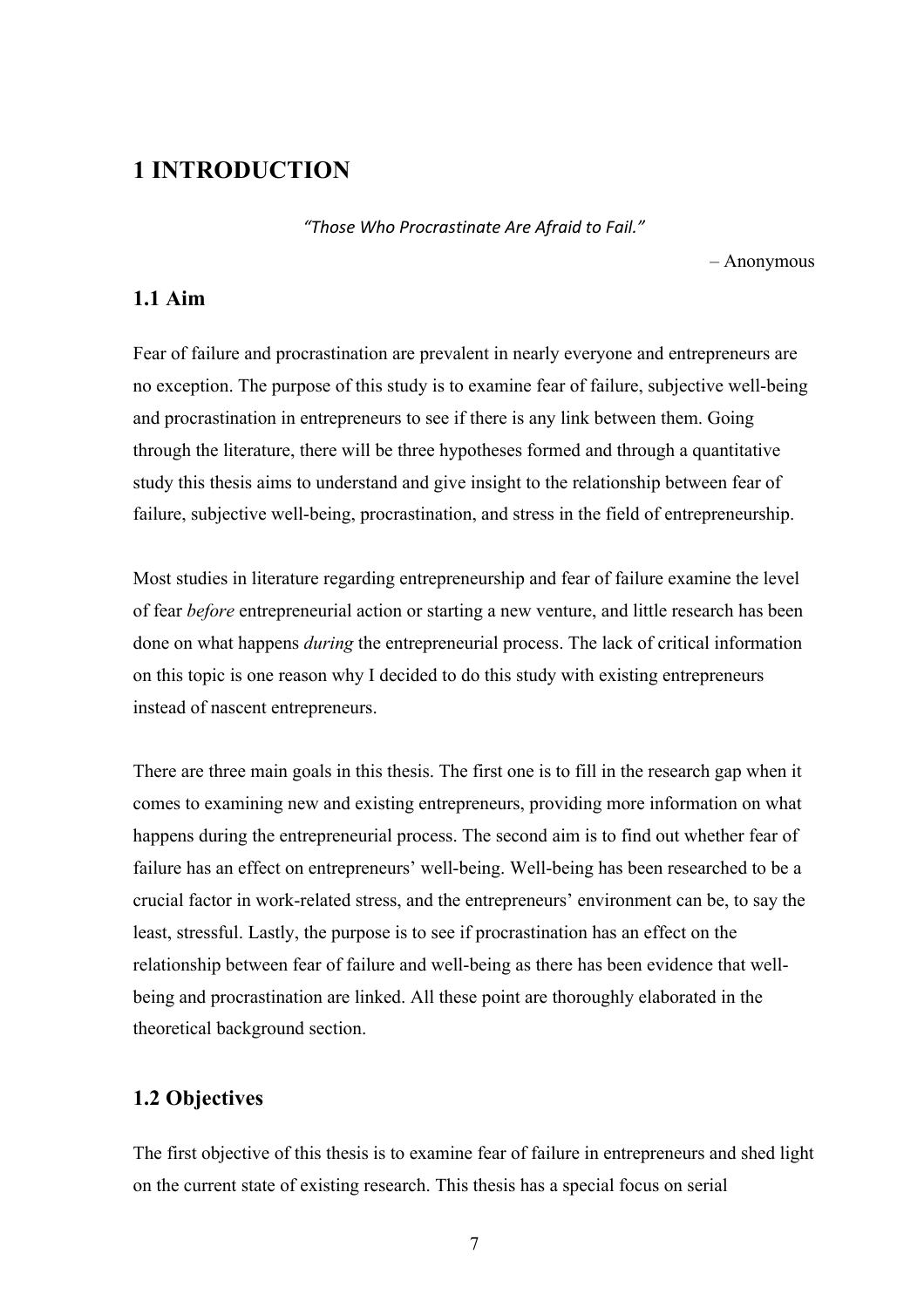# **1 INTRODUCTION**

*"Those Who Procrastinate Are Afraid to Fail."*

– Anonymous

## **1.1 Aim**

Fear of failure and procrastination are prevalent in nearly everyone and entrepreneurs are no exception. The purpose of this study is to examine fear of failure, subjective well-being and procrastination in entrepreneurs to see if there is any link between them. Going through the literature, there will be three hypotheses formed and through a quantitative study this thesis aims to understand and give insight to the relationship between fear of failure, subjective well-being, procrastination, and stress in the field of entrepreneurship.

Most studies in literature regarding entrepreneurship and fear of failure examine the level of fear *before* entrepreneurial action or starting a new venture, and little research has been done on what happens *during* the entrepreneurial process. The lack of critical information on this topic is one reason why I decided to do this study with existing entrepreneurs instead of nascent entrepreneurs.

There are three main goals in this thesis. The first one is to fill in the research gap when it comes to examining new and existing entrepreneurs, providing more information on what happens during the entrepreneurial process. The second aim is to find out whether fear of failure has an effect on entrepreneurs' well-being. Well-being has been researched to be a crucial factor in work-related stress, and the entrepreneurs' environment can be, to say the least, stressful. Lastly, the purpose is to see if procrastination has an effect on the relationship between fear of failure and well-being as there has been evidence that wellbeing and procrastination are linked. All these point are thoroughly elaborated in the theoretical background section.

## **1.2 Objectives**

The first objective of this thesis is to examine fear of failure in entrepreneurs and shed light on the current state of existing research. This thesis has a special focus on serial

7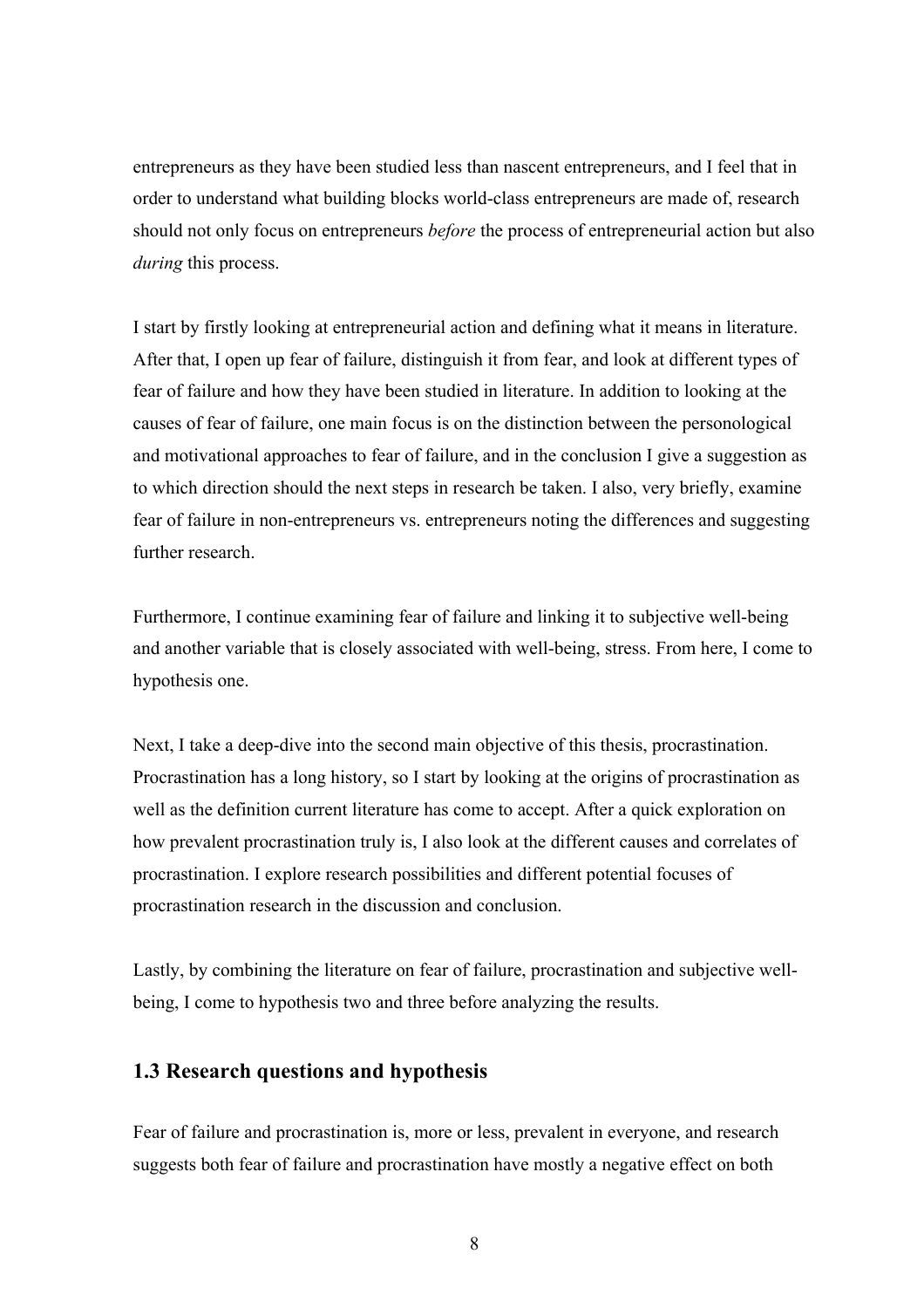entrepreneurs as they have been studied less than nascent entrepreneurs, and I feel that in order to understand what building blocks world-class entrepreneurs are made of, research should not only focus on entrepreneurs *before* the process of entrepreneurial action but also *during* this process.

I start by firstly looking at entrepreneurial action and defining what it means in literature. After that, I open up fear of failure, distinguish it from fear, and look at different types of fear of failure and how they have been studied in literature. In addition to looking at the causes of fear of failure, one main focus is on the distinction between the personological and motivational approaches to fear of failure, and in the conclusion I give a suggestion as to which direction should the next steps in research be taken. I also, very briefly, examine fear of failure in non-entrepreneurs vs. entrepreneurs noting the differences and suggesting further research.

Furthermore, I continue examining fear of failure and linking it to subjective well-being and another variable that is closely associated with well-being, stress. From here, I come to hypothesis one.

Next, I take a deep-dive into the second main objective of this thesis, procrastination. Procrastination has a long history, so I start by looking at the origins of procrastination as well as the definition current literature has come to accept. After a quick exploration on how prevalent procrastination truly is, I also look at the different causes and correlates of procrastination. I explore research possibilities and different potential focuses of procrastination research in the discussion and conclusion.

Lastly, by combining the literature on fear of failure, procrastination and subjective wellbeing, I come to hypothesis two and three before analyzing the results.

## **1.3 Research questions and hypothesis**

Fear of failure and procrastination is, more or less, prevalent in everyone, and research suggests both fear of failure and procrastination have mostly a negative effect on both

8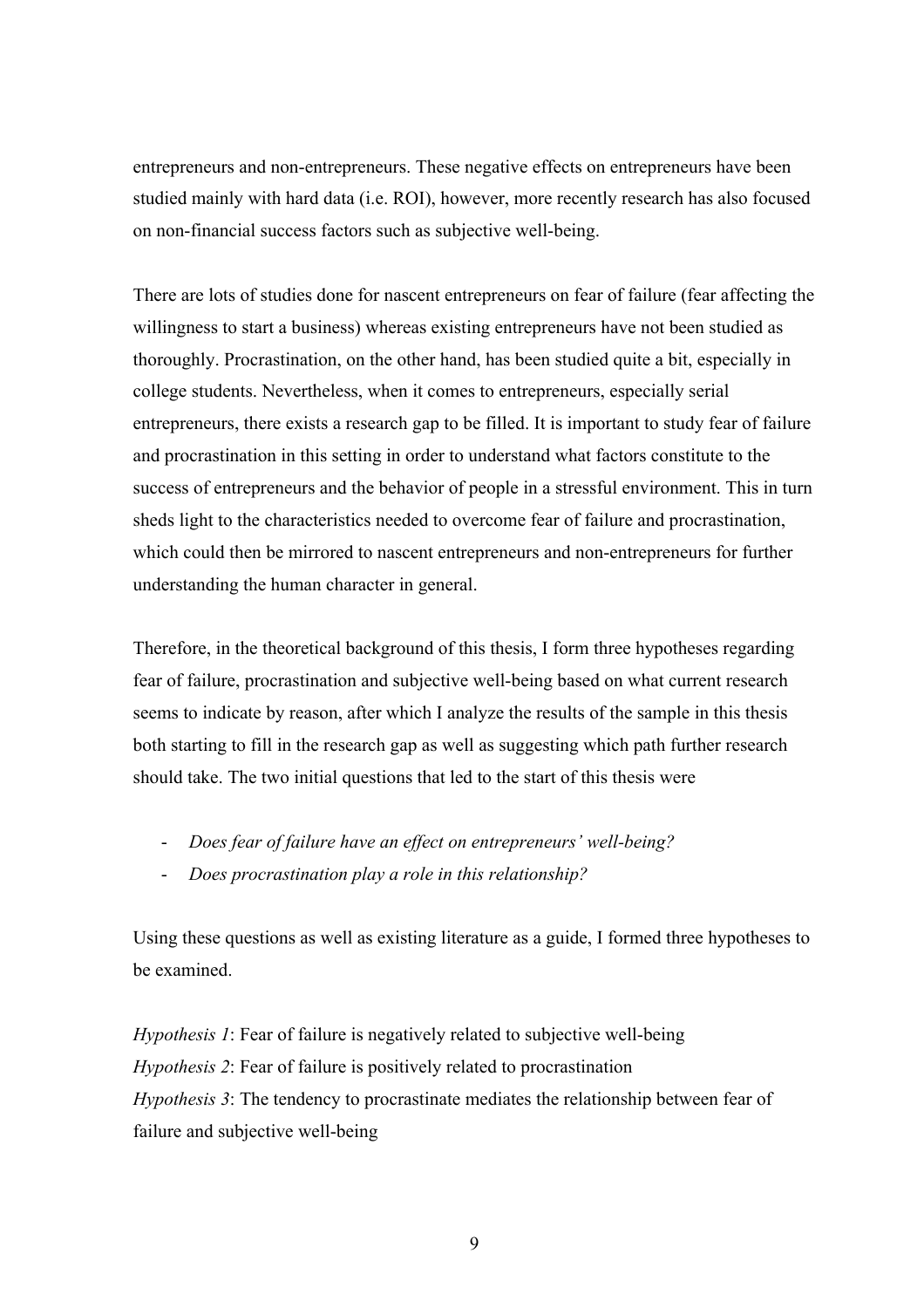entrepreneurs and non-entrepreneurs. These negative effects on entrepreneurs have been studied mainly with hard data (i.e. ROI), however, more recently research has also focused on non-financial success factors such as subjective well-being.

There are lots of studies done for nascent entrepreneurs on fear of failure (fear affecting the willingness to start a business) whereas existing entrepreneurs have not been studied as thoroughly. Procrastination, on the other hand, has been studied quite a bit, especially in college students. Nevertheless, when it comes to entrepreneurs, especially serial entrepreneurs, there exists a research gap to be filled. It is important to study fear of failure and procrastination in this setting in order to understand what factors constitute to the success of entrepreneurs and the behavior of people in a stressful environment. This in turn sheds light to the characteristics needed to overcome fear of failure and procrastination, which could then be mirrored to nascent entrepreneurs and non-entrepreneurs for further understanding the human character in general.

Therefore, in the theoretical background of this thesis, I form three hypotheses regarding fear of failure, procrastination and subjective well-being based on what current research seems to indicate by reason, after which I analyze the results of the sample in this thesis both starting to fill in the research gap as well as suggesting which path further research should take. The two initial questions that led to the start of this thesis were

- *Does fear of failure have an effect on entrepreneurs' well-being?*
- *Does procrastination play a role in this relationship?*

Using these questions as well as existing literature as a guide, I formed three hypotheses to be examined.

*Hypothesis 1*: Fear of failure is negatively related to subjective well-being *Hypothesis 2*: Fear of failure is positively related to procrastination *Hypothesis 3*: The tendency to procrastinate mediates the relationship between fear of failure and subjective well-being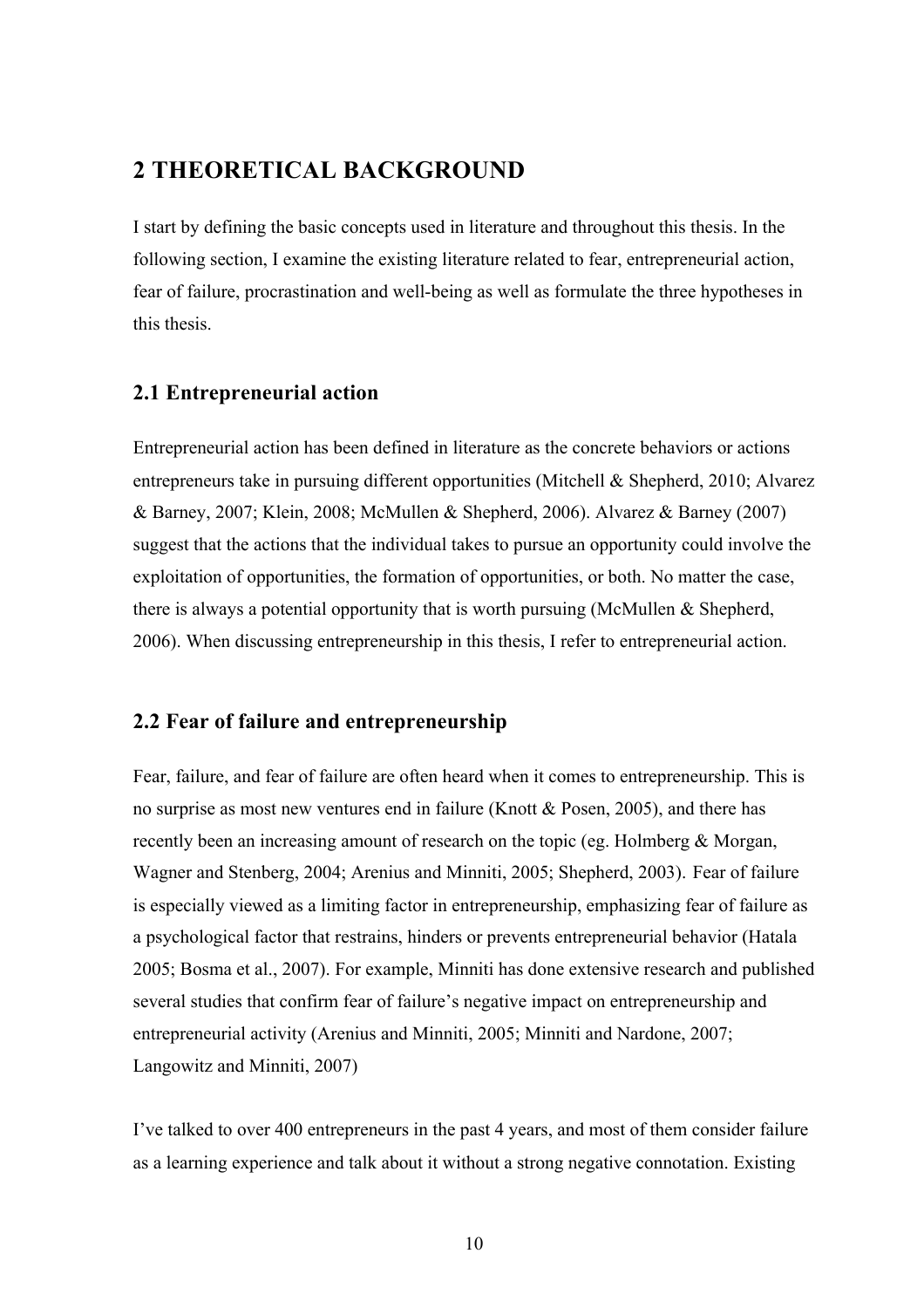## **2 THEORETICAL BACKGROUND**

I start by defining the basic concepts used in literature and throughout this thesis. In the following section, I examine the existing literature related to fear, entrepreneurial action, fear of failure, procrastination and well-being as well as formulate the three hypotheses in this thesis.

## **2.1 Entrepreneurial action**

Entrepreneurial action has been defined in literature as the concrete behaviors or actions entrepreneurs take in pursuing different opportunities (Mitchell & Shepherd, 2010; Alvarez & Barney, 2007; Klein, 2008; McMullen & Shepherd, 2006). Alvarez & Barney (2007) suggest that the actions that the individual takes to pursue an opportunity could involve the exploitation of opportunities, the formation of opportunities, or both. No matter the case, there is always a potential opportunity that is worth pursuing (McMullen & Shepherd, 2006). When discussing entrepreneurship in this thesis, I refer to entrepreneurial action.

## **2.2 Fear of failure and entrepreneurship**

Fear, failure, and fear of failure are often heard when it comes to entrepreneurship. This is no surprise as most new ventures end in failure (Knott & Posen, 2005), and there has recently been an increasing amount of research on the topic (eg. Holmberg & Morgan, Wagner and Stenberg, 2004; Arenius and Minniti, 2005; Shepherd, 2003). Fear of failure is especially viewed as a limiting factor in entrepreneurship, emphasizing fear of failure as a psychological factor that restrains, hinders or prevents entrepreneurial behavior (Hatala 2005; Bosma et al., 2007). For example, Minniti has done extensive research and published several studies that confirm fear of failure's negative impact on entrepreneurship and entrepreneurial activity (Arenius and Minniti, 2005; Minniti and Nardone, 2007; Langowitz and Minniti, 2007)

I've talked to over 400 entrepreneurs in the past 4 years, and most of them consider failure as a learning experience and talk about it without a strong negative connotation. Existing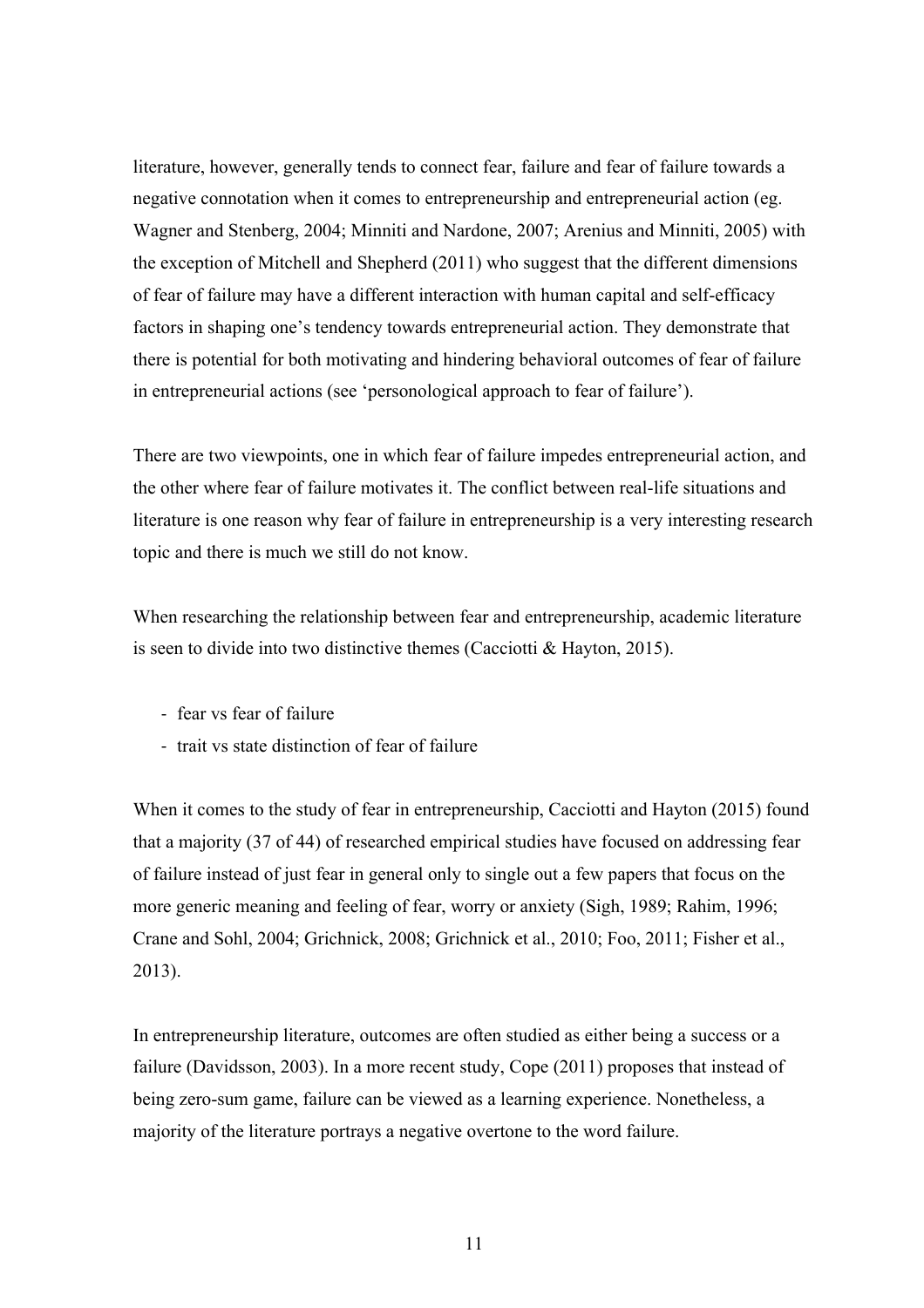literature, however, generally tends to connect fear, failure and fear of failure towards a negative connotation when it comes to entrepreneurship and entrepreneurial action (eg. Wagner and Stenberg, 2004; Minniti and Nardone, 2007; Arenius and Minniti, 2005) with the exception of Mitchell and Shepherd (2011) who suggest that the different dimensions of fear of failure may have a different interaction with human capital and self-efficacy factors in shaping one's tendency towards entrepreneurial action. They demonstrate that there is potential for both motivating and hindering behavioral outcomes of fear of failure in entrepreneurial actions (see 'personological approach to fear of failure').

There are two viewpoints, one in which fear of failure impedes entrepreneurial action, and the other where fear of failure motivates it. The conflict between real-life situations and literature is one reason why fear of failure in entrepreneurship is a very interesting research topic and there is much we still do not know.

When researching the relationship between fear and entrepreneurship, academic literature is seen to divide into two distinctive themes (Cacciotti & Hayton, 2015).

- fear vs fear of failure
- trait vs state distinction of fear of failure

When it comes to the study of fear in entrepreneurship, Cacciotti and Hayton (2015) found that a majority (37 of 44) of researched empirical studies have focused on addressing fear of failure instead of just fear in general only to single out a few papers that focus on the more generic meaning and feeling of fear, worry or anxiety (Sigh, 1989; Rahim, 1996; Crane and Sohl, 2004; Grichnick, 2008; Grichnick et al., 2010; Foo, 2011; Fisher et al., 2013).

In entrepreneurship literature, outcomes are often studied as either being a success or a failure (Davidsson, 2003). In a more recent study, Cope (2011) proposes that instead of being zero-sum game, failure can be viewed as a learning experience. Nonetheless, a majority of the literature portrays a negative overtone to the word failure.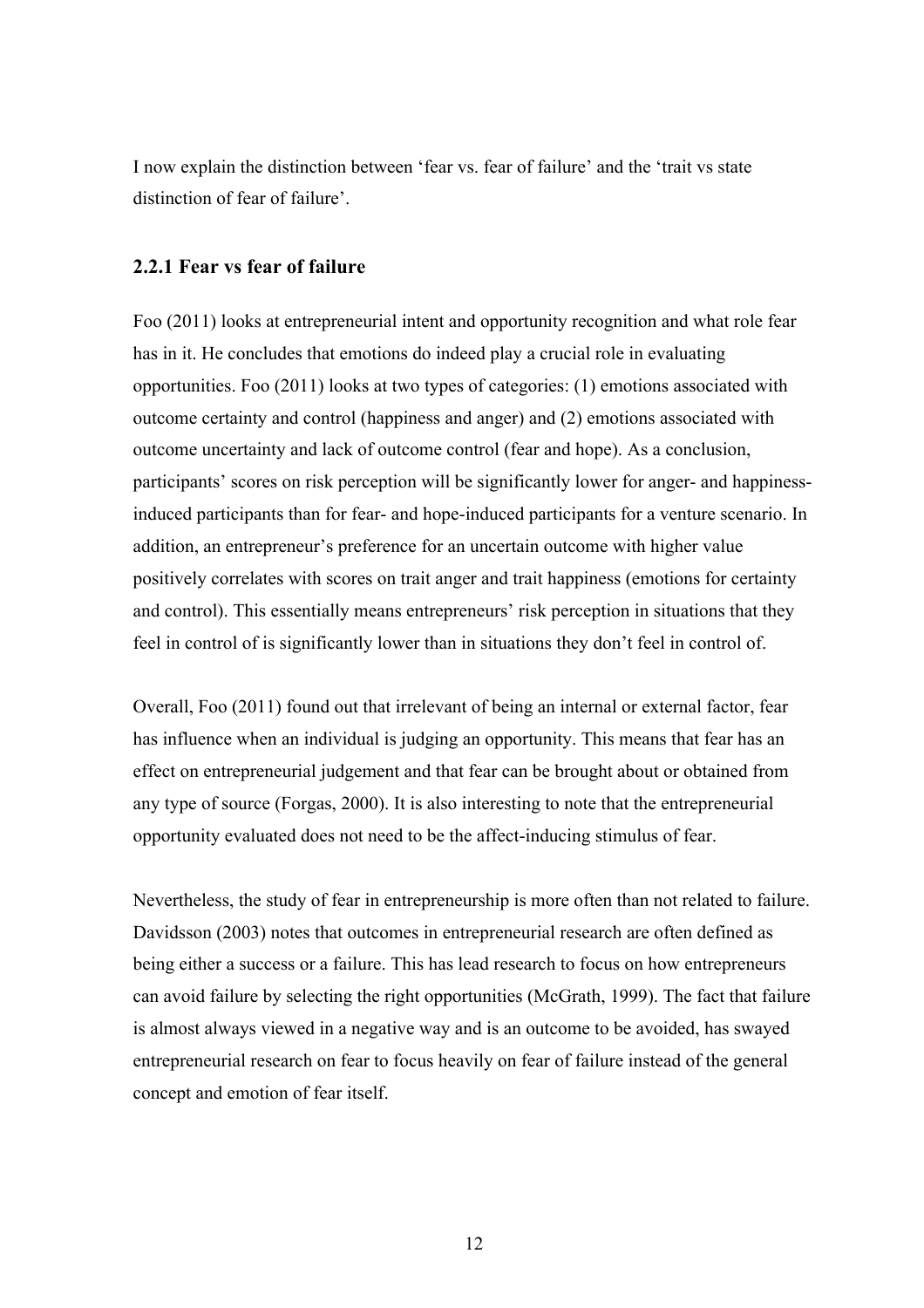I now explain the distinction between 'fear vs. fear of failure' and the 'trait vs state distinction of fear of failure'.

#### **2.2.1 Fear vs fear of failure**

Foo (2011) looks at entrepreneurial intent and opportunity recognition and what role fear has in it. He concludes that emotions do indeed play a crucial role in evaluating opportunities. Foo (2011) looks at two types of categories: (1) emotions associated with outcome certainty and control (happiness and anger) and (2) emotions associated with outcome uncertainty and lack of outcome control (fear and hope). As a conclusion, participants' scores on risk perception will be significantly lower for anger- and happinessinduced participants than for fear- and hope-induced participants for a venture scenario. In addition, an entrepreneur's preference for an uncertain outcome with higher value positively correlates with scores on trait anger and trait happiness (emotions for certainty and control). This essentially means entrepreneurs' risk perception in situations that they feel in control of is significantly lower than in situations they don't feel in control of.

Overall, Foo (2011) found out that irrelevant of being an internal or external factor, fear has influence when an individual is judging an opportunity. This means that fear has an effect on entrepreneurial judgement and that fear can be brought about or obtained from any type of source (Forgas, 2000). It is also interesting to note that the entrepreneurial opportunity evaluated does not need to be the affect-inducing stimulus of fear.

Nevertheless, the study of fear in entrepreneurship is more often than not related to failure. Davidsson (2003) notes that outcomes in entrepreneurial research are often defined as being either a success or a failure. This has lead research to focus on how entrepreneurs can avoid failure by selecting the right opportunities (McGrath, 1999). The fact that failure is almost always viewed in a negative way and is an outcome to be avoided, has swayed entrepreneurial research on fear to focus heavily on fear of failure instead of the general concept and emotion of fear itself.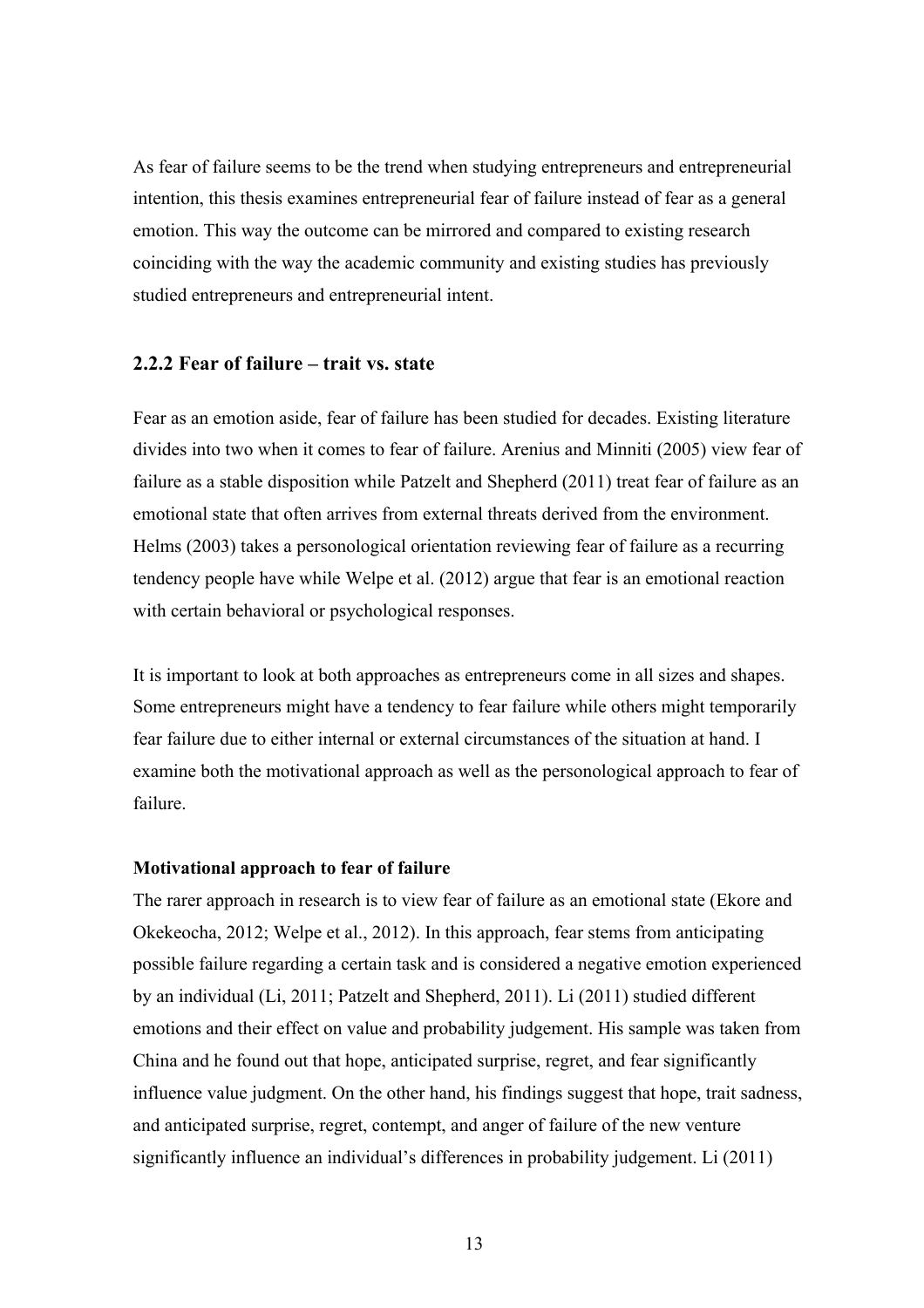As fear of failure seems to be the trend when studying entrepreneurs and entrepreneurial intention, this thesis examines entrepreneurial fear of failure instead of fear as a general emotion. This way the outcome can be mirrored and compared to existing research coinciding with the way the academic community and existing studies has previously studied entrepreneurs and entrepreneurial intent.

## **2.2.2 Fear of failure – trait vs. state**

Fear as an emotion aside, fear of failure has been studied for decades. Existing literature divides into two when it comes to fear of failure. Arenius and Minniti (2005) view fear of failure as a stable disposition while Patzelt and Shepherd (2011) treat fear of failure as an emotional state that often arrives from external threats derived from the environment. Helms (2003) takes a personological orientation reviewing fear of failure as a recurring tendency people have while Welpe et al. (2012) argue that fear is an emotional reaction with certain behavioral or psychological responses.

It is important to look at both approaches as entrepreneurs come in all sizes and shapes. Some entrepreneurs might have a tendency to fear failure while others might temporarily fear failure due to either internal or external circumstances of the situation at hand. I examine both the motivational approach as well as the personological approach to fear of failure.

#### **Motivational approach to fear of failure**

The rarer approach in research is to view fear of failure as an emotional state (Ekore and Okekeocha, 2012; Welpe et al., 2012). In this approach, fear stems from anticipating possible failure regarding a certain task and is considered a negative emotion experienced by an individual (Li, 2011; Patzelt and Shepherd, 2011). Li (2011) studied different emotions and their effect on value and probability judgement. His sample was taken from China and he found out that hope, anticipated surprise, regret, and fear significantly influence value judgment. On the other hand, his findings suggest that hope, trait sadness, and anticipated surprise, regret, contempt, and anger of failure of the new venture significantly influence an individual's differences in probability judgement. Li (2011)

13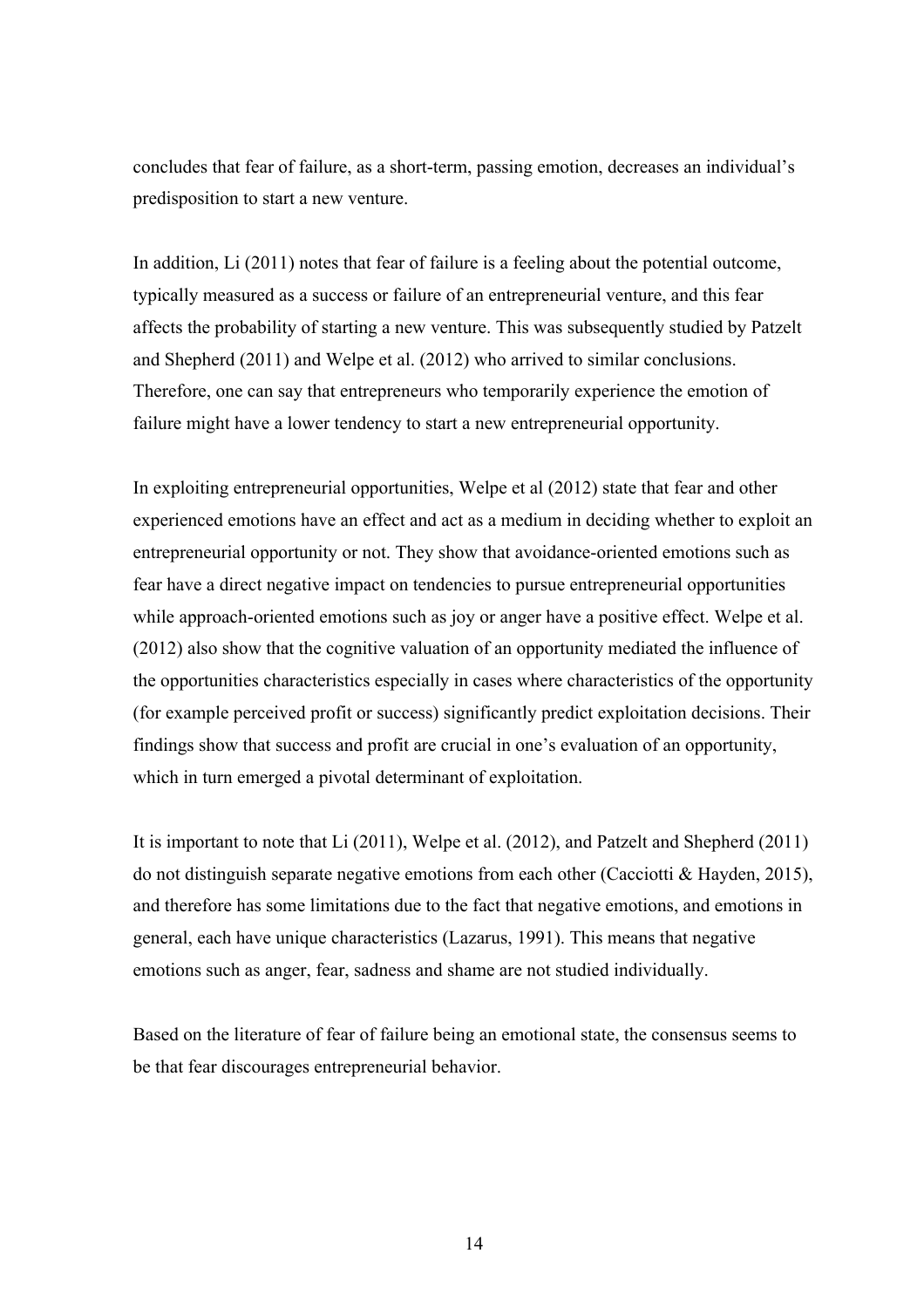concludes that fear of failure, as a short-term, passing emotion, decreases an individual's predisposition to start a new venture.

In addition, Li (2011) notes that fear of failure is a feeling about the potential outcome, typically measured as a success or failure of an entrepreneurial venture, and this fear affects the probability of starting a new venture. This was subsequently studied by Patzelt and Shepherd (2011) and Welpe et al. (2012) who arrived to similar conclusions. Therefore, one can say that entrepreneurs who temporarily experience the emotion of failure might have a lower tendency to start a new entrepreneurial opportunity.

In exploiting entrepreneurial opportunities, Welpe et al (2012) state that fear and other experienced emotions have an effect and act as a medium in deciding whether to exploit an entrepreneurial opportunity or not. They show that avoidance-oriented emotions such as fear have a direct negative impact on tendencies to pursue entrepreneurial opportunities while approach-oriented emotions such as joy or anger have a positive effect. Welpe et al. (2012) also show that the cognitive valuation of an opportunity mediated the influence of the opportunities characteristics especially in cases where characteristics of the opportunity (for example perceived profit or success) significantly predict exploitation decisions. Their findings show that success and profit are crucial in one's evaluation of an opportunity, which in turn emerged a pivotal determinant of exploitation.

It is important to note that Li (2011), Welpe et al. (2012), and Patzelt and Shepherd (2011) do not distinguish separate negative emotions from each other (Cacciotti & Hayden, 2015), and therefore has some limitations due to the fact that negative emotions, and emotions in general, each have unique characteristics (Lazarus, 1991). This means that negative emotions such as anger, fear, sadness and shame are not studied individually.

Based on the literature of fear of failure being an emotional state, the consensus seems to be that fear discourages entrepreneurial behavior.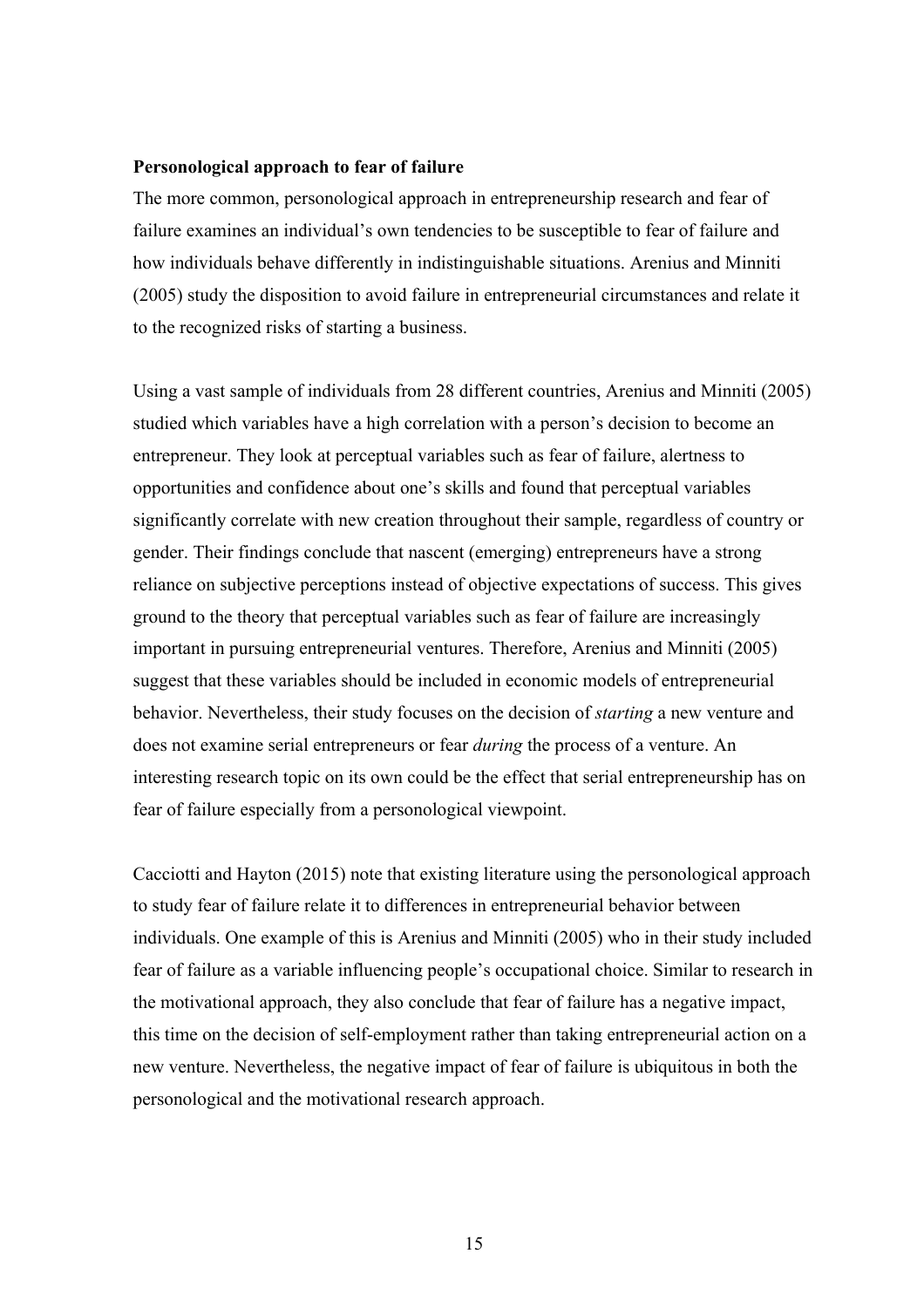#### **Personological approach to fear of failure**

The more common, personological approach in entrepreneurship research and fear of failure examines an individual's own tendencies to be susceptible to fear of failure and how individuals behave differently in indistinguishable situations. Arenius and Minniti (2005) study the disposition to avoid failure in entrepreneurial circumstances and relate it to the recognized risks of starting a business.

Using a vast sample of individuals from 28 different countries, Arenius and Minniti (2005) studied which variables have a high correlation with a person's decision to become an entrepreneur. They look at perceptual variables such as fear of failure, alertness to opportunities and confidence about one's skills and found that perceptual variables significantly correlate with new creation throughout their sample, regardless of country or gender. Their findings conclude that nascent (emerging) entrepreneurs have a strong reliance on subjective perceptions instead of objective expectations of success. This gives ground to the theory that perceptual variables such as fear of failure are increasingly important in pursuing entrepreneurial ventures. Therefore, Arenius and Minniti (2005) suggest that these variables should be included in economic models of entrepreneurial behavior. Nevertheless, their study focuses on the decision of *starting* a new venture and does not examine serial entrepreneurs or fear *during* the process of a venture. An interesting research topic on its own could be the effect that serial entrepreneurship has on fear of failure especially from a personological viewpoint.

Cacciotti and Hayton (2015) note that existing literature using the personological approach to study fear of failure relate it to differences in entrepreneurial behavior between individuals. One example of this is Arenius and Minniti (2005) who in their study included fear of failure as a variable influencing people's occupational choice. Similar to research in the motivational approach, they also conclude that fear of failure has a negative impact, this time on the decision of self-employment rather than taking entrepreneurial action on a new venture. Nevertheless, the negative impact of fear of failure is ubiquitous in both the personological and the motivational research approach.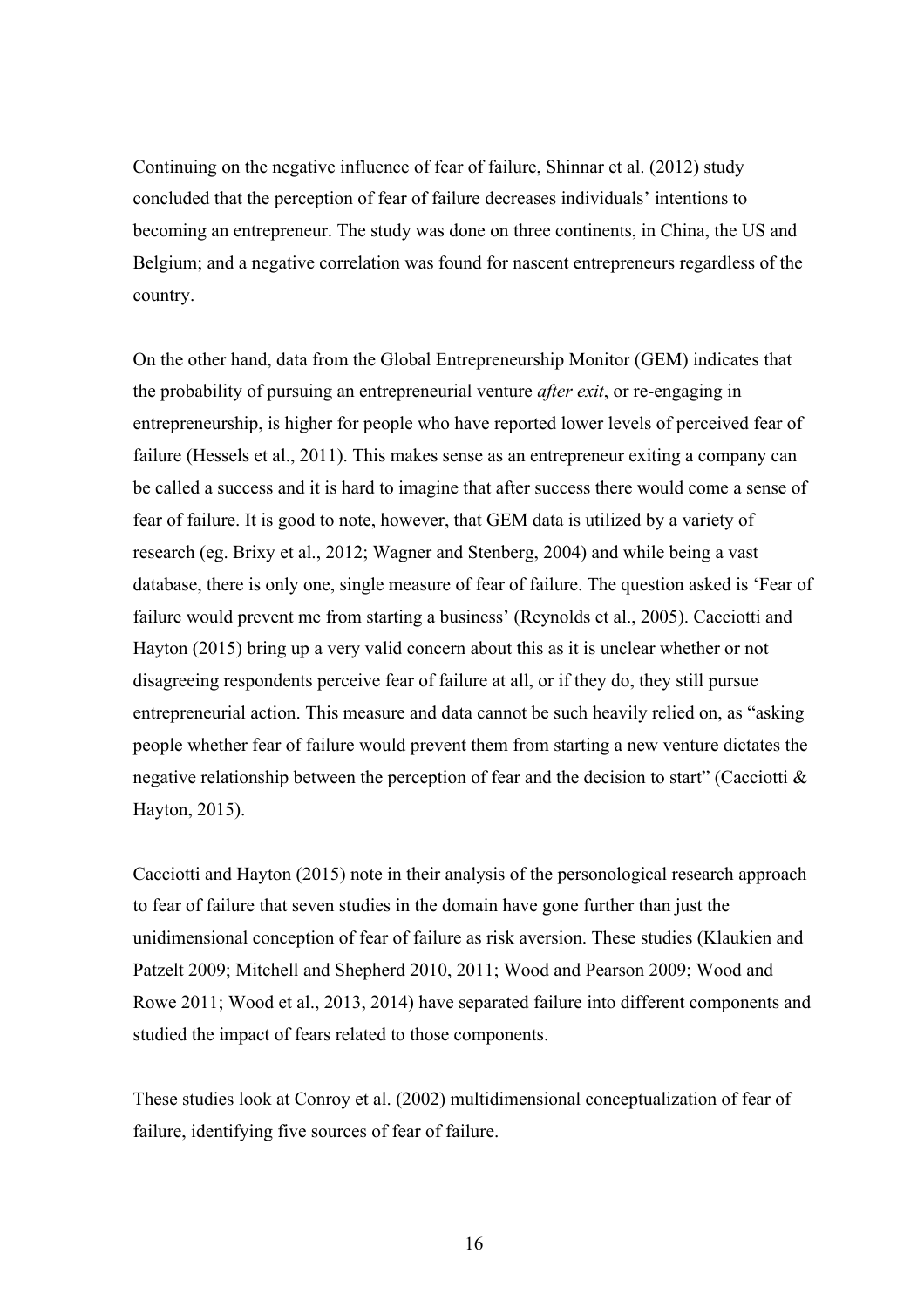Continuing on the negative influence of fear of failure, Shinnar et al. (2012) study concluded that the perception of fear of failure decreases individuals' intentions to becoming an entrepreneur. The study was done on three continents, in China, the US and Belgium; and a negative correlation was found for nascent entrepreneurs regardless of the country.

On the other hand, data from the Global Entrepreneurship Monitor (GEM) indicates that the probability of pursuing an entrepreneurial venture *after exit*, or re-engaging in entrepreneurship, is higher for people who have reported lower levels of perceived fear of failure (Hessels et al., 2011). This makes sense as an entrepreneur exiting a company can be called a success and it is hard to imagine that after success there would come a sense of fear of failure. It is good to note, however, that GEM data is utilized by a variety of research (eg. Brixy et al., 2012; Wagner and Stenberg, 2004) and while being a vast database, there is only one, single measure of fear of failure. The question asked is 'Fear of failure would prevent me from starting a business' (Reynolds et al., 2005). Cacciotti and Hayton (2015) bring up a very valid concern about this as it is unclear whether or not disagreeing respondents perceive fear of failure at all, or if they do, they still pursue entrepreneurial action. This measure and data cannot be such heavily relied on, as "asking people whether fear of failure would prevent them from starting a new venture dictates the negative relationship between the perception of fear and the decision to start" (Cacciotti & Hayton, 2015).

Cacciotti and Hayton (2015) note in their analysis of the personological research approach to fear of failure that seven studies in the domain have gone further than just the unidimensional conception of fear of failure as risk aversion. These studies (Klaukien and Patzelt 2009; Mitchell and Shepherd 2010, 2011; Wood and Pearson 2009; Wood and Rowe 2011; Wood et al., 2013, 2014) have separated failure into different components and studied the impact of fears related to those components.

These studies look at Conroy et al. (2002) multidimensional conceptualization of fear of failure, identifying five sources of fear of failure.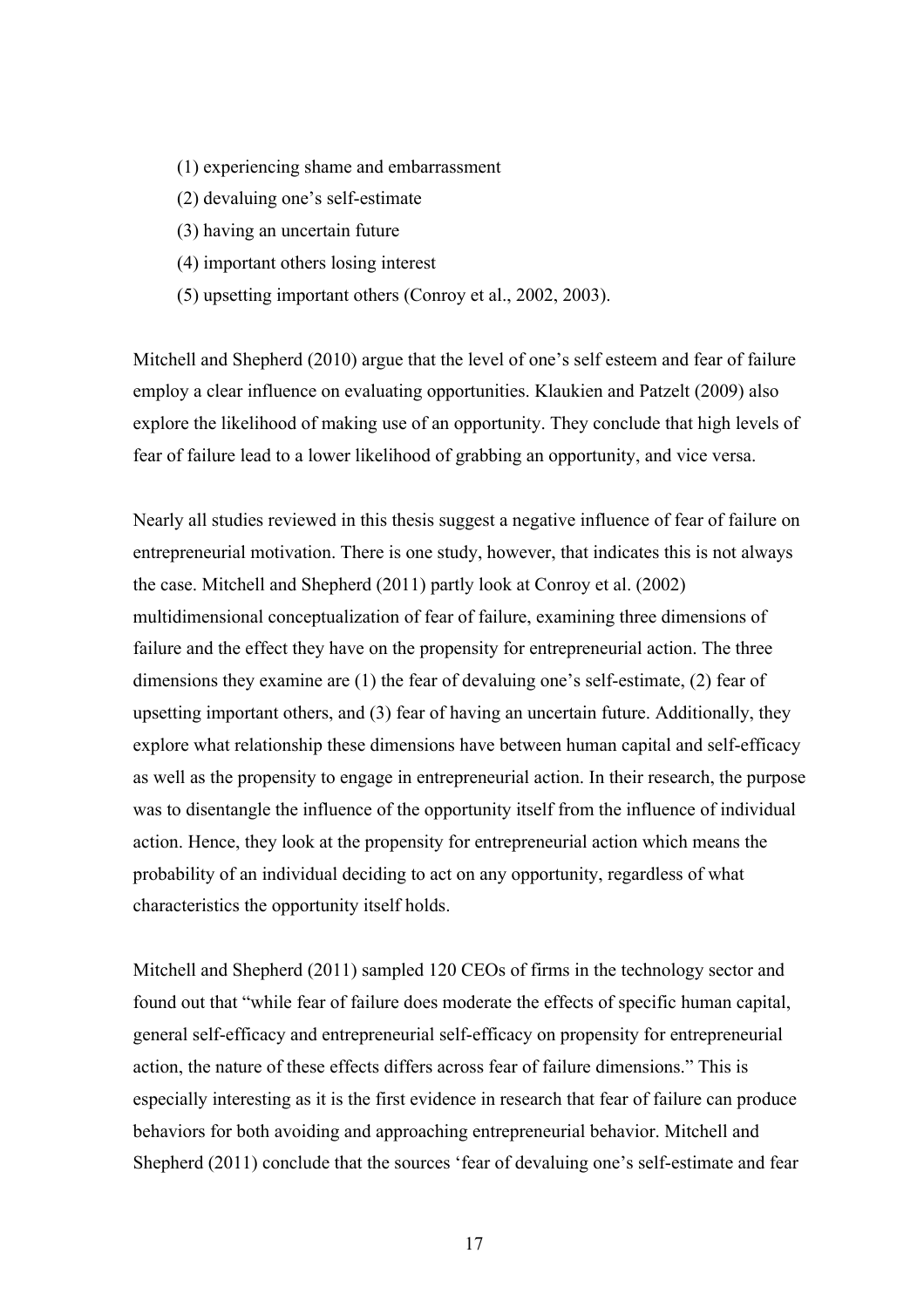- (1) experiencing shame and embarrassment
- (2) devaluing one's self-estimate
- (3) having an uncertain future
- (4) important others losing interest
- (5) upsetting important others (Conroy et al., 2002, 2003).

Mitchell and Shepherd (2010) argue that the level of one's self esteem and fear of failure employ a clear influence on evaluating opportunities. Klaukien and Patzelt (2009) also explore the likelihood of making use of an opportunity. They conclude that high levels of fear of failure lead to a lower likelihood of grabbing an opportunity, and vice versa.

Nearly all studies reviewed in this thesis suggest a negative influence of fear of failure on entrepreneurial motivation. There is one study, however, that indicates this is not always the case. Mitchell and Shepherd (2011) partly look at Conroy et al. (2002) multidimensional conceptualization of fear of failure, examining three dimensions of failure and the effect they have on the propensity for entrepreneurial action. The three dimensions they examine are (1) the fear of devaluing one's self-estimate, (2) fear of upsetting important others, and (3) fear of having an uncertain future. Additionally, they explore what relationship these dimensions have between human capital and self-efficacy as well as the propensity to engage in entrepreneurial action. In their research, the purpose was to disentangle the influence of the opportunity itself from the influence of individual action. Hence, they look at the propensity for entrepreneurial action which means the probability of an individual deciding to act on any opportunity, regardless of what characteristics the opportunity itself holds.

Mitchell and Shepherd (2011) sampled 120 CEOs of firms in the technology sector and found out that "while fear of failure does moderate the effects of specific human capital, general self-efficacy and entrepreneurial self-efficacy on propensity for entrepreneurial action, the nature of these effects differs across fear of failure dimensions." This is especially interesting as it is the first evidence in research that fear of failure can produce behaviors for both avoiding and approaching entrepreneurial behavior. Mitchell and Shepherd (2011) conclude that the sources 'fear of devaluing one's self-estimate and fear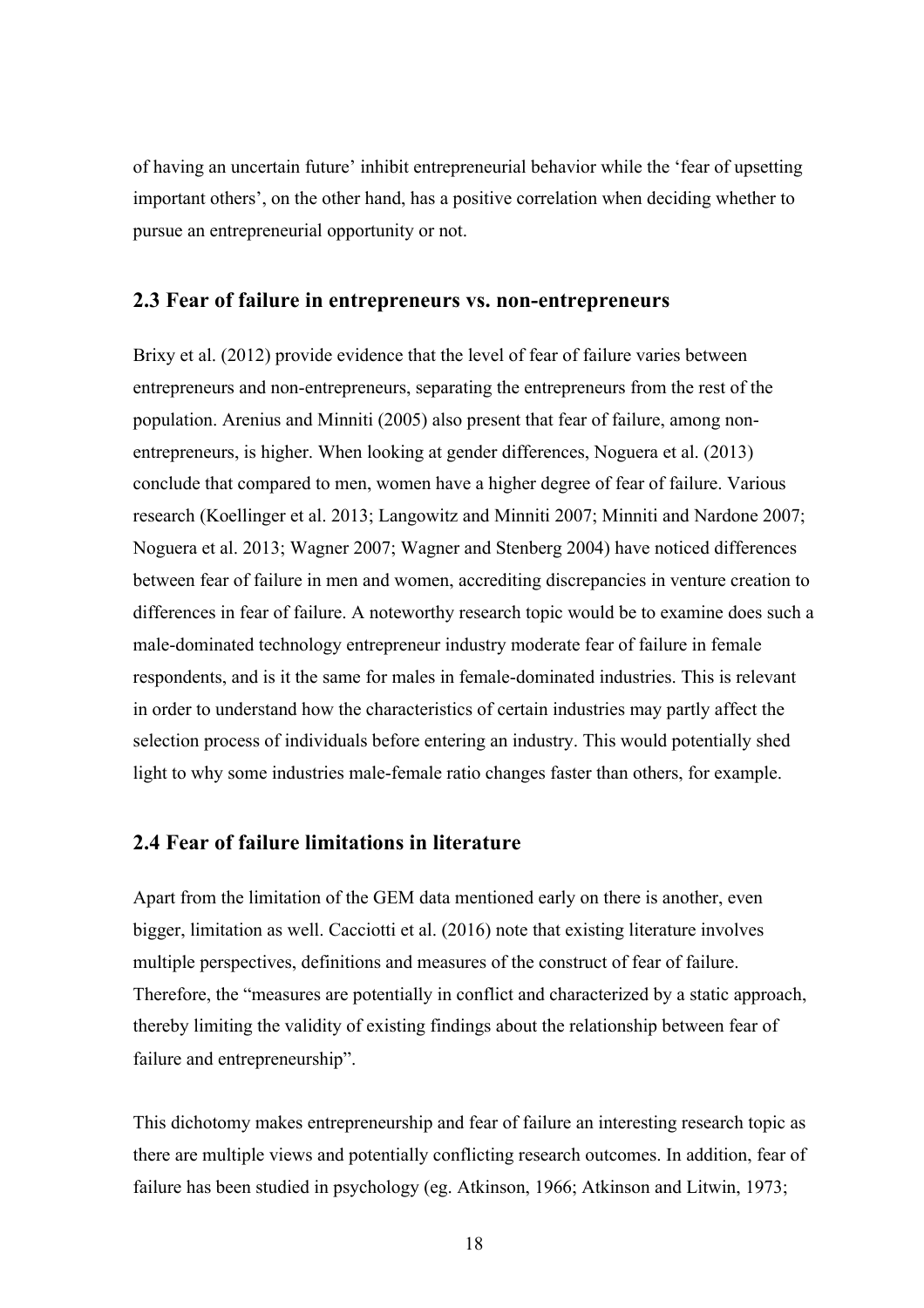of having an uncertain future' inhibit entrepreneurial behavior while the 'fear of upsetting important others', on the other hand, has a positive correlation when deciding whether to pursue an entrepreneurial opportunity or not.

#### **2.3 Fear of failure in entrepreneurs vs. non-entrepreneurs**

Brixy et al. (2012) provide evidence that the level of fear of failure varies between entrepreneurs and non-entrepreneurs, separating the entrepreneurs from the rest of the population. Arenius and Minniti (2005) also present that fear of failure, among nonentrepreneurs, is higher. When looking at gender differences, Noguera et al. (2013) conclude that compared to men, women have a higher degree of fear of failure. Various research (Koellinger et al. 2013; Langowitz and Minniti 2007; Minniti and Nardone 2007; Noguera et al. 2013; Wagner 2007; Wagner and Stenberg 2004) have noticed differences between fear of failure in men and women, accrediting discrepancies in venture creation to differences in fear of failure. A noteworthy research topic would be to examine does such a male-dominated technology entrepreneur industry moderate fear of failure in female respondents, and is it the same for males in female-dominated industries. This is relevant in order to understand how the characteristics of certain industries may partly affect the selection process of individuals before entering an industry. This would potentially shed light to why some industries male-female ratio changes faster than others, for example.

## **2.4 Fear of failure limitations in literature**

Apart from the limitation of the GEM data mentioned early on there is another, even bigger, limitation as well. Cacciotti et al. (2016) note that existing literature involves multiple perspectives, definitions and measures of the construct of fear of failure. Therefore, the "measures are potentially in conflict and characterized by a static approach, thereby limiting the validity of existing findings about the relationship between fear of failure and entrepreneurship".

This dichotomy makes entrepreneurship and fear of failure an interesting research topic as there are multiple views and potentially conflicting research outcomes. In addition, fear of failure has been studied in psychology (eg. Atkinson, 1966; Atkinson and Litwin, 1973;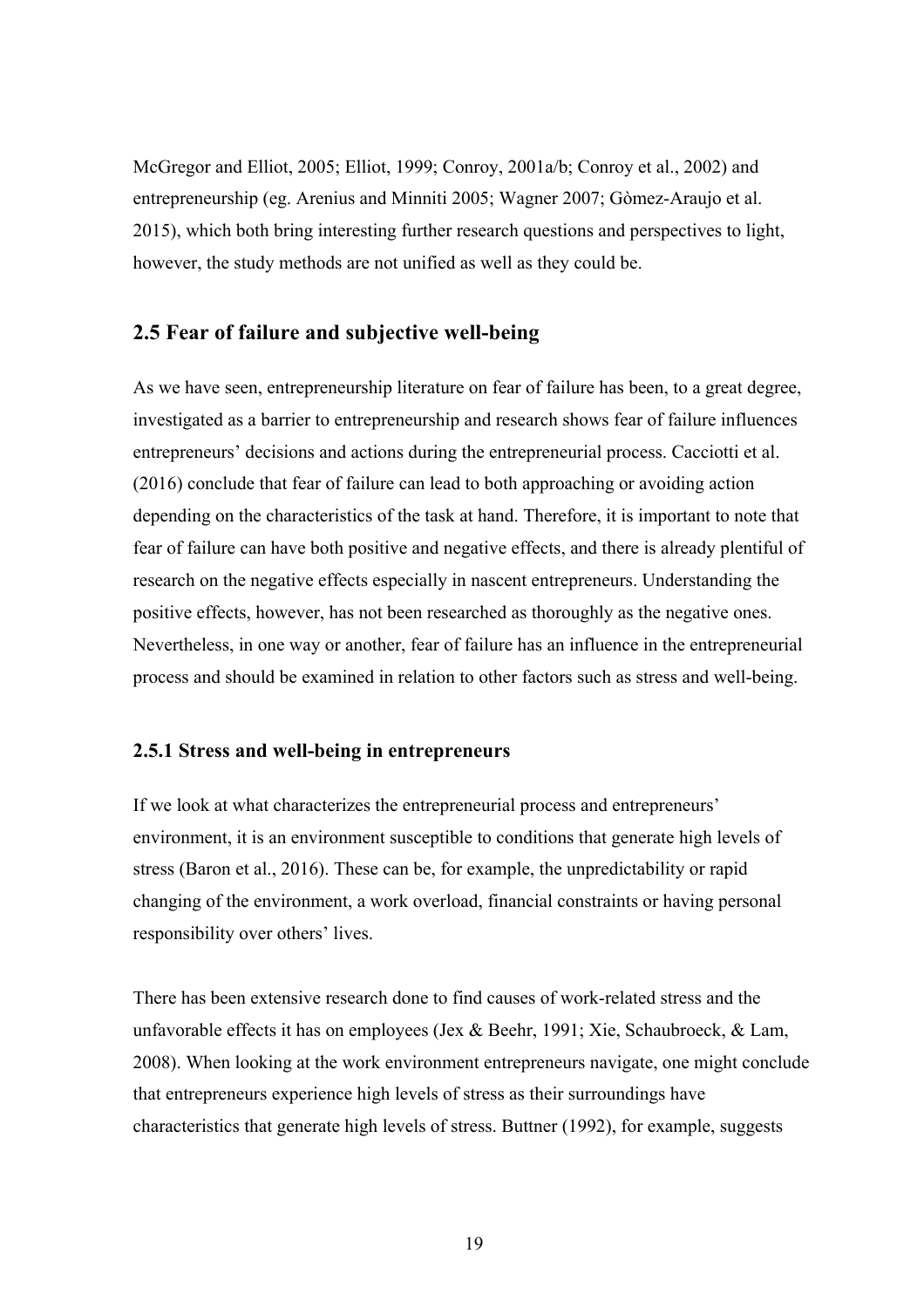McGregor and Elliot, 2005; Elliot, 1999; Conroy, 2001a/b; Conroy et al., 2002) and entrepreneurship (eg. Arenius and Minniti 2005; Wagner 2007; Gòmez-Araujo et al. 2015), which both bring interesting further research questions and perspectives to light, however, the study methods are not unified as well as they could be.

## **2.5 Fear of failure and subjective well-being**

As we have seen, entrepreneurship literature on fear of failure has been, to a great degree, investigated as a barrier to entrepreneurship and research shows fear of failure influences entrepreneurs' decisions and actions during the entrepreneurial process. Cacciotti et al. (2016) conclude that fear of failure can lead to both approaching or avoiding action depending on the characteristics of the task at hand. Therefore, it is important to note that fear of failure can have both positive and negative effects, and there is already plentiful of research on the negative effects especially in nascent entrepreneurs. Understanding the positive effects, however, has not been researched as thoroughly as the negative ones. Nevertheless, in one way or another, fear of failure has an influence in the entrepreneurial process and should be examined in relation to other factors such as stress and well-being.

#### **2.5.1 Stress and well-being in entrepreneurs**

If we look at what characterizes the entrepreneurial process and entrepreneurs' environment, it is an environment susceptible to conditions that generate high levels of stress (Baron et al., 2016). These can be, for example, the unpredictability or rapid changing of the environment, a work overload, financial constraints or having personal responsibility over others' lives.

There has been extensive research done to find causes of work-related stress and the unfavorable effects it has on employees (Jex & Beehr, 1991; Xie, Schaubroeck, & Lam, 2008). When looking at the work environment entrepreneurs navigate, one might conclude that entrepreneurs experience high levels of stress as their surroundings have characteristics that generate high levels of stress. Buttner (1992), for example, suggests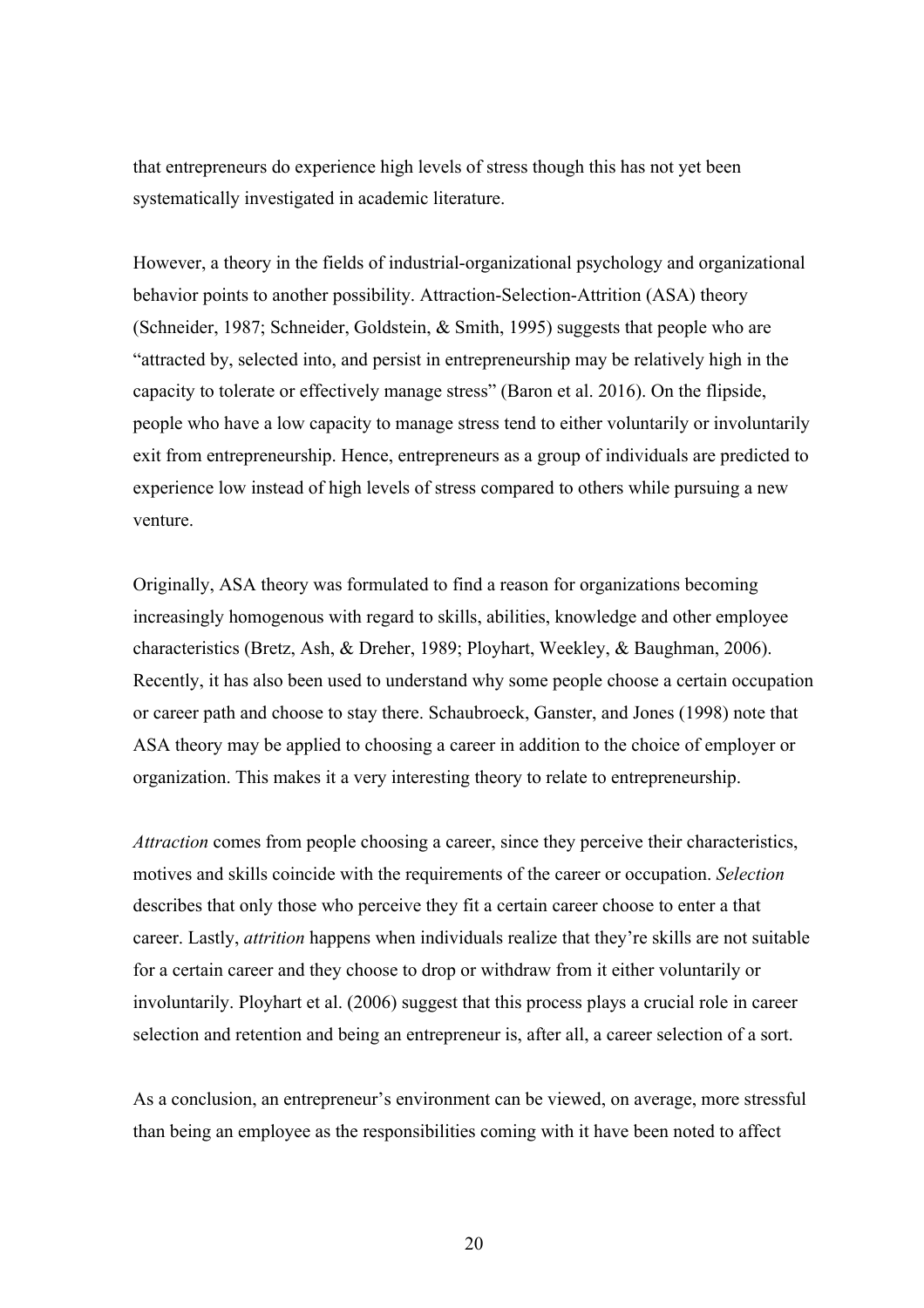that entrepreneurs do experience high levels of stress though this has not yet been systematically investigated in academic literature.

However, a theory in the fields of industrial-organizational psychology and organizational behavior points to another possibility. Attraction-Selection-Attrition (ASA) theory (Schneider, 1987; Schneider, Goldstein, & Smith, 1995) suggests that people who are "attracted by, selected into, and persist in entrepreneurship may be relatively high in the capacity to tolerate or effectively manage stress" (Baron et al. 2016). On the flipside, people who have a low capacity to manage stress tend to either voluntarily or involuntarily exit from entrepreneurship. Hence, entrepreneurs as a group of individuals are predicted to experience low instead of high levels of stress compared to others while pursuing a new venture.

Originally, ASA theory was formulated to find a reason for organizations becoming increasingly homogenous with regard to skills, abilities, knowledge and other employee characteristics (Bretz, Ash, & Dreher, 1989; Ployhart, Weekley, & Baughman, 2006). Recently, it has also been used to understand why some people choose a certain occupation or career path and choose to stay there. Schaubroeck, Ganster, and Jones (1998) note that ASA theory may be applied to choosing a career in addition to the choice of employer or organization. This makes it a very interesting theory to relate to entrepreneurship.

*Attraction* comes from people choosing a career, since they perceive their characteristics, motives and skills coincide with the requirements of the career or occupation. *Selection* describes that only those who perceive they fit a certain career choose to enter a that career. Lastly, *attrition* happens when individuals realize that they're skills are not suitable for a certain career and they choose to drop or withdraw from it either voluntarily or involuntarily. Ployhart et al. (2006) suggest that this process plays a crucial role in career selection and retention and being an entrepreneur is, after all, a career selection of a sort.

As a conclusion, an entrepreneur's environment can be viewed, on average, more stressful than being an employee as the responsibilities coming with it have been noted to affect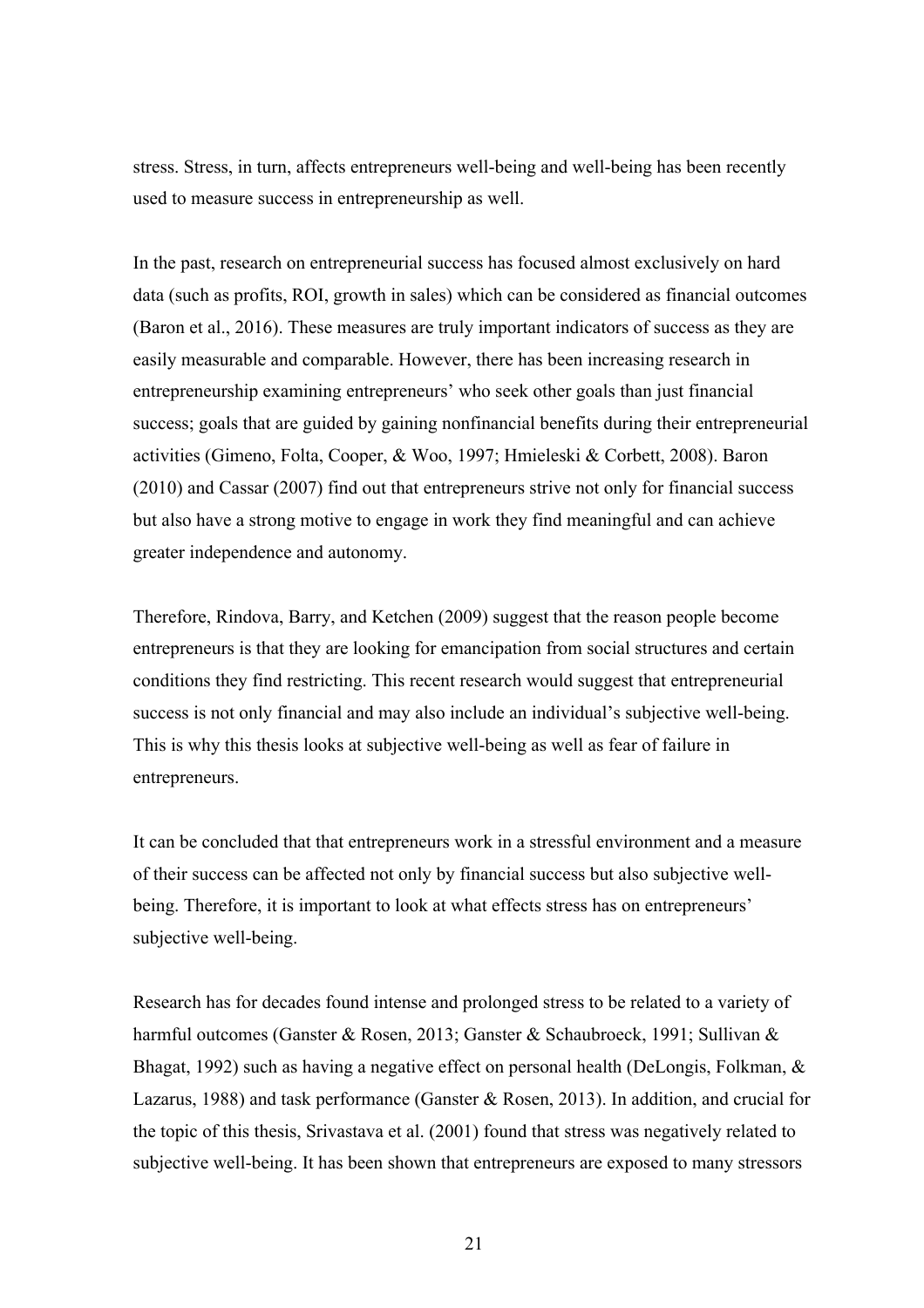stress. Stress, in turn, affects entrepreneurs well-being and well-being has been recently used to measure success in entrepreneurship as well.

In the past, research on entrepreneurial success has focused almost exclusively on hard data (such as profits, ROI, growth in sales) which can be considered as financial outcomes (Baron et al., 2016). These measures are truly important indicators of success as they are easily measurable and comparable. However, there has been increasing research in entrepreneurship examining entrepreneurs' who seek other goals than just financial success; goals that are guided by gaining nonfinancial benefits during their entrepreneurial activities (Gimeno, Folta, Cooper, & Woo, 1997; Hmieleski & Corbett, 2008). Baron (2010) and Cassar (2007) find out that entrepreneurs strive not only for financial success but also have a strong motive to engage in work they find meaningful and can achieve greater independence and autonomy.

Therefore, Rindova, Barry, and Ketchen (2009) suggest that the reason people become entrepreneurs is that they are looking for emancipation from social structures and certain conditions they find restricting. This recent research would suggest that entrepreneurial success is not only financial and may also include an individual's subjective well-being. This is why this thesis looks at subjective well-being as well as fear of failure in entrepreneurs.

It can be concluded that that entrepreneurs work in a stressful environment and a measure of their success can be affected not only by financial success but also subjective wellbeing. Therefore, it is important to look at what effects stress has on entrepreneurs' subjective well-being.

Research has for decades found intense and prolonged stress to be related to a variety of harmful outcomes (Ganster & Rosen, 2013; Ganster & Schaubroeck, 1991; Sullivan & Bhagat, 1992) such as having a negative effect on personal health (DeLongis, Folkman, & Lazarus, 1988) and task performance (Ganster & Rosen, 2013). In addition, and crucial for the topic of this thesis, Srivastava et al. (2001) found that stress was negatively related to subjective well-being. It has been shown that entrepreneurs are exposed to many stressors

21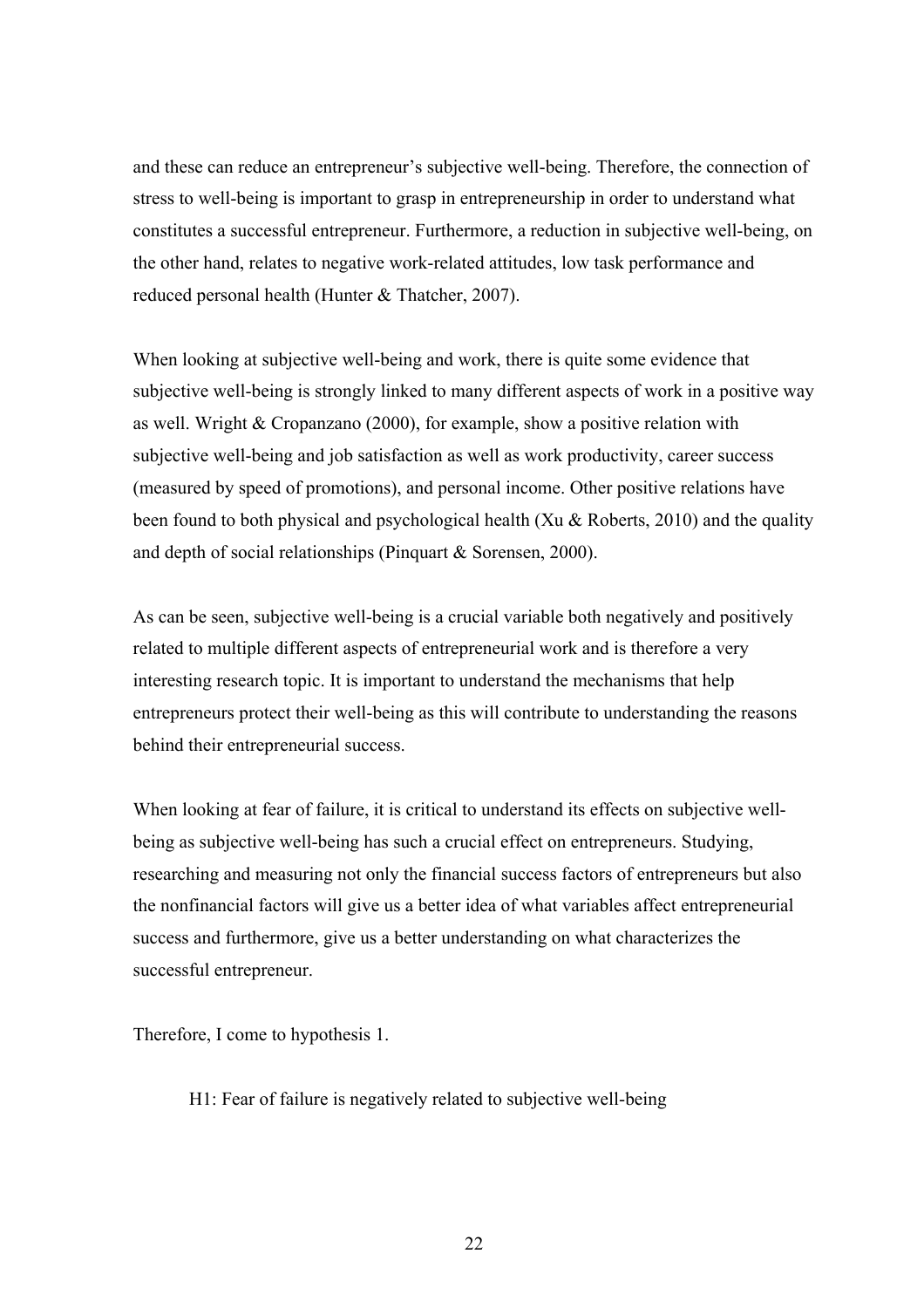and these can reduce an entrepreneur's subjective well-being. Therefore, the connection of stress to well-being is important to grasp in entrepreneurship in order to understand what constitutes a successful entrepreneur. Furthermore, a reduction in subjective well-being, on the other hand, relates to negative work-related attitudes, low task performance and reduced personal health (Hunter & Thatcher, 2007).

When looking at subjective well-being and work, there is quite some evidence that subjective well-being is strongly linked to many different aspects of work in a positive way as well. Wright & Cropanzano (2000), for example, show a positive relation with subjective well-being and job satisfaction as well as work productivity, career success (measured by speed of promotions), and personal income. Other positive relations have been found to both physical and psychological health (Xu & Roberts, 2010) and the quality and depth of social relationships (Pinquart & Sorensen, 2000).

As can be seen, subjective well-being is a crucial variable both negatively and positively related to multiple different aspects of entrepreneurial work and is therefore a very interesting research topic. It is important to understand the mechanisms that help entrepreneurs protect their well-being as this will contribute to understanding the reasons behind their entrepreneurial success.

When looking at fear of failure, it is critical to understand its effects on subjective wellbeing as subjective well-being has such a crucial effect on entrepreneurs. Studying, researching and measuring not only the financial success factors of entrepreneurs but also the nonfinancial factors will give us a better idea of what variables affect entrepreneurial success and furthermore, give us a better understanding on what characterizes the successful entrepreneur.

Therefore, I come to hypothesis 1.

H1: Fear of failure is negatively related to subjective well-being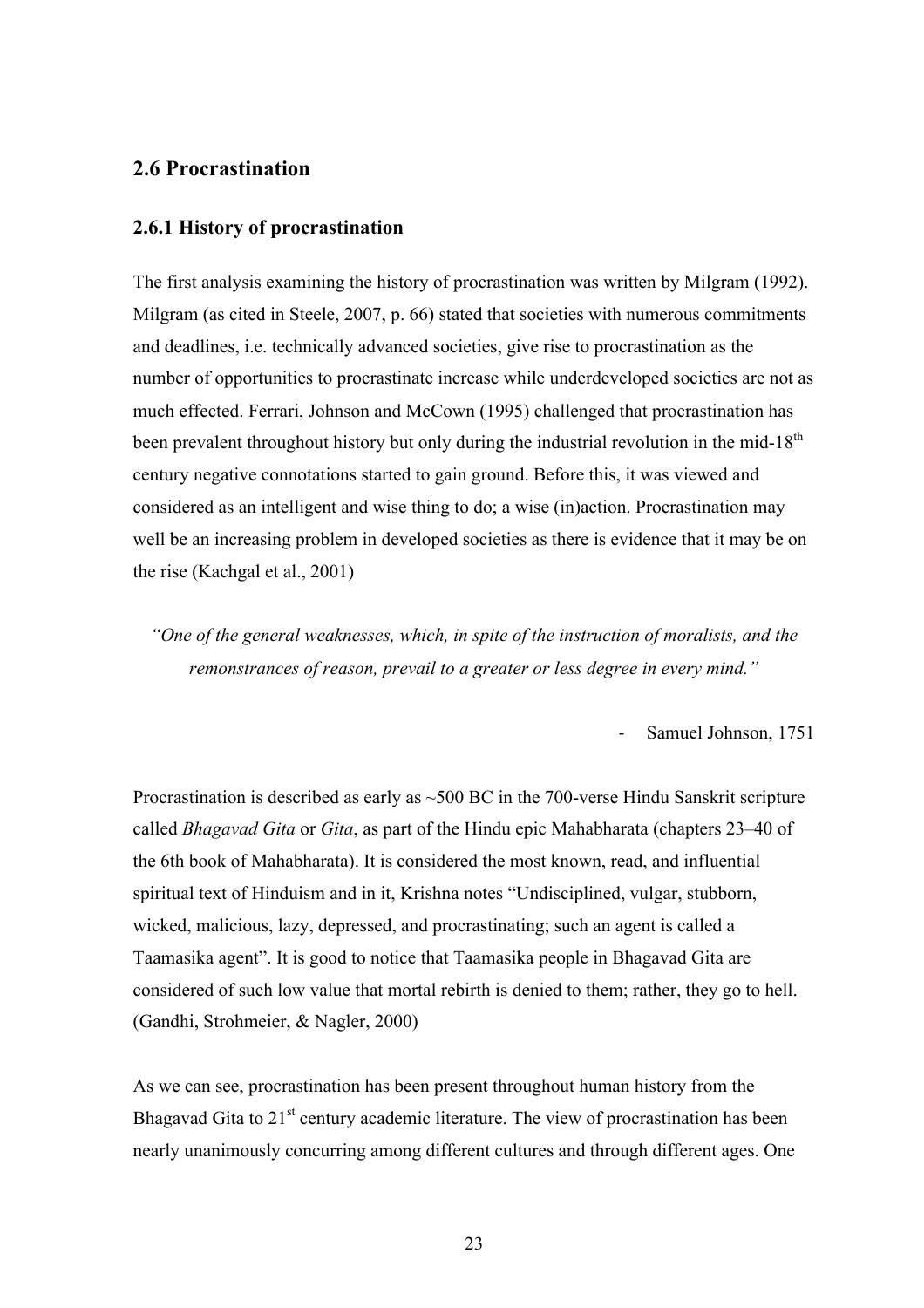## **2.6 Procrastination**

#### **2.6.1 History of procrastination**

The first analysis examining the history of procrastination was written by Milgram (1992). Milgram (as cited in Steele, 2007, p. 66) stated that societies with numerous commitments and deadlines, i.e. technically advanced societies, give rise to procrastination as the number of opportunities to procrastinate increase while underdeveloped societies are not as much effected. Ferrari, Johnson and McCown (1995) challenged that procrastination has been prevalent throughout history but only during the industrial revolution in the mid-18<sup>th</sup> century negative connotations started to gain ground. Before this, it was viewed and considered as an intelligent and wise thing to do; a wise (in)action. Procrastination may well be an increasing problem in developed societies as there is evidence that it may be on the rise (Kachgal et al., 2001)

*"One of the general weaknesses, which, in spite of the instruction of moralists, and the remonstrances of reason, prevail to a greater or less degree in every mind."*

Samuel Johnson, 1751

Procrastination is described as early as  $\sim$ 500 BC in the 700-verse Hindu Sanskrit scripture called *Bhagavad Gita* or *Gita*, as part of the Hindu epic Mahabharata (chapters 23–40 of the 6th book of Mahabharata). It is considered the most known, read, and influential spiritual text of Hinduism and in it, Krishna notes "Undisciplined, vulgar, stubborn, wicked, malicious, lazy, depressed, and procrastinating; such an agent is called a Taamasika agent". It is good to notice that Taamasika people in Bhagavad Gita are considered of such low value that mortal rebirth is denied to them; rather, they go to hell. (Gandhi, Strohmeier, & Nagler, 2000)

As we can see, procrastination has been present throughout human history from the Bhagavad Gita to  $21<sup>st</sup>$  century academic literature. The view of procrastination has been nearly unanimously concurring among different cultures and through different ages. One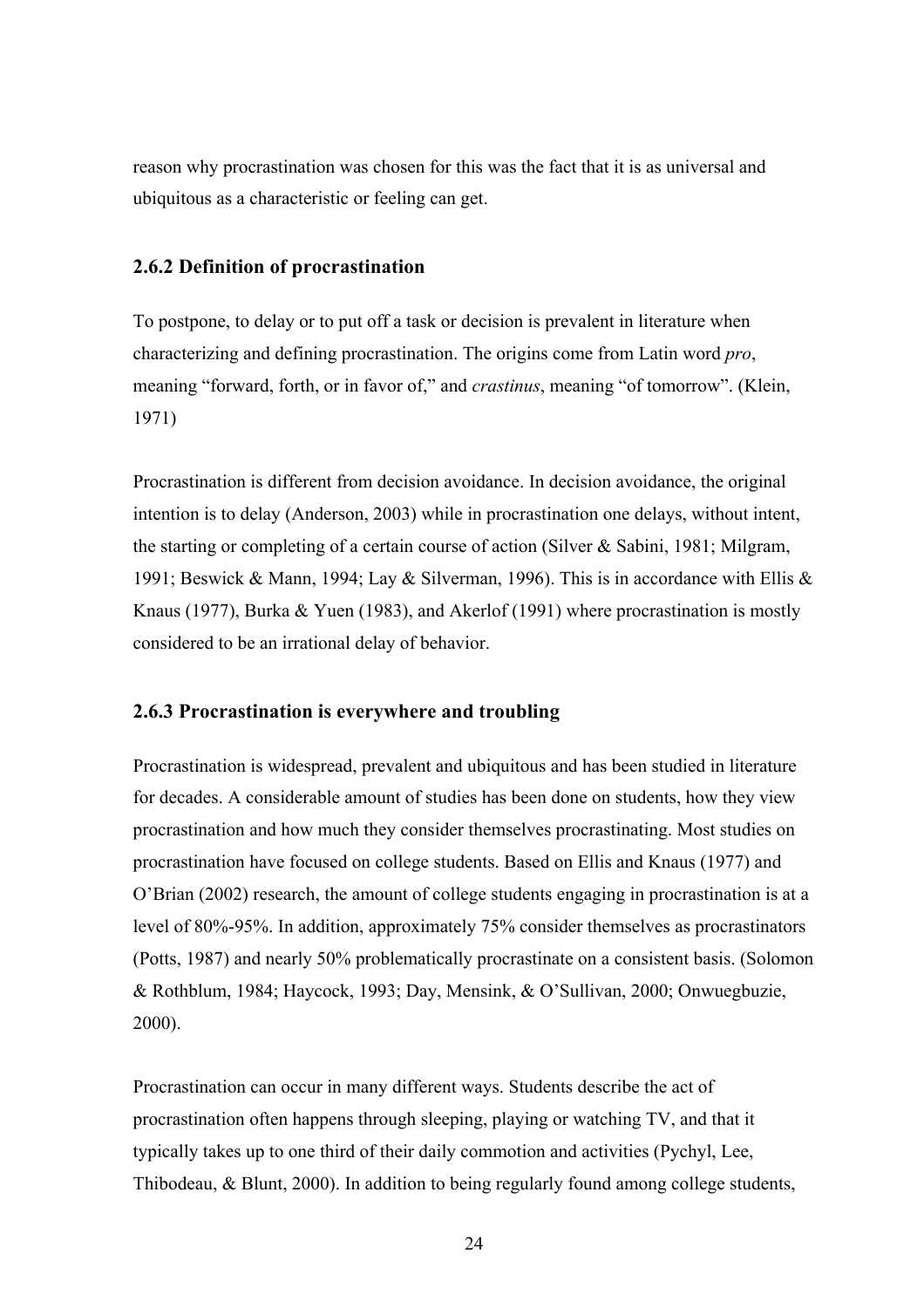reason why procrastination was chosen for this was the fact that it is as universal and ubiquitous as a characteristic or feeling can get.

#### **2.6.2 Definition of procrastination**

To postpone, to delay or to put off a task or decision is prevalent in literature when characterizing and defining procrastination. The origins come from Latin word *pro*, meaning "forward, forth, or in favor of," and *crastinus*, meaning "of tomorrow". (Klein, 1971)

Procrastination is different from decision avoidance. In decision avoidance, the original intention is to delay (Anderson, 2003) while in procrastination one delays, without intent, the starting or completing of a certain course of action (Silver & Sabini, 1981; Milgram, 1991; Beswick & Mann, 1994; Lay & Silverman, 1996). This is in accordance with Ellis & Knaus (1977), Burka & Yuen (1983), and Akerlof (1991) where procrastination is mostly considered to be an irrational delay of behavior.

#### **2.6.3 Procrastination is everywhere and troubling**

Procrastination is widespread, prevalent and ubiquitous and has been studied in literature for decades. A considerable amount of studies has been done on students, how they view procrastination and how much they consider themselves procrastinating. Most studies on procrastination have focused on college students. Based on Ellis and Knaus (1977) and O'Brian (2002) research, the amount of college students engaging in procrastination is at a level of 80%-95%. In addition, approximately 75% consider themselves as procrastinators (Potts, 1987) and nearly 50% problematically procrastinate on a consistent basis. (Solomon & Rothblum, 1984; Haycock, 1993; Day, Mensink, & O'Sullivan, 2000; Onwuegbuzie, 2000).

Procrastination can occur in many different ways. Students describe the act of procrastination often happens through sleeping, playing or watching TV, and that it typically takes up to one third of their daily commotion and activities (Pychyl, Lee, Thibodeau, & Blunt, 2000). In addition to being regularly found among college students,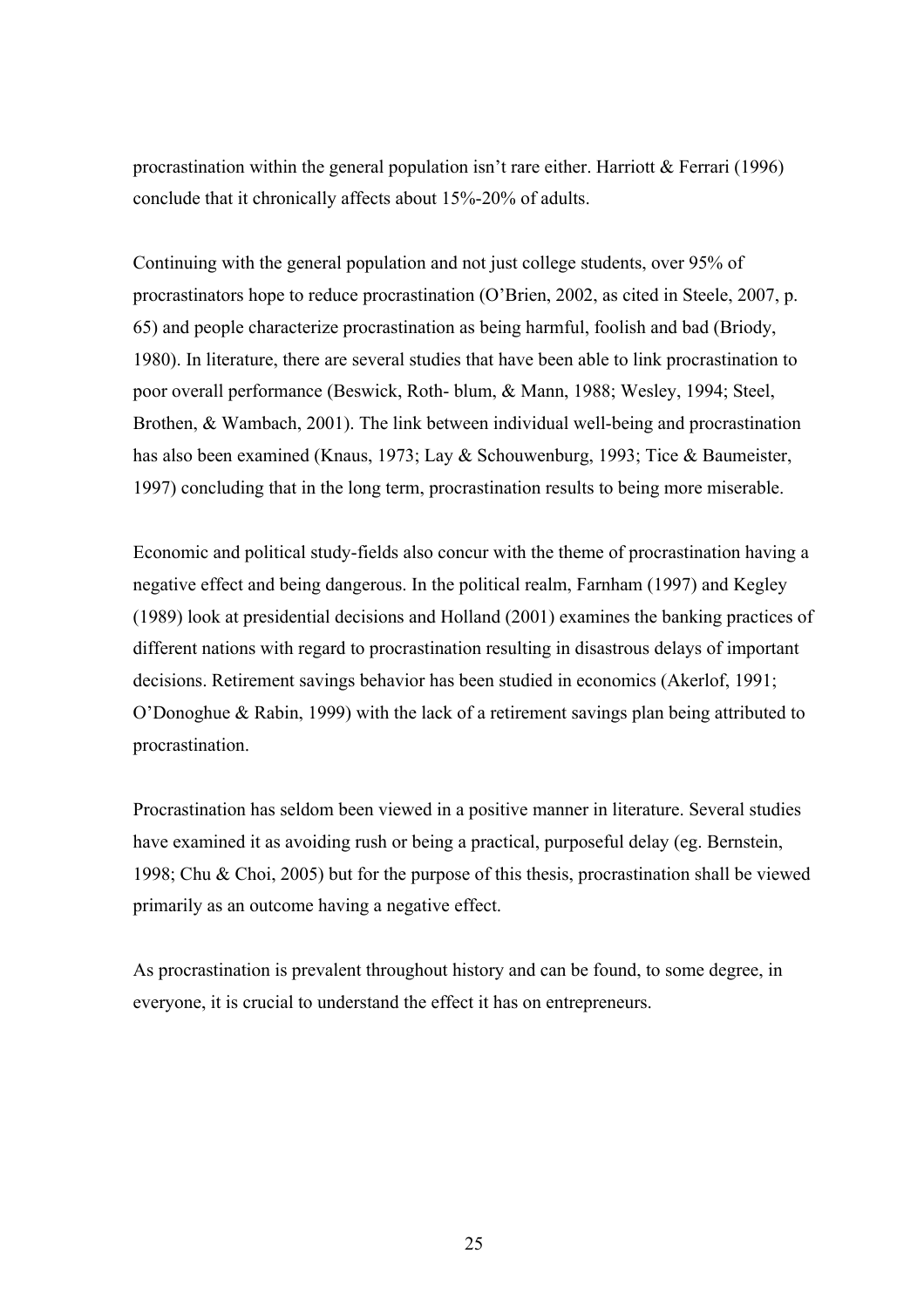procrastination within the general population isn't rare either. Harriott  $&$  Ferrari (1996) conclude that it chronically affects about 15%-20% of adults.

Continuing with the general population and not just college students, over 95% of procrastinators hope to reduce procrastination (O'Brien, 2002, as cited in Steele, 2007, p. 65) and people characterize procrastination as being harmful, foolish and bad (Briody, 1980). In literature, there are several studies that have been able to link procrastination to poor overall performance (Beswick, Roth- blum, & Mann, 1988; Wesley, 1994; Steel, Brothen, & Wambach, 2001). The link between individual well-being and procrastination has also been examined (Knaus, 1973; Lay & Schouwenburg, 1993; Tice & Baumeister, 1997) concluding that in the long term, procrastination results to being more miserable.

Economic and political study-fields also concur with the theme of procrastination having a negative effect and being dangerous. In the political realm, Farnham (1997) and Kegley (1989) look at presidential decisions and Holland (2001) examines the banking practices of different nations with regard to procrastination resulting in disastrous delays of important decisions. Retirement savings behavior has been studied in economics (Akerlof, 1991; O'Donoghue & Rabin, 1999) with the lack of a retirement savings plan being attributed to procrastination.

Procrastination has seldom been viewed in a positive manner in literature. Several studies have examined it as avoiding rush or being a practical, purposeful delay (eg. Bernstein, 1998; Chu & Choi, 2005) but for the purpose of this thesis, procrastination shall be viewed primarily as an outcome having a negative effect.

As procrastination is prevalent throughout history and can be found, to some degree, in everyone, it is crucial to understand the effect it has on entrepreneurs.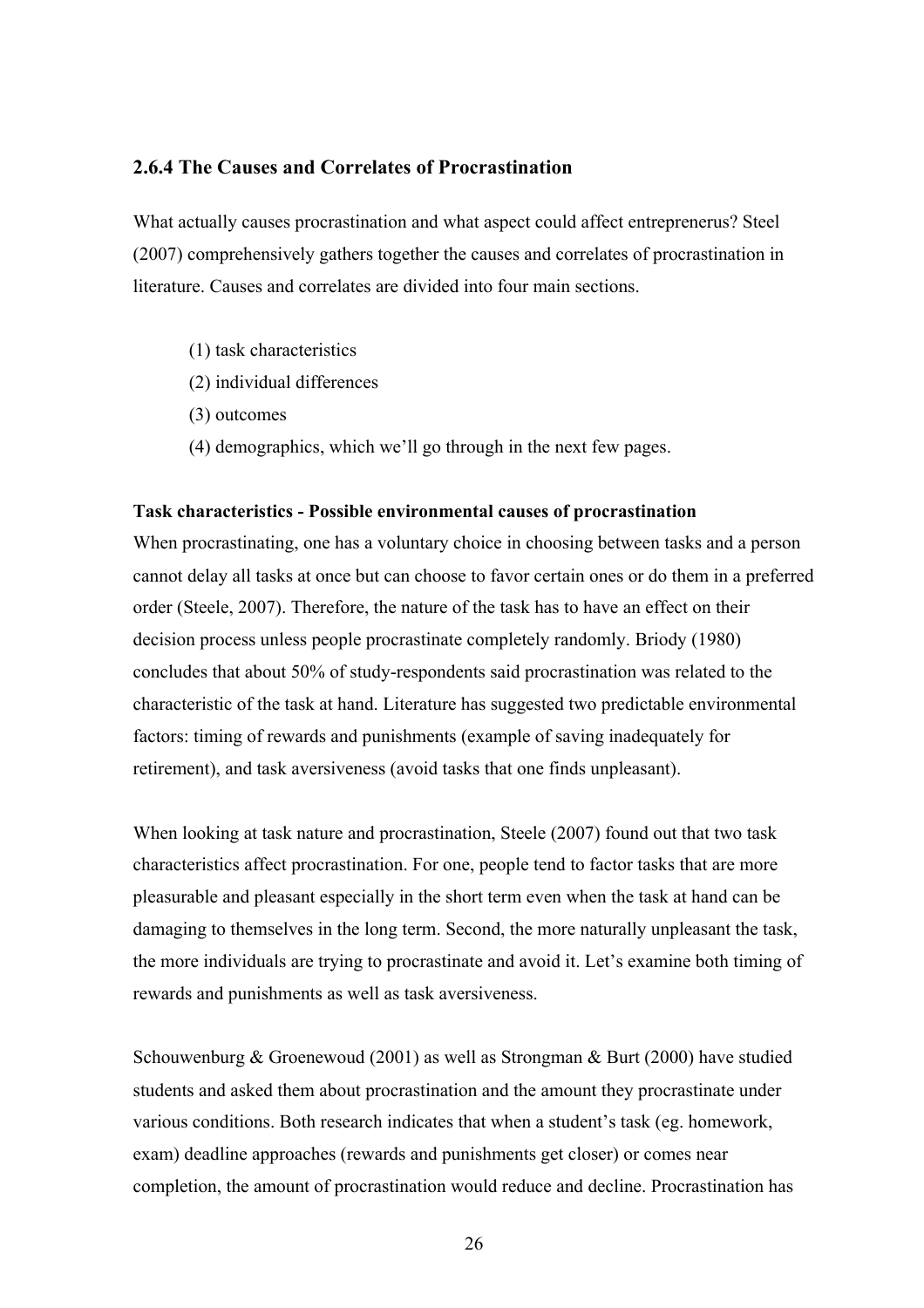#### **2.6.4 The Causes and Correlates of Procrastination**

What actually causes procrastination and what aspect could affect entreprenerus? Steel (2007) comprehensively gathers together the causes and correlates of procrastination in literature. Causes and correlates are divided into four main sections.

- (1) task characteristics
- (2) individual differences
- (3) outcomes
- (4) demographics, which we'll go through in the next few pages.

#### **Task characteristics - Possible environmental causes of procrastination**

When procrastinating, one has a voluntary choice in choosing between tasks and a person cannot delay all tasks at once but can choose to favor certain ones or do them in a preferred order (Steele, 2007). Therefore, the nature of the task has to have an effect on their decision process unless people procrastinate completely randomly. Briody (1980) concludes that about 50% of study-respondents said procrastination was related to the characteristic of the task at hand. Literature has suggested two predictable environmental factors: timing of rewards and punishments (example of saving inadequately for retirement), and task aversiveness (avoid tasks that one finds unpleasant).

When looking at task nature and procrastination, Steele (2007) found out that two task characteristics affect procrastination. For one, people tend to factor tasks that are more pleasurable and pleasant especially in the short term even when the task at hand can be damaging to themselves in the long term. Second, the more naturally unpleasant the task, the more individuals are trying to procrastinate and avoid it. Let's examine both timing of rewards and punishments as well as task aversiveness.

Schouwenburg & Groenewoud (2001) as well as Strongman & Burt (2000) have studied students and asked them about procrastination and the amount they procrastinate under various conditions. Both research indicates that when a student's task (eg. homework, exam) deadline approaches (rewards and punishments get closer) or comes near completion, the amount of procrastination would reduce and decline. Procrastination has

26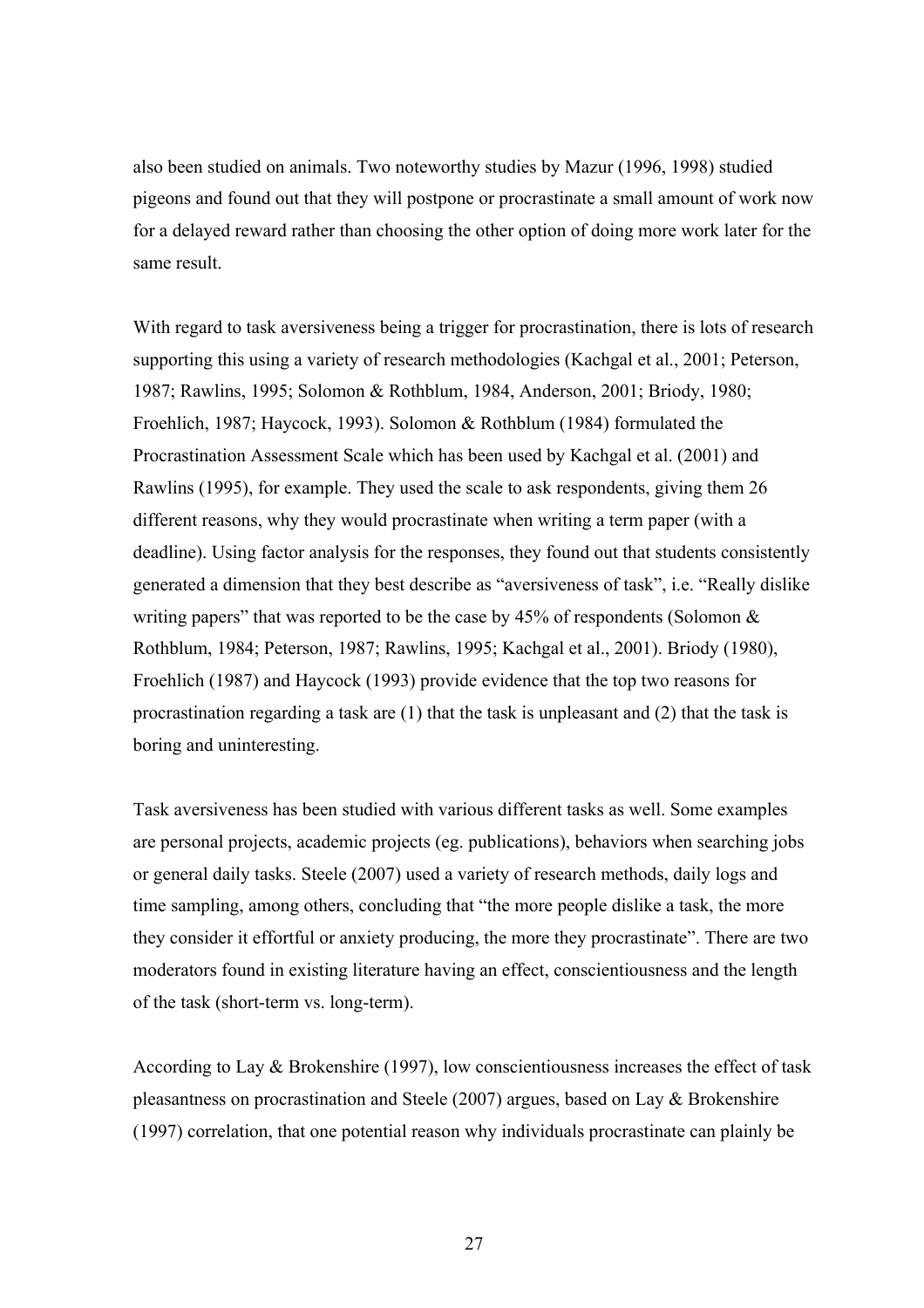also been studied on animals. Two noteworthy studies by Mazur (1996, 1998) studied pigeons and found out that they will postpone or procrastinate a small amount of work now for a delayed reward rather than choosing the other option of doing more work later for the same result.

With regard to task aversiveness being a trigger for procrastination, there is lots of research supporting this using a variety of research methodologies (Kachgal et al., 2001; Peterson, 1987; Rawlins, 1995; Solomon & Rothblum, 1984, Anderson, 2001; Briody, 1980; Froehlich, 1987; Haycock, 1993). Solomon & Rothblum (1984) formulated the Procrastination Assessment Scale which has been used by Kachgal et al. (2001) and Rawlins (1995), for example. They used the scale to ask respondents, giving them 26 different reasons, why they would procrastinate when writing a term paper (with a deadline). Using factor analysis for the responses, they found out that students consistently generated a dimension that they best describe as "aversiveness of task", i.e. "Really dislike writing papers" that was reported to be the case by 45% of respondents (Solomon  $\&$ Rothblum, 1984; Peterson, 1987; Rawlins, 1995; Kachgal et al., 2001). Briody (1980), Froehlich (1987) and Haycock (1993) provide evidence that the top two reasons for procrastination regarding a task are (1) that the task is unpleasant and (2) that the task is boring and uninteresting.

Task aversiveness has been studied with various different tasks as well. Some examples are personal projects, academic projects (eg. publications), behaviors when searching jobs or general daily tasks. Steele (2007) used a variety of research methods, daily logs and time sampling, among others, concluding that "the more people dislike a task, the more they consider it effortful or anxiety producing, the more they procrastinate". There are two moderators found in existing literature having an effect, conscientiousness and the length of the task (short-term vs. long-term).

According to Lay & Brokenshire (1997), low conscientiousness increases the effect of task pleasantness on procrastination and Steele (2007) argues, based on Lay & Brokenshire (1997) correlation, that one potential reason why individuals procrastinate can plainly be

27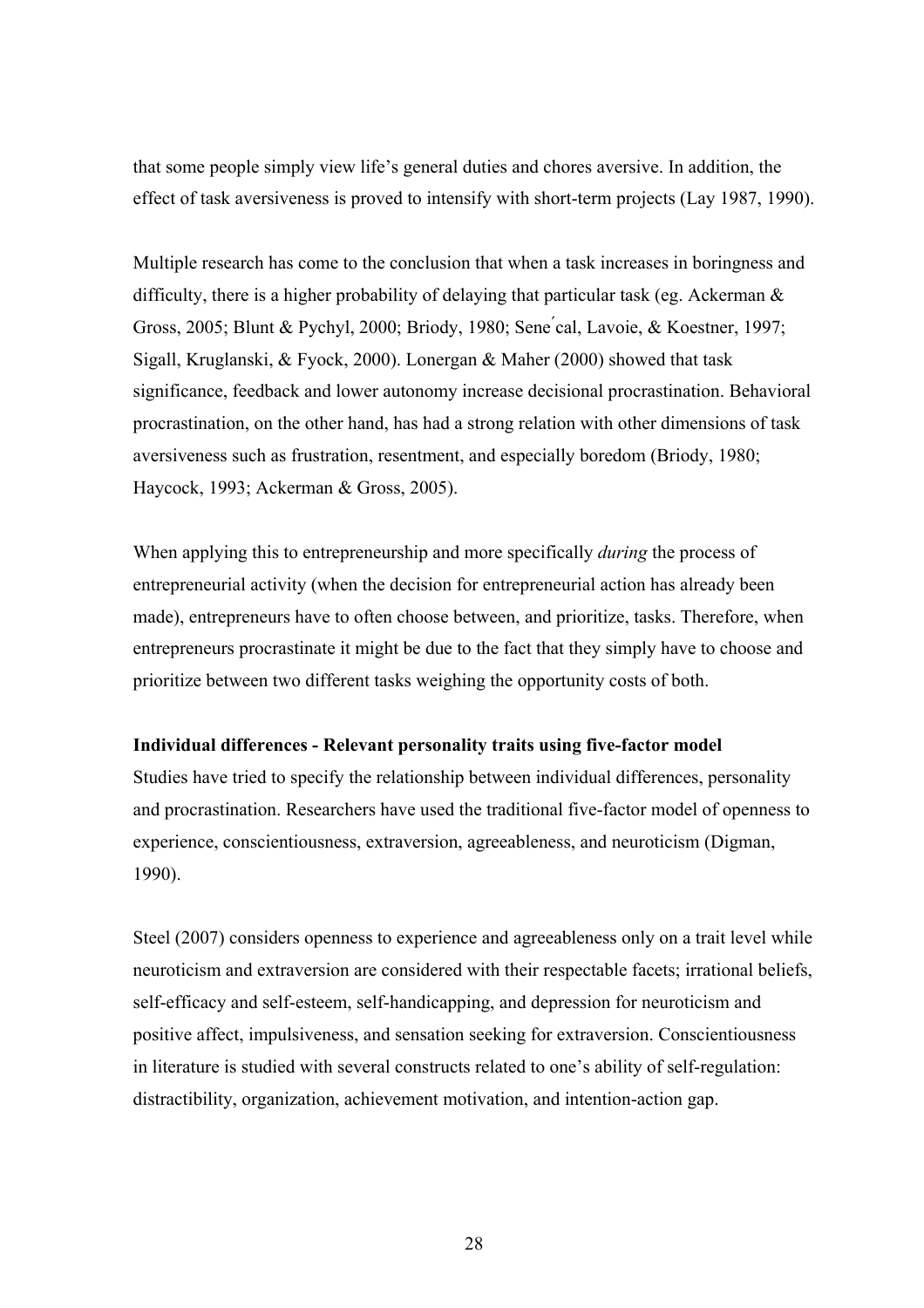that some people simply view life's general duties and chores aversive. In addition, the effect of task aversiveness is proved to intensify with short-term projects (Lay 1987, 1990).

Multiple research has come to the conclusion that when a task increases in boringness and difficulty, there is a higher probability of delaying that particular task (eg. Ackerman & Gross, 2005; Blunt & Pychyl, 2000; Briody, 1980; Sene ́cal, Lavoie, & Koestner, 1997; Sigall, Kruglanski, & Fyock, 2000). Lonergan & Maher (2000) showed that task significance, feedback and lower autonomy increase decisional procrastination. Behavioral procrastination, on the other hand, has had a strong relation with other dimensions of task aversiveness such as frustration, resentment, and especially boredom (Briody, 1980; Haycock, 1993; Ackerman & Gross, 2005).

When applying this to entrepreneurship and more specifically *during* the process of entrepreneurial activity (when the decision for entrepreneurial action has already been made), entrepreneurs have to often choose between, and prioritize, tasks. Therefore, when entrepreneurs procrastinate it might be due to the fact that they simply have to choose and prioritize between two different tasks weighing the opportunity costs of both.

#### **Individual differences - Relevant personality traits using five-factor model**

Studies have tried to specify the relationship between individual differences, personality and procrastination. Researchers have used the traditional five-factor model of openness to experience, conscientiousness, extraversion, agreeableness, and neuroticism (Digman, 1990).

Steel (2007) considers openness to experience and agreeableness only on a trait level while neuroticism and extraversion are considered with their respectable facets; irrational beliefs, self-efficacy and self-esteem, self-handicapping, and depression for neuroticism and positive affect, impulsiveness, and sensation seeking for extraversion. Conscientiousness in literature is studied with several constructs related to one's ability of self-regulation: distractibility, organization, achievement motivation, and intention-action gap.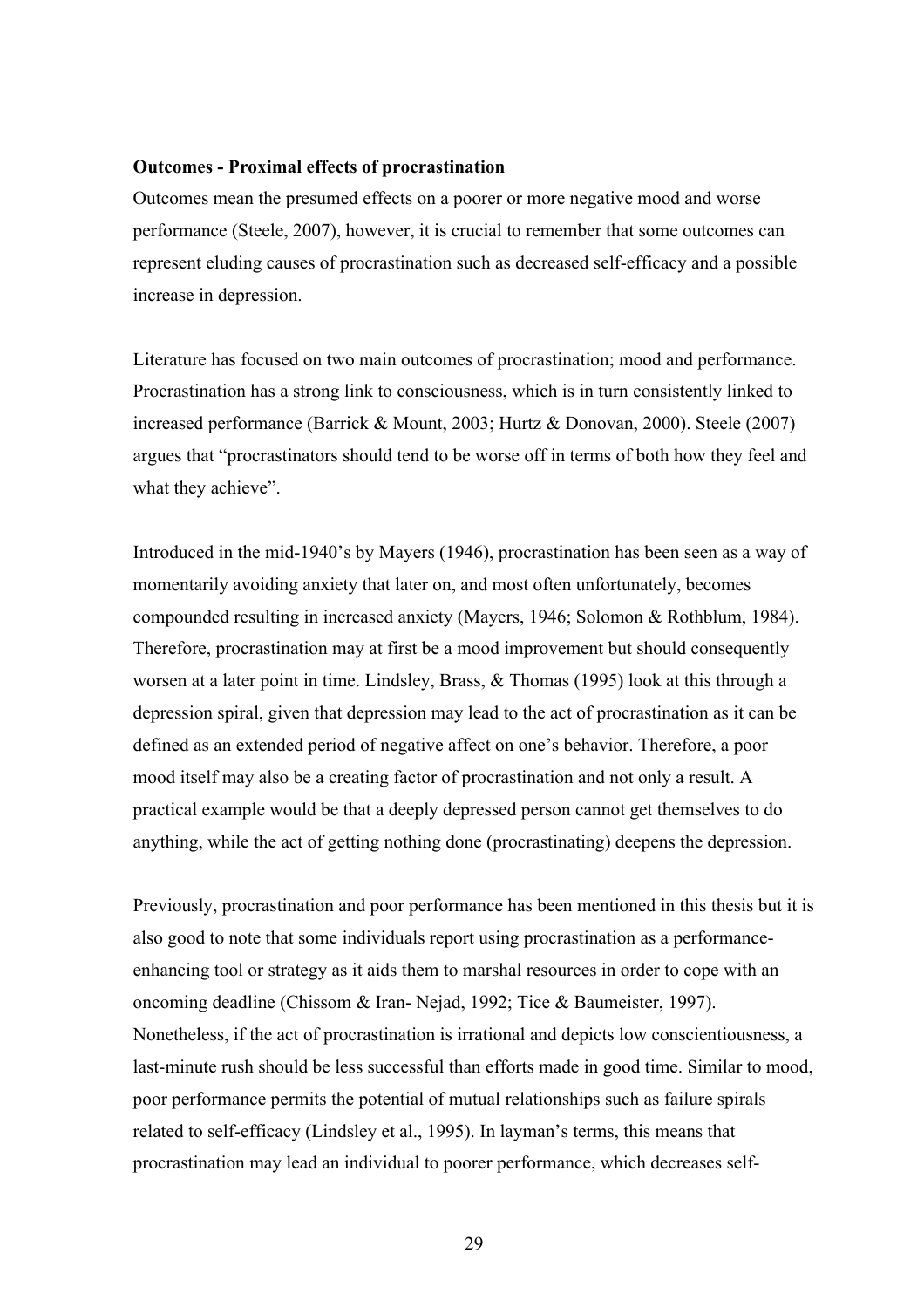#### **Outcomes - Proximal effects of procrastination**

Outcomes mean the presumed effects on a poorer or more negative mood and worse performance (Steele, 2007), however, it is crucial to remember that some outcomes can represent eluding causes of procrastination such as decreased self-efficacy and a possible increase in depression.

Literature has focused on two main outcomes of procrastination; mood and performance. Procrastination has a strong link to consciousness, which is in turn consistently linked to increased performance (Barrick & Mount, 2003; Hurtz & Donovan, 2000). Steele (2007) argues that "procrastinators should tend to be worse off in terms of both how they feel and what they achieve".

Introduced in the mid-1940's by Mayers (1946), procrastination has been seen as a way of momentarily avoiding anxiety that later on, and most often unfortunately, becomes compounded resulting in increased anxiety (Mayers, 1946; Solomon & Rothblum, 1984). Therefore, procrastination may at first be a mood improvement but should consequently worsen at a later point in time. Lindsley, Brass, & Thomas (1995) look at this through a depression spiral, given that depression may lead to the act of procrastination as it can be defined as an extended period of negative affect on one's behavior. Therefore, a poor mood itself may also be a creating factor of procrastination and not only a result. A practical example would be that a deeply depressed person cannot get themselves to do anything, while the act of getting nothing done (procrastinating) deepens the depression.

Previously, procrastination and poor performance has been mentioned in this thesis but it is also good to note that some individuals report using procrastination as a performanceenhancing tool or strategy as it aids them to marshal resources in order to cope with an oncoming deadline (Chissom & Iran- Nejad, 1992; Tice & Baumeister, 1997). Nonetheless, if the act of procrastination is irrational and depicts low conscientiousness, a last-minute rush should be less successful than efforts made in good time. Similar to mood, poor performance permits the potential of mutual relationships such as failure spirals related to self-efficacy (Lindsley et al., 1995). In layman's terms, this means that procrastination may lead an individual to poorer performance, which decreases self-

29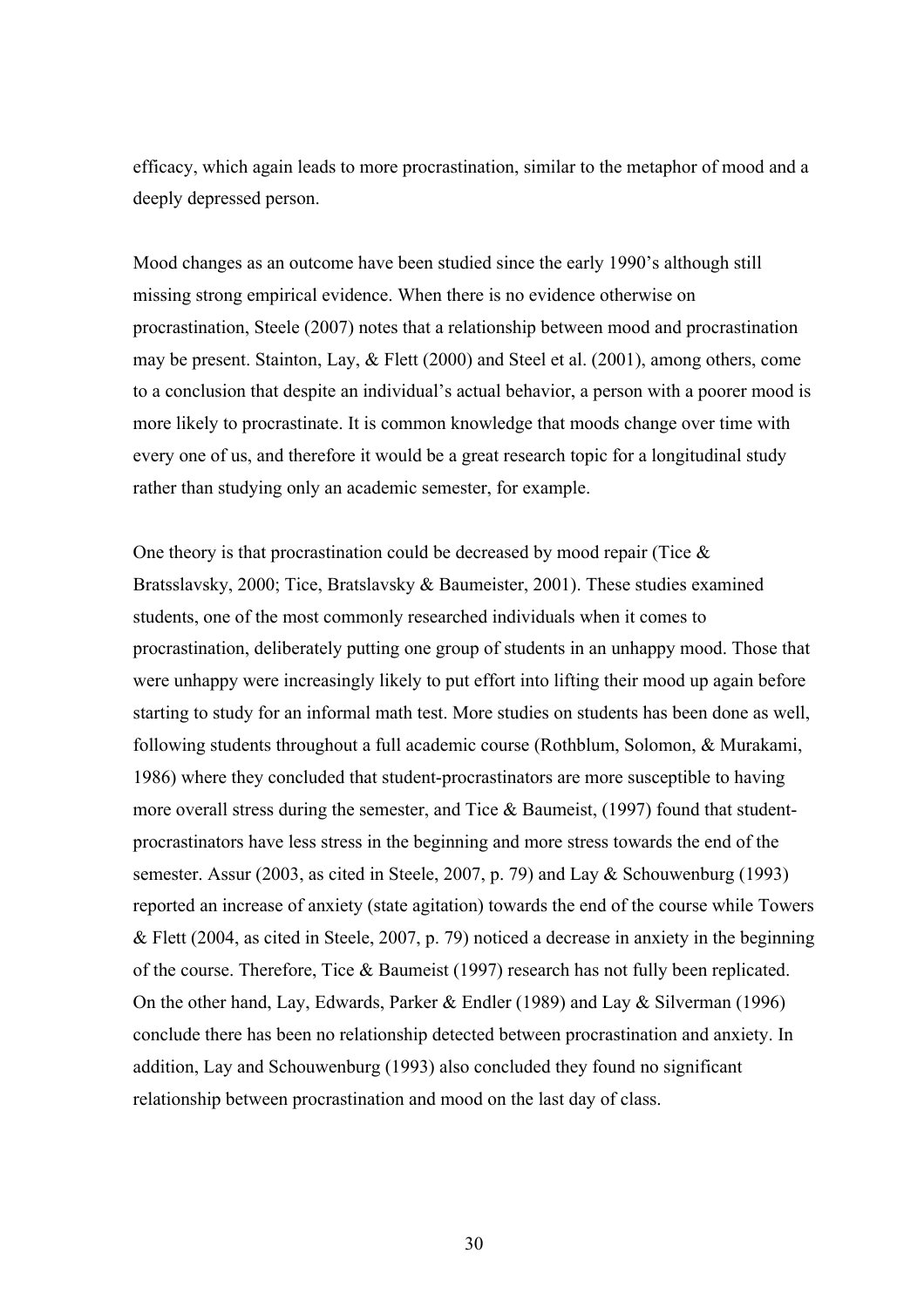efficacy, which again leads to more procrastination, similar to the metaphor of mood and a deeply depressed person.

Mood changes as an outcome have been studied since the early 1990's although still missing strong empirical evidence. When there is no evidence otherwise on procrastination, Steele (2007) notes that a relationship between mood and procrastination may be present. Stainton, Lay, & Flett (2000) and Steel et al. (2001), among others, come to a conclusion that despite an individual's actual behavior, a person with a poorer mood is more likely to procrastinate. It is common knowledge that moods change over time with every one of us, and therefore it would be a great research topic for a longitudinal study rather than studying only an academic semester, for example.

One theory is that procrastination could be decreased by mood repair (Tice  $\&$ Bratsslavsky, 2000; Tice, Bratslavsky & Baumeister, 2001). These studies examined students, one of the most commonly researched individuals when it comes to procrastination, deliberately putting one group of students in an unhappy mood. Those that were unhappy were increasingly likely to put effort into lifting their mood up again before starting to study for an informal math test. More studies on students has been done as well, following students throughout a full academic course (Rothblum, Solomon, & Murakami, 1986) where they concluded that student-procrastinators are more susceptible to having more overall stress during the semester, and Tice & Baumeist, (1997) found that studentprocrastinators have less stress in the beginning and more stress towards the end of the semester. Assur (2003, as cited in Steele, 2007, p. 79) and Lay & Schouwenburg (1993) reported an increase of anxiety (state agitation) towards the end of the course while Towers & Flett (2004, as cited in Steele, 2007, p. 79) noticed a decrease in anxiety in the beginning of the course. Therefore, Tice & Baumeist (1997) research has not fully been replicated. On the other hand, Lay, Edwards, Parker & Endler (1989) and Lay & Silverman (1996) conclude there has been no relationship detected between procrastination and anxiety. In addition, Lay and Schouwenburg (1993) also concluded they found no significant relationship between procrastination and mood on the last day of class.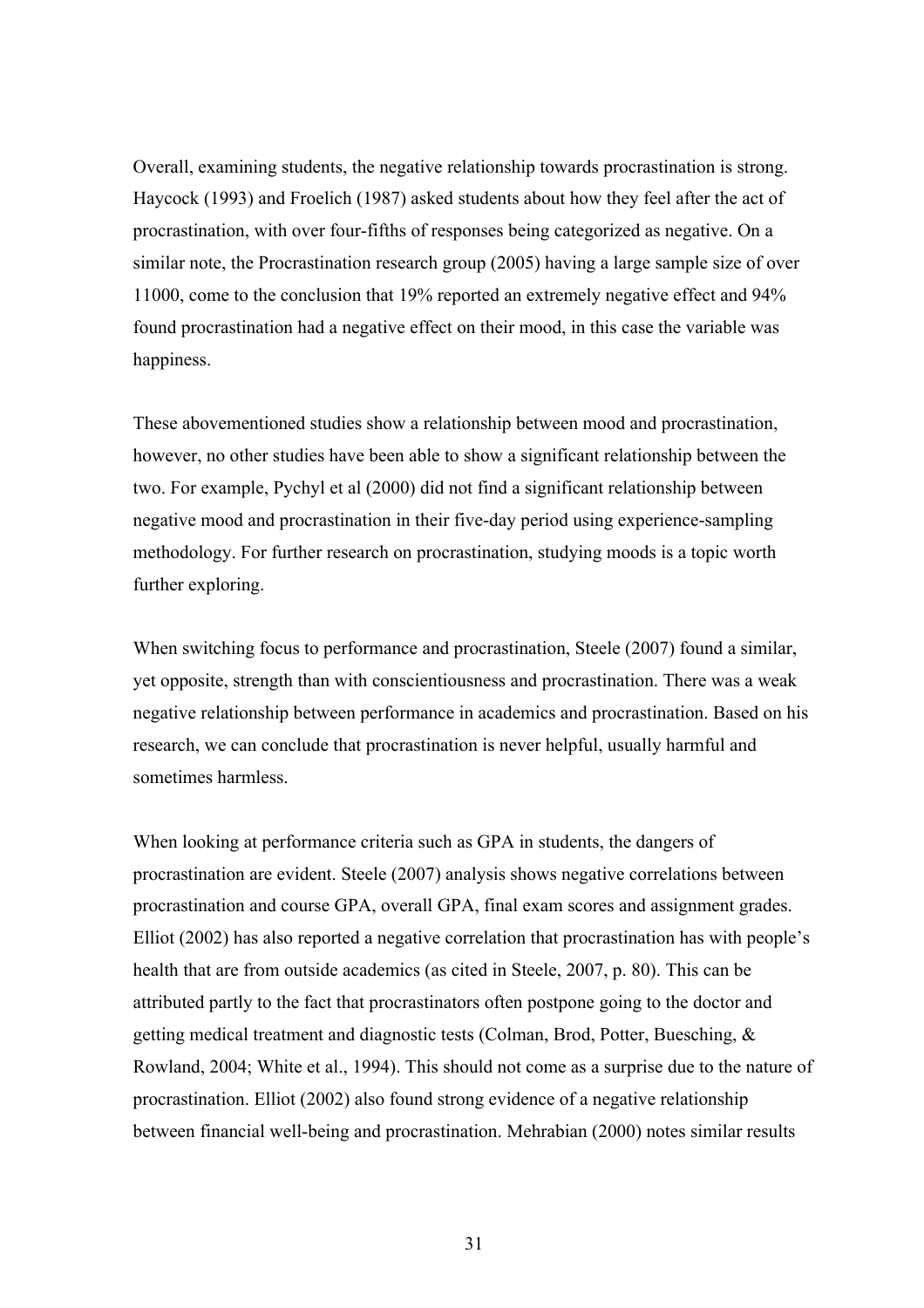Overall, examining students, the negative relationship towards procrastination is strong. Haycock (1993) and Froelich (1987) asked students about how they feel after the act of procrastination, with over four-fifths of responses being categorized as negative. On a similar note, the Procrastination research group (2005) having a large sample size of over 11000, come to the conclusion that 19% reported an extremely negative effect and 94% found procrastination had a negative effect on their mood, in this case the variable was happiness.

These abovementioned studies show a relationship between mood and procrastination, however, no other studies have been able to show a significant relationship between the two. For example, Pychyl et al (2000) did not find a significant relationship between negative mood and procrastination in their five-day period using experience-sampling methodology. For further research on procrastination, studying moods is a topic worth further exploring.

When switching focus to performance and procrastination, Steele (2007) found a similar, yet opposite, strength than with conscientiousness and procrastination. There was a weak negative relationship between performance in academics and procrastination. Based on his research, we can conclude that procrastination is never helpful, usually harmful and sometimes harmless.

When looking at performance criteria such as GPA in students, the dangers of procrastination are evident. Steele (2007) analysis shows negative correlations between procrastination and course GPA, overall GPA, final exam scores and assignment grades. Elliot (2002) has also reported a negative correlation that procrastination has with people's health that are from outside academics (as cited in Steele, 2007, p. 80). This can be attributed partly to the fact that procrastinators often postpone going to the doctor and getting medical treatment and diagnostic tests (Colman, Brod, Potter, Buesching, & Rowland, 2004; White et al., 1994). This should not come as a surprise due to the nature of procrastination. Elliot (2002) also found strong evidence of a negative relationship between financial well-being and procrastination. Mehrabian (2000) notes similar results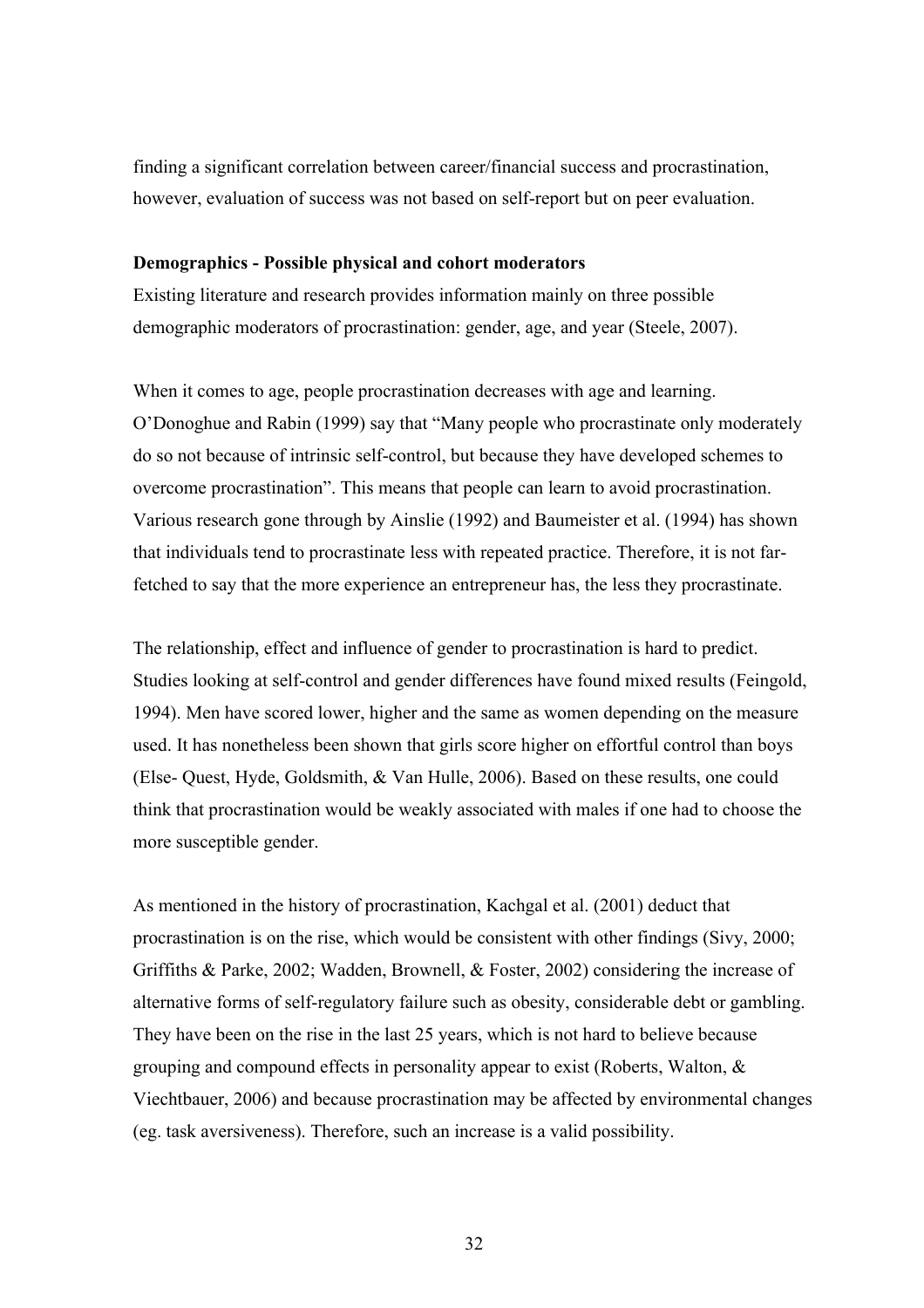finding a significant correlation between career/financial success and procrastination, however, evaluation of success was not based on self-report but on peer evaluation.

#### **Demographics - Possible physical and cohort moderators**

Existing literature and research provides information mainly on three possible demographic moderators of procrastination: gender, age, and year (Steele, 2007).

When it comes to age, people procrastination decreases with age and learning. O'Donoghue and Rabin (1999) say that "Many people who procrastinate only moderately do so not because of intrinsic self-control, but because they have developed schemes to overcome procrastination". This means that people can learn to avoid procrastination. Various research gone through by Ainslie (1992) and Baumeister et al. (1994) has shown that individuals tend to procrastinate less with repeated practice. Therefore, it is not farfetched to say that the more experience an entrepreneur has, the less they procrastinate.

The relationship, effect and influence of gender to procrastination is hard to predict. Studies looking at self-control and gender differences have found mixed results (Feingold, 1994). Men have scored lower, higher and the same as women depending on the measure used. It has nonetheless been shown that girls score higher on effortful control than boys (Else- Quest, Hyde, Goldsmith, & Van Hulle, 2006). Based on these results, one could think that procrastination would be weakly associated with males if one had to choose the more susceptible gender.

As mentioned in the history of procrastination, Kachgal et al. (2001) deduct that procrastination is on the rise, which would be consistent with other findings (Sivy, 2000; Griffiths & Parke, 2002; Wadden, Brownell, & Foster, 2002) considering the increase of alternative forms of self-regulatory failure such as obesity, considerable debt or gambling. They have been on the rise in the last 25 years, which is not hard to believe because grouping and compound effects in personality appear to exist (Roberts, Walton, & Viechtbauer, 2006) and because procrastination may be affected by environmental changes (eg. task aversiveness). Therefore, such an increase is a valid possibility.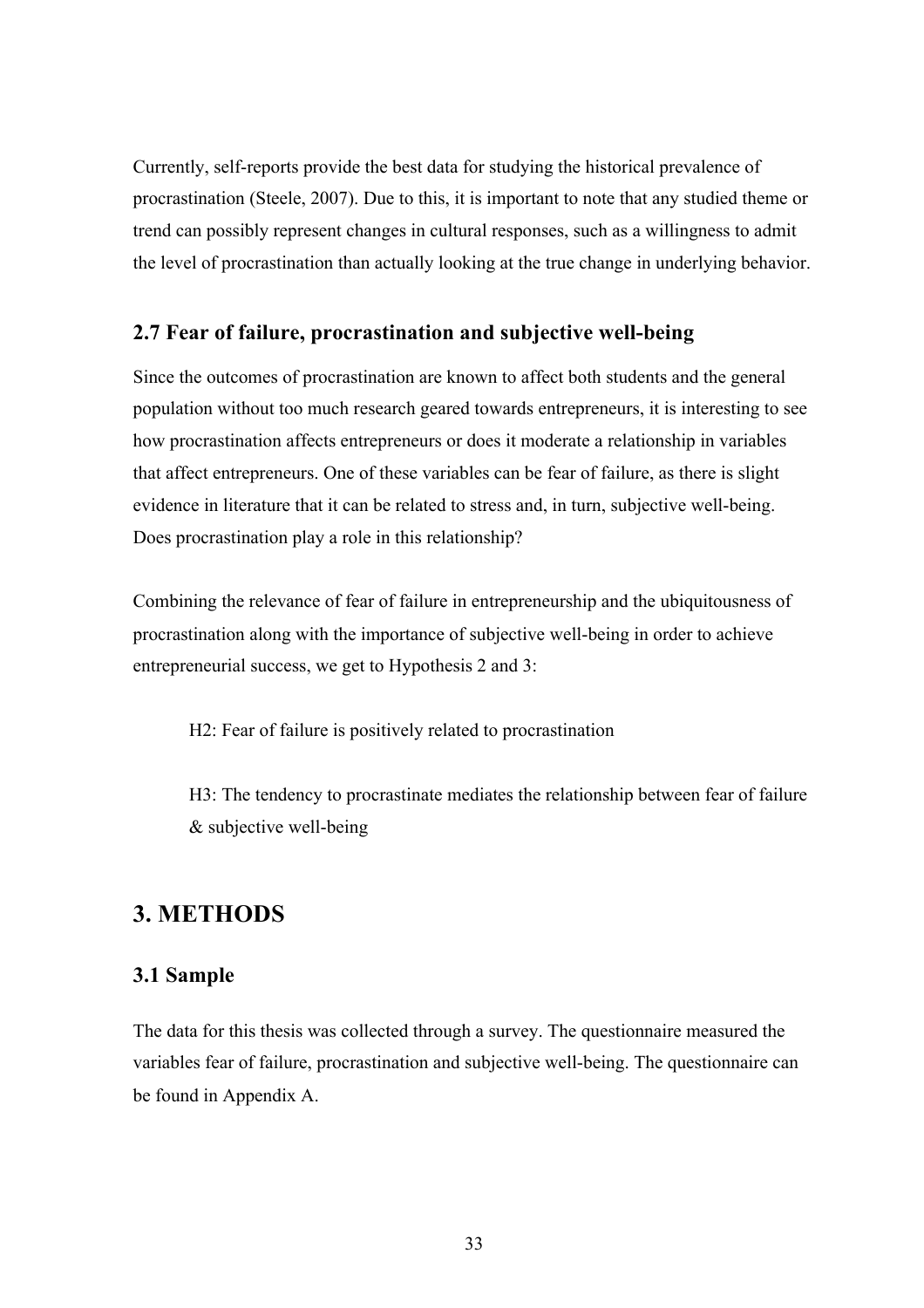Currently, self-reports provide the best data for studying the historical prevalence of procrastination (Steele, 2007). Due to this, it is important to note that any studied theme or trend can possibly represent changes in cultural responses, such as a willingness to admit the level of procrastination than actually looking at the true change in underlying behavior.

## **2.7 Fear of failure, procrastination and subjective well-being**

Since the outcomes of procrastination are known to affect both students and the general population without too much research geared towards entrepreneurs, it is interesting to see how procrastination affects entrepreneurs or does it moderate a relationship in variables that affect entrepreneurs. One of these variables can be fear of failure, as there is slight evidence in literature that it can be related to stress and, in turn, subjective well-being. Does procrastination play a role in this relationship?

Combining the relevance of fear of failure in entrepreneurship and the ubiquitousness of procrastination along with the importance of subjective well-being in order to achieve entrepreneurial success, we get to Hypothesis 2 and 3:

H2: Fear of failure is positively related to procrastination

H3: The tendency to procrastinate mediates the relationship between fear of failure & subjective well-being

# **3. METHODS**

## **3.1 Sample**

The data for this thesis was collected through a survey. The questionnaire measured the variables fear of failure, procrastination and subjective well-being. The questionnaire can be found in Appendix A.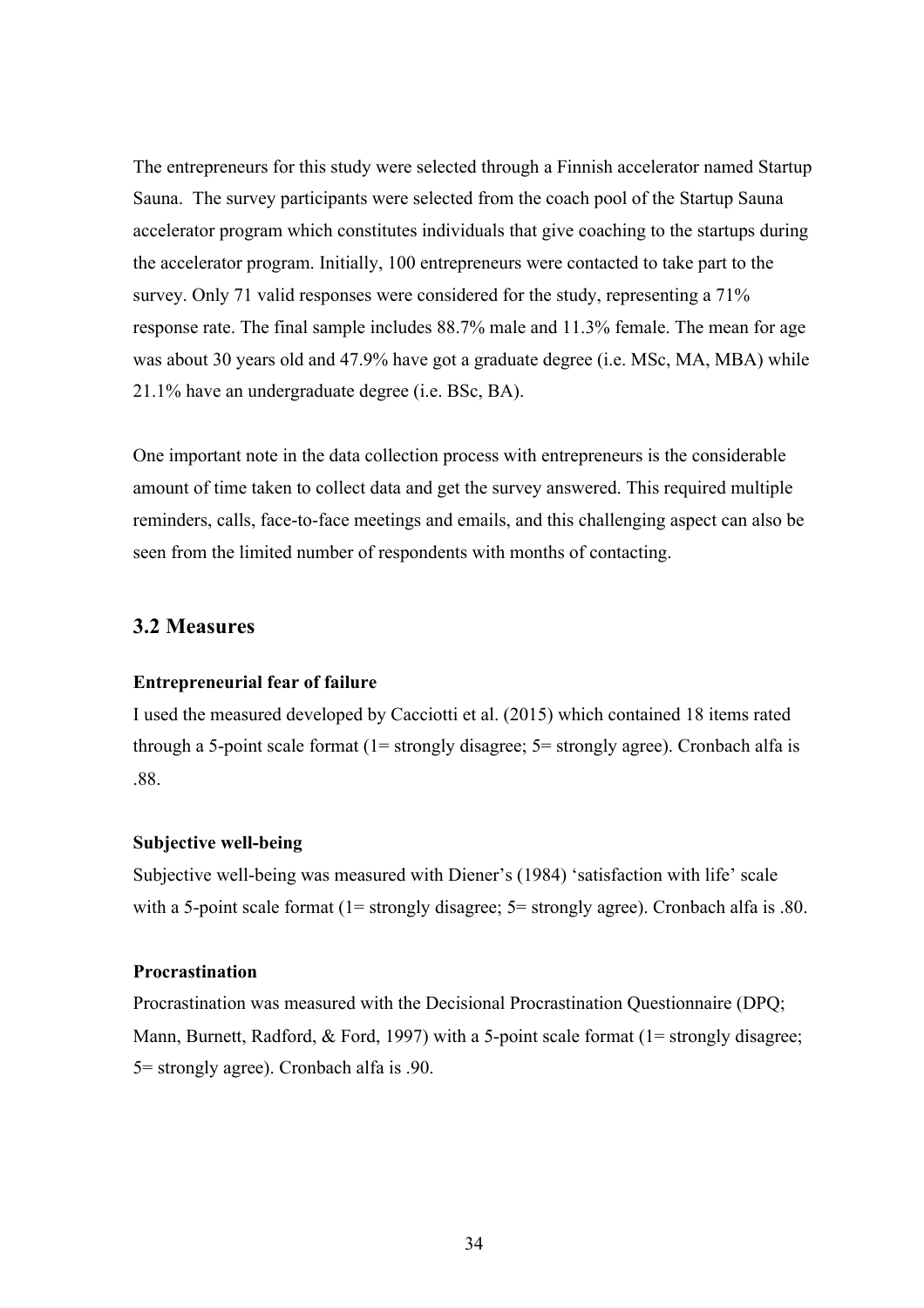The entrepreneurs for this study were selected through a Finnish accelerator named Startup Sauna. The survey participants were selected from the coach pool of the Startup Sauna accelerator program which constitutes individuals that give coaching to the startups during the accelerator program. Initially, 100 entrepreneurs were contacted to take part to the survey. Only 71 valid responses were considered for the study, representing a 71% response rate. The final sample includes 88.7% male and 11.3% female. The mean for age was about 30 years old and 47.9% have got a graduate degree (i.e. MSc, MA, MBA) while 21.1% have an undergraduate degree (i.e. BSc, BA).

One important note in the data collection process with entrepreneurs is the considerable amount of time taken to collect data and get the survey answered. This required multiple reminders, calls, face-to-face meetings and emails, and this challenging aspect can also be seen from the limited number of respondents with months of contacting.

## **3.2 Measures**

#### **Entrepreneurial fear of failure**

I used the measured developed by Cacciotti et al. (2015) which contained 18 items rated through a 5-point scale format (1= strongly disagree; 5= strongly agree). Cronbach alfa is .88.

#### **Subjective well-being**

Subjective well-being was measured with Diener's (1984) 'satisfaction with life' scale with a 5-point scale format (1= strongly disagree; 5= strongly agree). Cronbach alfa is .80.

#### **Procrastination**

Procrastination was measured with the Decisional Procrastination Questionnaire (DPQ; Mann, Burnett, Radford, & Ford, 1997) with a 5-point scale format (1= strongly disagree; 5= strongly agree). Cronbach alfa is .90.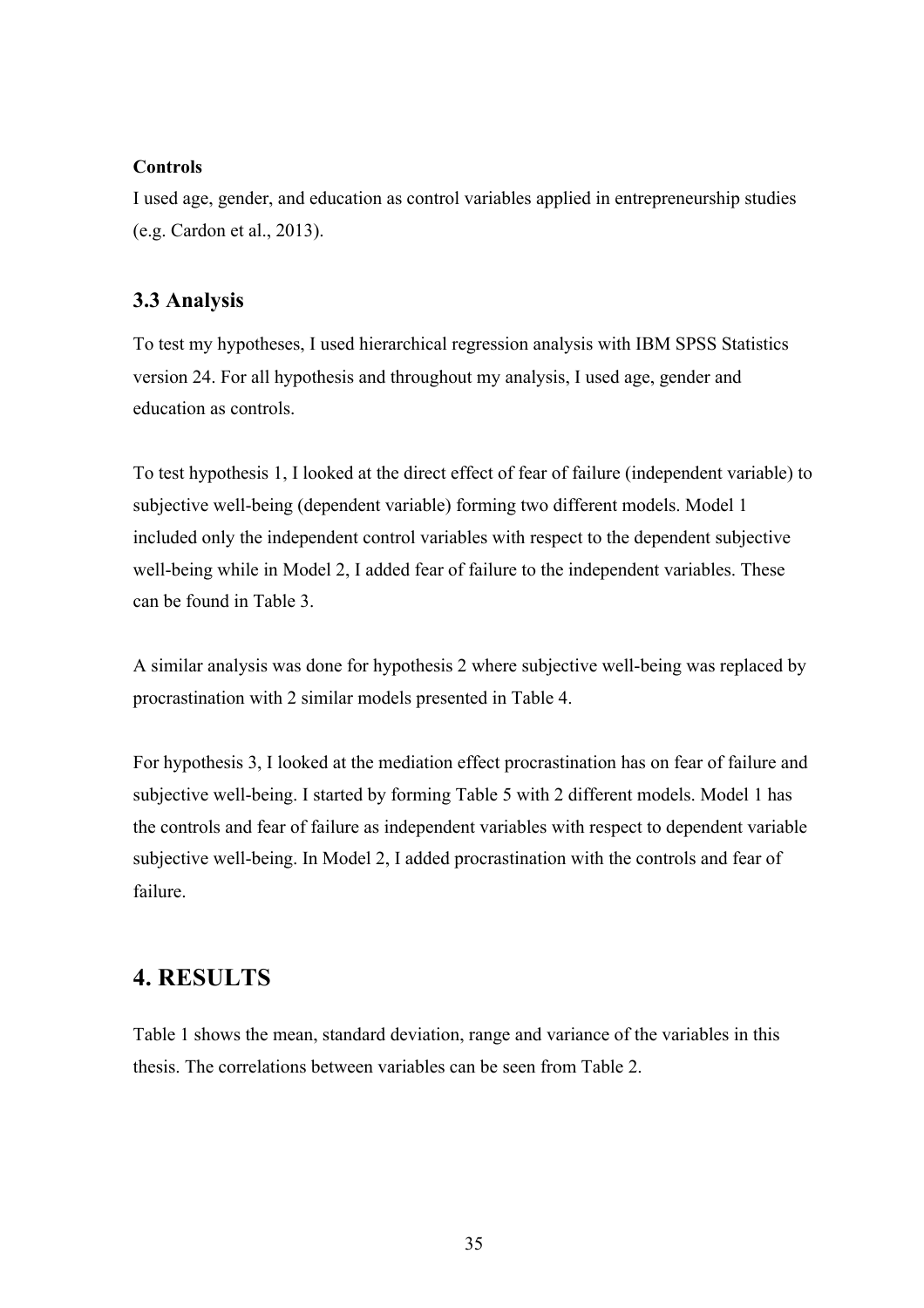#### **Controls**

I used age, gender, and education as control variables applied in entrepreneurship studies (e.g. Cardon et al., 2013).

## **3.3 Analysis**

To test my hypotheses, I used hierarchical regression analysis with IBM SPSS Statistics version 24. For all hypothesis and throughout my analysis, I used age, gender and education as controls.

To test hypothesis 1, I looked at the direct effect of fear of failure (independent variable) to subjective well-being (dependent variable) forming two different models. Model 1 included only the independent control variables with respect to the dependent subjective well-being while in Model 2, I added fear of failure to the independent variables. These can be found in Table 3.

A similar analysis was done for hypothesis 2 where subjective well-being was replaced by procrastination with 2 similar models presented in Table 4.

For hypothesis 3, I looked at the mediation effect procrastination has on fear of failure and subjective well-being. I started by forming Table 5 with 2 different models. Model 1 has the controls and fear of failure as independent variables with respect to dependent variable subjective well-being. In Model 2, I added procrastination with the controls and fear of failure.

# **4. RESULTS**

Table 1 shows the mean, standard deviation, range and variance of the variables in this thesis. The correlations between variables can be seen from Table 2.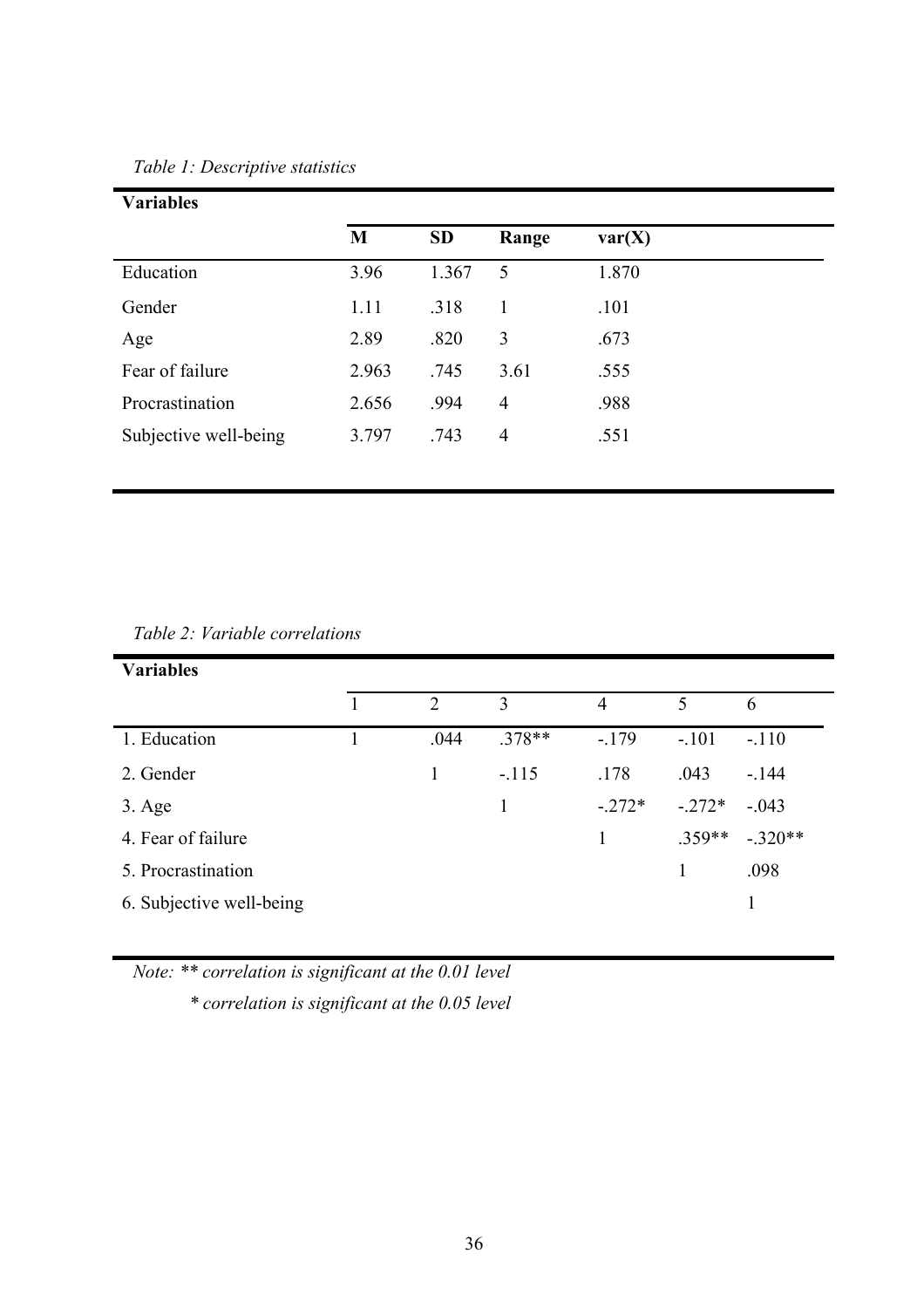| <b>Variables</b>      |       |           |                |        |  |
|-----------------------|-------|-----------|----------------|--------|--|
|                       | M     | <b>SD</b> | Range          | var(X) |  |
| Education             | 3.96  | 1.367     | 5              | 1.870  |  |
| Gender                | 1.11  | .318      | 1              | .101   |  |
| Age                   | 2.89  | .820      | 3              | .673   |  |
| Fear of failure       | 2.963 | .745      | 3.61           | .555   |  |
| Procrastination       | 2.656 | .994      | $\overline{4}$ | .988   |  |
| Subjective well-being | 3.797 | .743      | $\overline{4}$ | .551   |  |
|                       |       |           |                |        |  |

*Table 2: Variable correlations*

| <b>Variables</b>         |                |          |                |          |           |
|--------------------------|----------------|----------|----------------|----------|-----------|
|                          | $\overline{2}$ | 3        | $\overline{4}$ | 5        | 6         |
| 1. Education             | .044           | $.378**$ | $-179$         | $-.101$  | $-.110$   |
| 2. Gender                |                | $-.115$  | .178           | .043     | $-144$    |
| $3. \text{Age}$          |                | 1        | $-.272*$       | $-.272*$ | $-.043$   |
| 4. Fear of failure       |                |          |                | $.359**$ | $-.320**$ |
| 5. Procrastination       |                |          |                |          | .098      |
| 6. Subjective well-being |                |          |                |          |           |

*Note: \*\* correlation is significant at the 0.01 level*

*\* correlation is significant at the 0.05 level*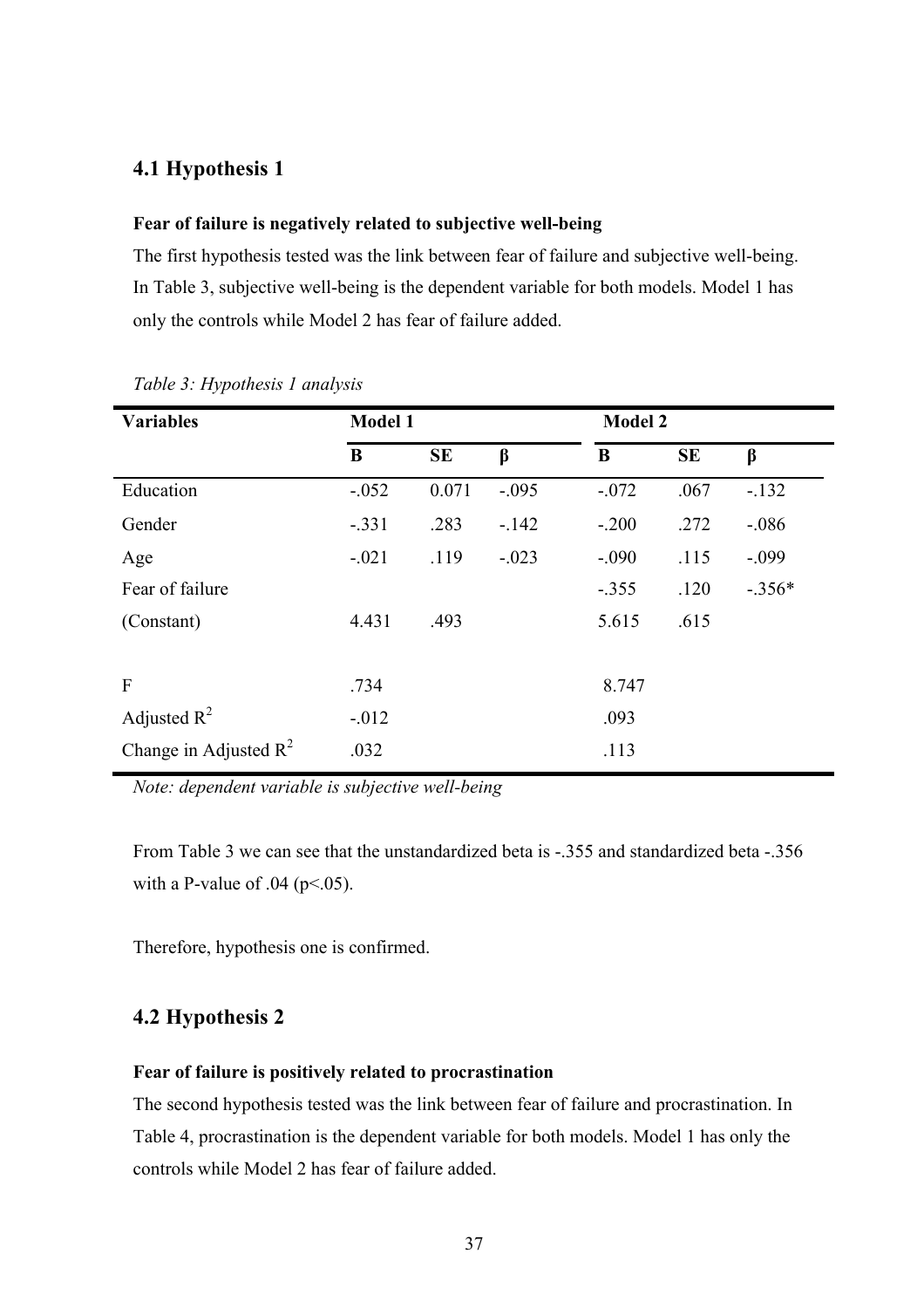## **4.1 Hypothesis 1**

#### **Fear of failure is negatively related to subjective well-being**

The first hypothesis tested was the link between fear of failure and subjective well-being. In Table 3, subjective well-being is the dependent variable for both models. Model 1 has only the controls while Model 2 has fear of failure added.

| <b>Variables</b>         | <b>Model 1</b> |           |         | <b>Model 2</b> |           |          |
|--------------------------|----------------|-----------|---------|----------------|-----------|----------|
|                          | B              | <b>SE</b> | $\beta$ | B              | <b>SE</b> | $\beta$  |
| Education                | $-.052$        | 0.071     | $-.095$ | $-.072$        | .067      | $-132$   |
| Gender                   | $-.331$        | .283      | $-142$  | $-.200$        | .272      | $-0.086$ |
| Age                      | $-.021$        | .119      | $-.023$ | $-.090$        | .115      | $-.099$  |
| Fear of failure          |                |           |         | $-.355$        | .120      | $-.356*$ |
| (Constant)               | 4.431          | .493      |         | 5.615          | .615      |          |
|                          |                |           |         |                |           |          |
| $\mathbf{F}$             | .734           |           |         | 8.747          |           |          |
| Adjusted $R^2$           | $-.012$        |           |         | .093           |           |          |
| Change in Adjusted $R^2$ | .032           |           |         | .113           |           |          |

#### *Table 3: Hypothesis 1 analysis*

*Note: dependent variable is subjective well-being*

From Table 3 we can see that the unstandardized beta is -.355 and standardized beta -.356 with a P-value of  $.04$  (p<.05).

Therefore, hypothesis one is confirmed.

# **4.2 Hypothesis 2**

#### **Fear of failure is positively related to procrastination**

The second hypothesis tested was the link between fear of failure and procrastination. In Table 4, procrastination is the dependent variable for both models. Model 1 has only the controls while Model 2 has fear of failure added.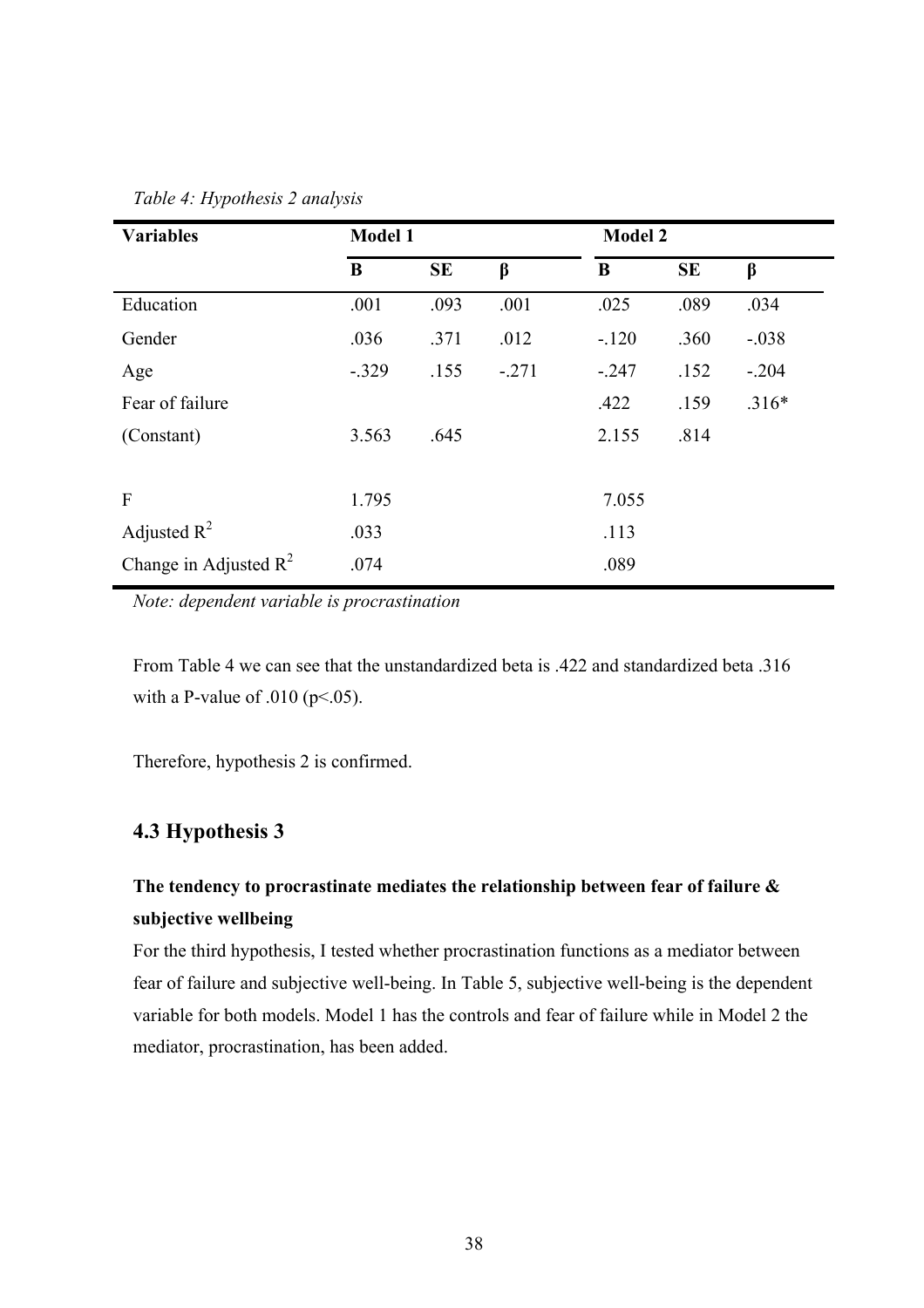| <b>Variables</b>         | <b>Model 1</b> |           |         | <b>Model 2</b> |           |         |
|--------------------------|----------------|-----------|---------|----------------|-----------|---------|
|                          | $\bf{B}$       | <b>SE</b> | $\beta$ | B              | <b>SE</b> | $\beta$ |
| Education                | .001           | .093      | .001    | .025           | .089      | .034    |
| Gender                   | .036           | .371      | .012    | $-120$         | .360      | $-.038$ |
| Age                      | $-.329$        | .155      | $-.271$ | $-.247$        | .152      | $-.204$ |
| Fear of failure          |                |           |         | .422           | .159      | $.316*$ |
| (Constant)               | 3.563          | .645      |         | 2.155          | .814      |         |
|                          |                |           |         |                |           |         |
| $\mathbf{F}$             | 1.795          |           |         | 7.055          |           |         |
| Adjusted $R^2$           | .033           |           |         | .113           |           |         |
| Change in Adjusted $R^2$ | .074           |           |         | .089           |           |         |

*Table 4: Hypothesis 2 analysis*

*Note: dependent variable is procrastination*

From Table 4 we can see that the unstandardized beta is .422 and standardized beta .316 with a P-value of .010 ( $p<.05$ ).

Therefore, hypothesis 2 is confirmed.

## **4.3 Hypothesis 3**

# **The tendency to procrastinate mediates the relationship between fear of failure & subjective wellbeing**

For the third hypothesis, I tested whether procrastination functions as a mediator between fear of failure and subjective well-being. In Table 5, subjective well-being is the dependent variable for both models. Model 1 has the controls and fear of failure while in Model 2 the mediator, procrastination, has been added.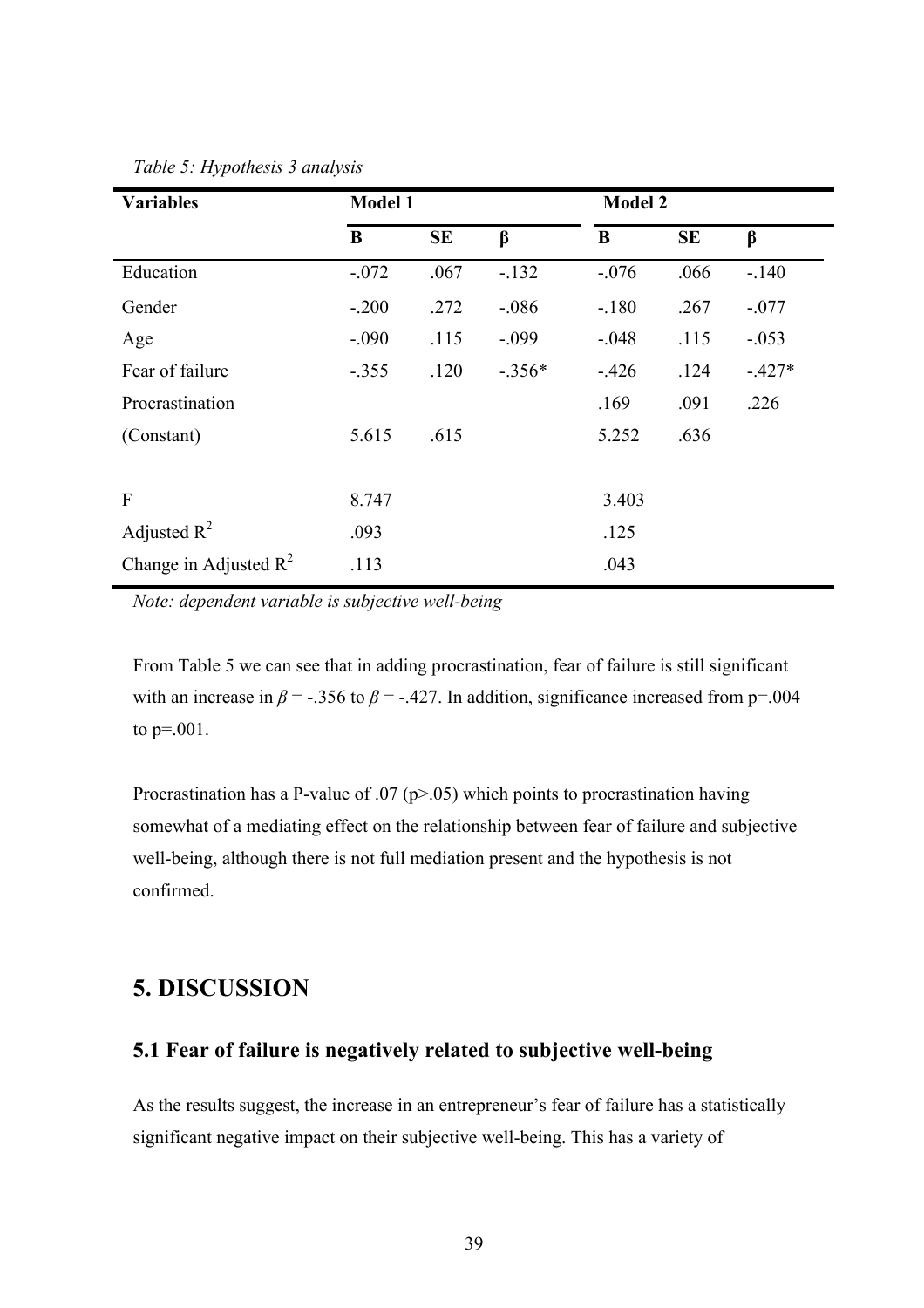| <b>Variables</b>         | <b>Model 1</b> |           |          | <b>Model 2</b> |           |          |
|--------------------------|----------------|-----------|----------|----------------|-----------|----------|
|                          | B              | <b>SE</b> | $\beta$  | B              | <b>SE</b> | $\beta$  |
| Education                | $-.072$        | .067      | $-132$   | $-.076$        | .066      | $-.140$  |
| Gender                   | $-.200$        | .272      | $-.086$  | $-.180$        | .267      | $-.077$  |
| Age                      | $-.090$        | .115      | $-.099$  | $-.048$        | .115      | $-.053$  |
| Fear of failure          | $-.355$        | .120      | $-.356*$ | $-426$         | .124      | $-.427*$ |
| Procrastination          |                |           |          | .169           | .091      | .226     |
| (Constant)               | 5.615          | .615      |          | 5.252          | .636      |          |
|                          |                |           |          |                |           |          |
| $\mathbf{F}$             | 8.747          |           |          | 3.403          |           |          |
| Adjusted $R^2$           | .093           |           |          | .125           |           |          |
| Change in Adjusted $R^2$ | .113           |           |          | .043           |           |          |

*Table 5: Hypothesis 3 analysis*

*Note: dependent variable is subjective well-being*

From Table 5 we can see that in adding procrastination, fear of failure is still significant with an increase in  $\beta$  = -.356 to  $\beta$  = -.427. In addition, significance increased from p=.004 to p=.001.

Procrastination has a P-value of .07 ( $p$ >.05) which points to procrastination having somewhat of a mediating effect on the relationship between fear of failure and subjective well-being, although there is not full mediation present and the hypothesis is not confirmed.

# **5. DISCUSSION**

## **5.1 Fear of failure is negatively related to subjective well-being**

As the results suggest, the increase in an entrepreneur's fear of failure has a statistically significant negative impact on their subjective well-being. This has a variety of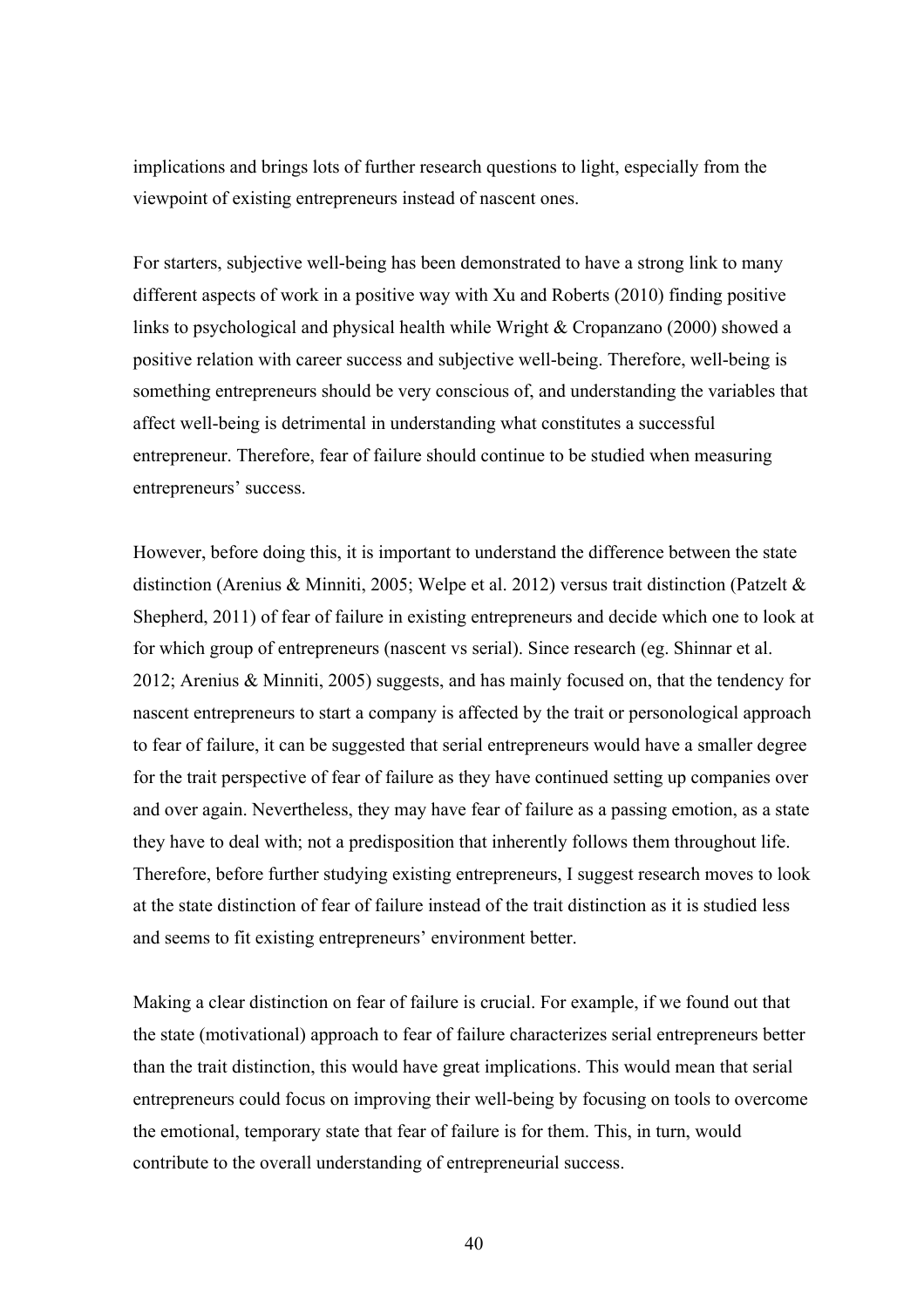implications and brings lots of further research questions to light, especially from the viewpoint of existing entrepreneurs instead of nascent ones.

For starters, subjective well-being has been demonstrated to have a strong link to many different aspects of work in a positive way with Xu and Roberts (2010) finding positive links to psychological and physical health while Wright & Cropanzano (2000) showed a positive relation with career success and subjective well-being. Therefore, well-being is something entrepreneurs should be very conscious of, and understanding the variables that affect well-being is detrimental in understanding what constitutes a successful entrepreneur. Therefore, fear of failure should continue to be studied when measuring entrepreneurs' success.

However, before doing this, it is important to understand the difference between the state distinction (Arenius & Minniti, 2005; Welpe et al. 2012) versus trait distinction (Patzelt & Shepherd, 2011) of fear of failure in existing entrepreneurs and decide which one to look at for which group of entrepreneurs (nascent vs serial). Since research (eg. Shinnar et al. 2012; Arenius & Minniti, 2005) suggests, and has mainly focused on, that the tendency for nascent entrepreneurs to start a company is affected by the trait or personological approach to fear of failure, it can be suggested that serial entrepreneurs would have a smaller degree for the trait perspective of fear of failure as they have continued setting up companies over and over again. Nevertheless, they may have fear of failure as a passing emotion, as a state they have to deal with; not a predisposition that inherently follows them throughout life. Therefore, before further studying existing entrepreneurs, I suggest research moves to look at the state distinction of fear of failure instead of the trait distinction as it is studied less and seems to fit existing entrepreneurs' environment better.

Making a clear distinction on fear of failure is crucial. For example, if we found out that the state (motivational) approach to fear of failure characterizes serial entrepreneurs better than the trait distinction, this would have great implications. This would mean that serial entrepreneurs could focus on improving their well-being by focusing on tools to overcome the emotional, temporary state that fear of failure is for them. This, in turn, would contribute to the overall understanding of entrepreneurial success.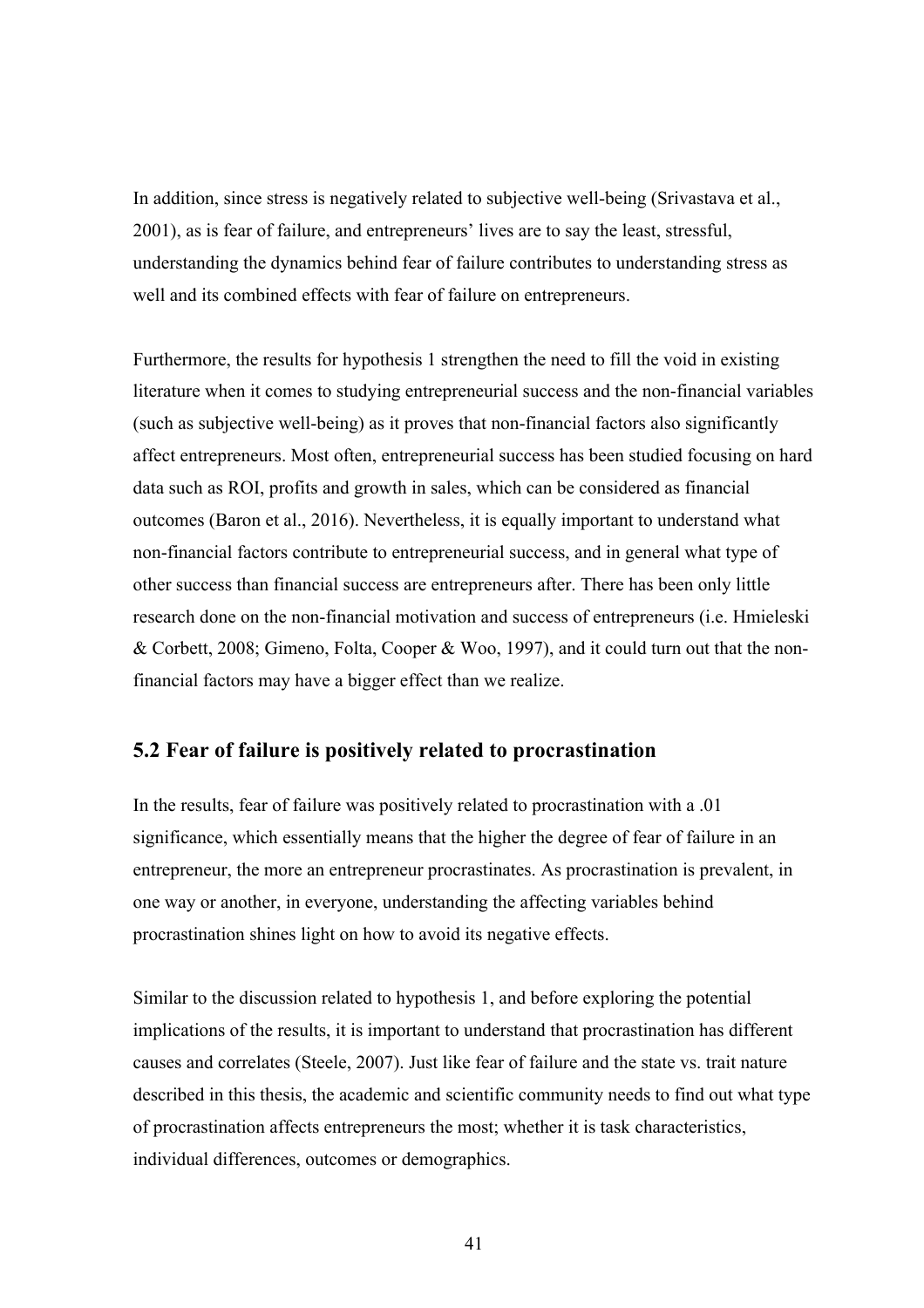In addition, since stress is negatively related to subjective well-being (Srivastava et al., 2001), as is fear of failure, and entrepreneurs' lives are to say the least, stressful, understanding the dynamics behind fear of failure contributes to understanding stress as well and its combined effects with fear of failure on entrepreneurs.

Furthermore, the results for hypothesis 1 strengthen the need to fill the void in existing literature when it comes to studying entrepreneurial success and the non-financial variables (such as subjective well-being) as it proves that non-financial factors also significantly affect entrepreneurs. Most often, entrepreneurial success has been studied focusing on hard data such as ROI, profits and growth in sales, which can be considered as financial outcomes (Baron et al., 2016). Nevertheless, it is equally important to understand what non-financial factors contribute to entrepreneurial success, and in general what type of other success than financial success are entrepreneurs after. There has been only little research done on the non-financial motivation and success of entrepreneurs (i.e. Hmieleski & Corbett, 2008; Gimeno, Folta, Cooper & Woo, 1997), and it could turn out that the nonfinancial factors may have a bigger effect than we realize.

## **5.2 Fear of failure is positively related to procrastination**

In the results, fear of failure was positively related to procrastination with a .01 significance, which essentially means that the higher the degree of fear of failure in an entrepreneur, the more an entrepreneur procrastinates. As procrastination is prevalent, in one way or another, in everyone, understanding the affecting variables behind procrastination shines light on how to avoid its negative effects.

Similar to the discussion related to hypothesis 1, and before exploring the potential implications of the results, it is important to understand that procrastination has different causes and correlates (Steele, 2007). Just like fear of failure and the state vs. trait nature described in this thesis, the academic and scientific community needs to find out what type of procrastination affects entrepreneurs the most; whether it is task characteristics, individual differences, outcomes or demographics.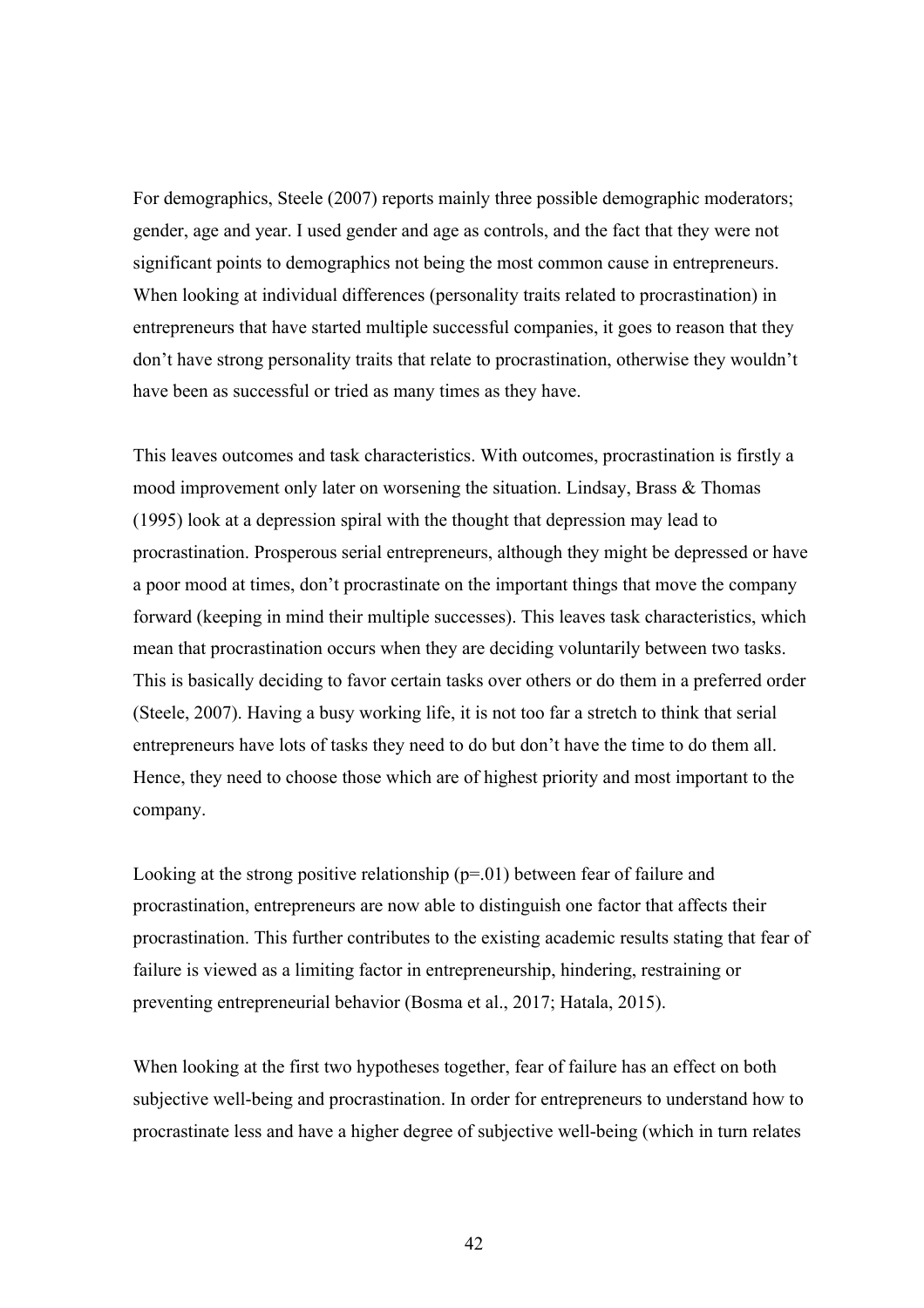For demographics, Steele (2007) reports mainly three possible demographic moderators; gender, age and year. I used gender and age as controls, and the fact that they were not significant points to demographics not being the most common cause in entrepreneurs. When looking at individual differences (personality traits related to procrastination) in entrepreneurs that have started multiple successful companies, it goes to reason that they don't have strong personality traits that relate to procrastination, otherwise they wouldn't have been as successful or tried as many times as they have.

This leaves outcomes and task characteristics. With outcomes, procrastination is firstly a mood improvement only later on worsening the situation. Lindsay, Brass & Thomas (1995) look at a depression spiral with the thought that depression may lead to procrastination. Prosperous serial entrepreneurs, although they might be depressed or have a poor mood at times, don't procrastinate on the important things that move the company forward (keeping in mind their multiple successes). This leaves task characteristics, which mean that procrastination occurs when they are deciding voluntarily between two tasks. This is basically deciding to favor certain tasks over others or do them in a preferred order (Steele, 2007). Having a busy working life, it is not too far a stretch to think that serial entrepreneurs have lots of tasks they need to do but don't have the time to do them all. Hence, they need to choose those which are of highest priority and most important to the company.

Looking at the strong positive relationship  $(p=01)$  between fear of failure and procrastination, entrepreneurs are now able to distinguish one factor that affects their procrastination. This further contributes to the existing academic results stating that fear of failure is viewed as a limiting factor in entrepreneurship, hindering, restraining or preventing entrepreneurial behavior (Bosma et al., 2017; Hatala, 2015).

When looking at the first two hypotheses together, fear of failure has an effect on both subjective well-being and procrastination. In order for entrepreneurs to understand how to procrastinate less and have a higher degree of subjective well-being (which in turn relates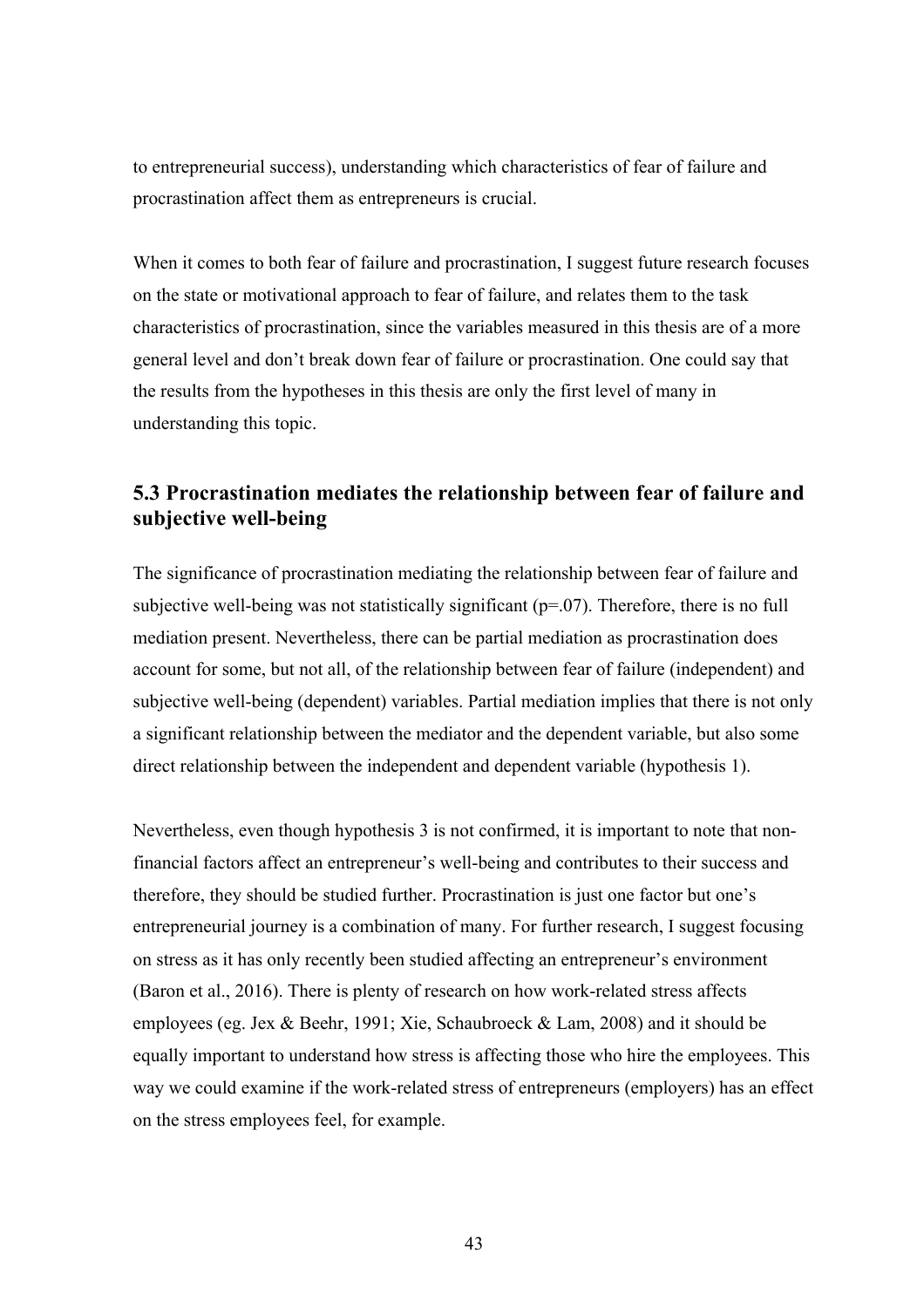to entrepreneurial success), understanding which characteristics of fear of failure and procrastination affect them as entrepreneurs is crucial.

When it comes to both fear of failure and procrastination, I suggest future research focuses on the state or motivational approach to fear of failure, and relates them to the task characteristics of procrastination, since the variables measured in this thesis are of a more general level and don't break down fear of failure or procrastination. One could say that the results from the hypotheses in this thesis are only the first level of many in understanding this topic.

## **5.3 Procrastination mediates the relationship between fear of failure and subjective well-being**

The significance of procrastination mediating the relationship between fear of failure and subjective well-being was not statistically significant  $(p=0,07)$ . Therefore, there is no full mediation present. Nevertheless, there can be partial mediation as procrastination does account for some, but not all, of the relationship between fear of failure (independent) and subjective well-being (dependent) variables. Partial mediation implies that there is not only a significant relationship between the mediator and the dependent variable, but also some direct relationship between the independent and dependent variable (hypothesis 1).

Nevertheless, even though hypothesis 3 is not confirmed, it is important to note that nonfinancial factors affect an entrepreneur's well-being and contributes to their success and therefore, they should be studied further. Procrastination is just one factor but one's entrepreneurial journey is a combination of many. For further research, I suggest focusing on stress as it has only recently been studied affecting an entrepreneur's environment (Baron et al., 2016). There is plenty of research on how work-related stress affects employees (eg. Jex & Beehr, 1991; Xie, Schaubroeck & Lam, 2008) and it should be equally important to understand how stress is affecting those who hire the employees. This way we could examine if the work-related stress of entrepreneurs (employers) has an effect on the stress employees feel, for example.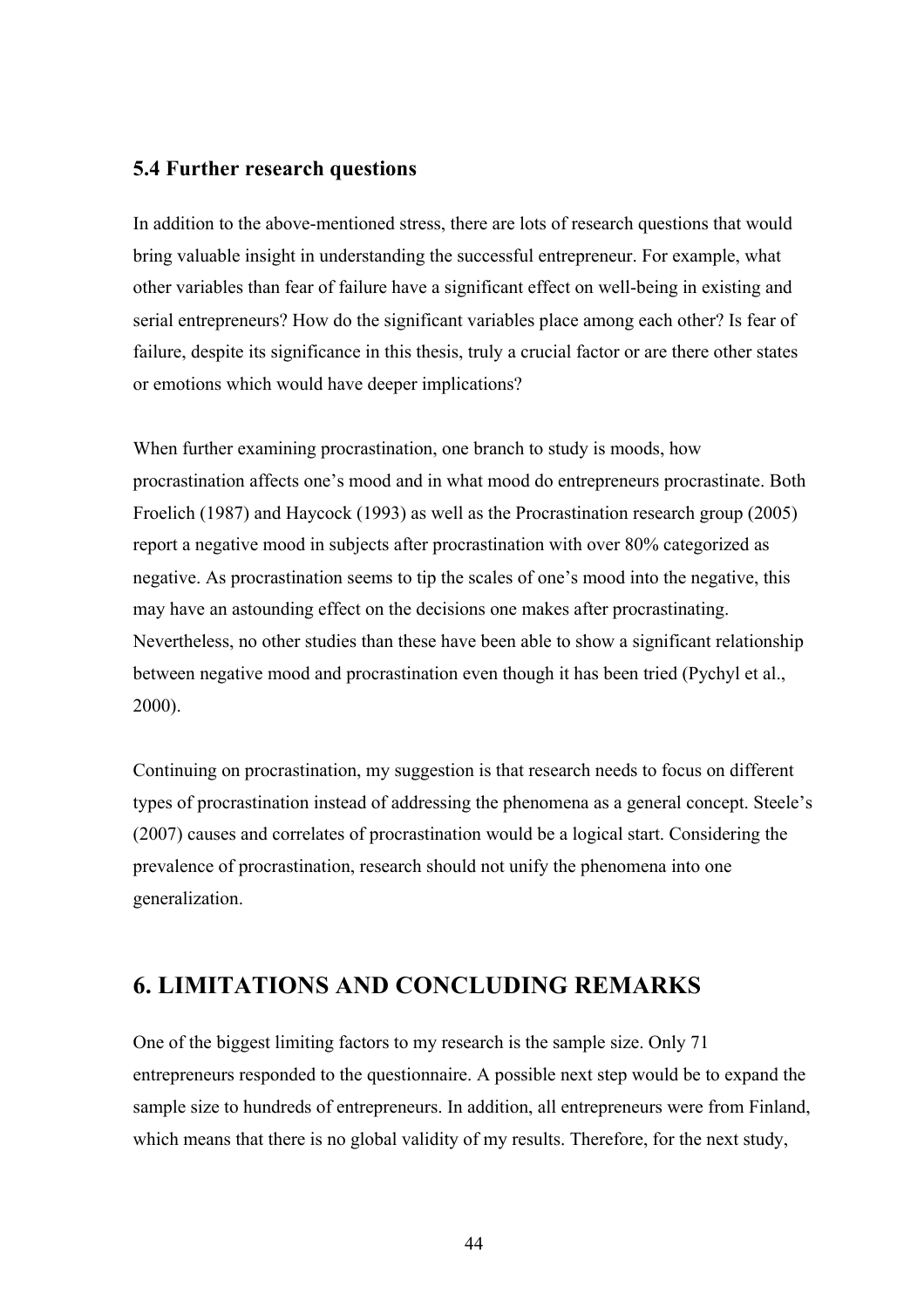## **5.4 Further research questions**

In addition to the above-mentioned stress, there are lots of research questions that would bring valuable insight in understanding the successful entrepreneur. For example, what other variables than fear of failure have a significant effect on well-being in existing and serial entrepreneurs? How do the significant variables place among each other? Is fear of failure, despite its significance in this thesis, truly a crucial factor or are there other states or emotions which would have deeper implications?

When further examining procrastination, one branch to study is moods, how procrastination affects one's mood and in what mood do entrepreneurs procrastinate. Both Froelich (1987) and Haycock (1993) as well as the Procrastination research group (2005) report a negative mood in subjects after procrastination with over 80% categorized as negative. As procrastination seems to tip the scales of one's mood into the negative, this may have an astounding effect on the decisions one makes after procrastinating. Nevertheless, no other studies than these have been able to show a significant relationship between negative mood and procrastination even though it has been tried (Pychyl et al., 2000).

Continuing on procrastination, my suggestion is that research needs to focus on different types of procrastination instead of addressing the phenomena as a general concept. Steele's (2007) causes and correlates of procrastination would be a logical start. Considering the prevalence of procrastination, research should not unify the phenomena into one generalization.

## **6. LIMITATIONS AND CONCLUDING REMARKS**

One of the biggest limiting factors to my research is the sample size. Only 71 entrepreneurs responded to the questionnaire. A possible next step would be to expand the sample size to hundreds of entrepreneurs. In addition, all entrepreneurs were from Finland, which means that there is no global validity of my results. Therefore, for the next study,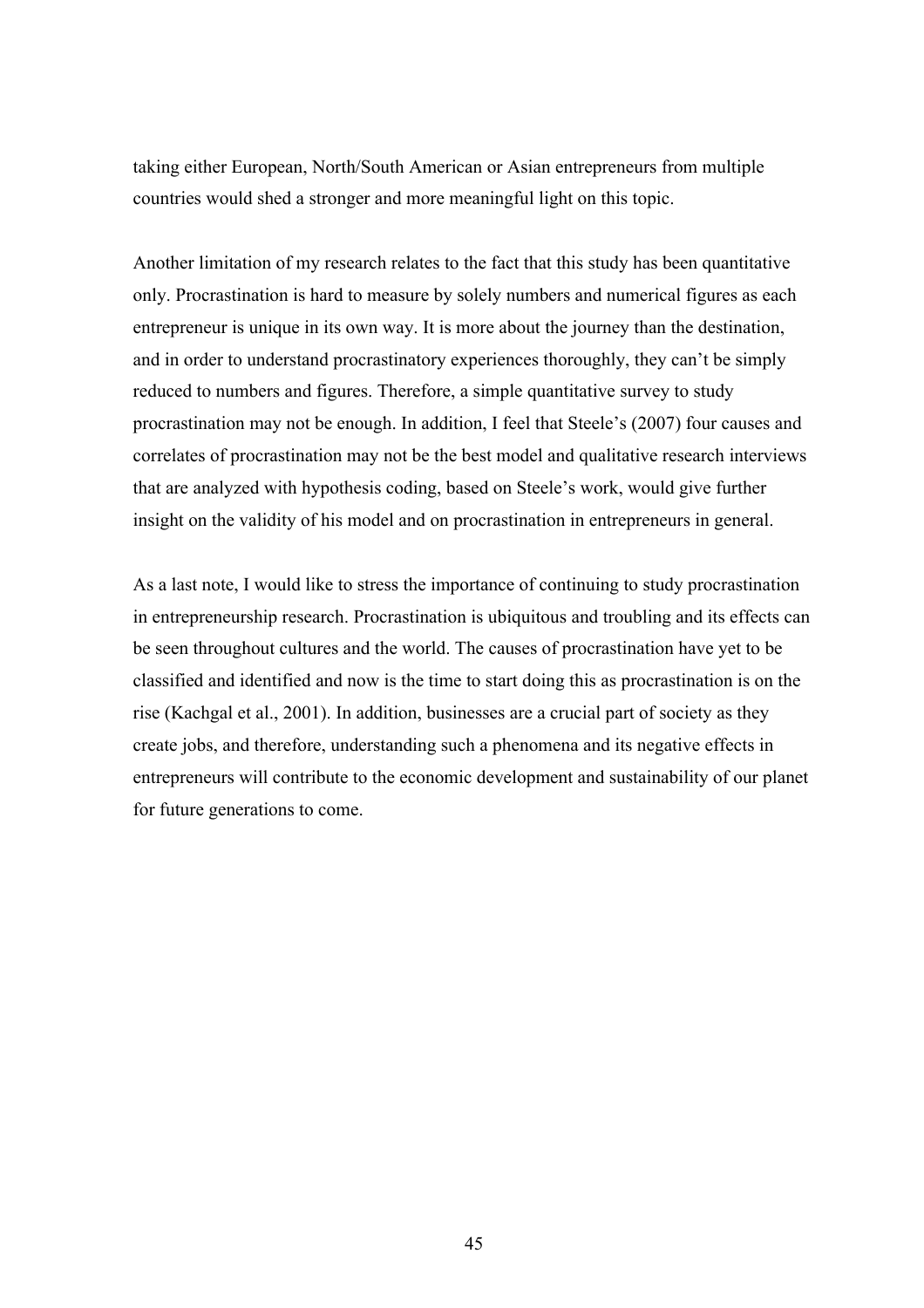taking either European, North/South American or Asian entrepreneurs from multiple countries would shed a stronger and more meaningful light on this topic.

Another limitation of my research relates to the fact that this study has been quantitative only. Procrastination is hard to measure by solely numbers and numerical figures as each entrepreneur is unique in its own way. It is more about the journey than the destination, and in order to understand procrastinatory experiences thoroughly, they can't be simply reduced to numbers and figures. Therefore, a simple quantitative survey to study procrastination may not be enough. In addition, I feel that Steele's (2007) four causes and correlates of procrastination may not be the best model and qualitative research interviews that are analyzed with hypothesis coding, based on Steele's work, would give further insight on the validity of his model and on procrastination in entrepreneurs in general.

As a last note, I would like to stress the importance of continuing to study procrastination in entrepreneurship research. Procrastination is ubiquitous and troubling and its effects can be seen throughout cultures and the world. The causes of procrastination have yet to be classified and identified and now is the time to start doing this as procrastination is on the rise (Kachgal et al., 2001). In addition, businesses are a crucial part of society as they create jobs, and therefore, understanding such a phenomena and its negative effects in entrepreneurs will contribute to the economic development and sustainability of our planet for future generations to come.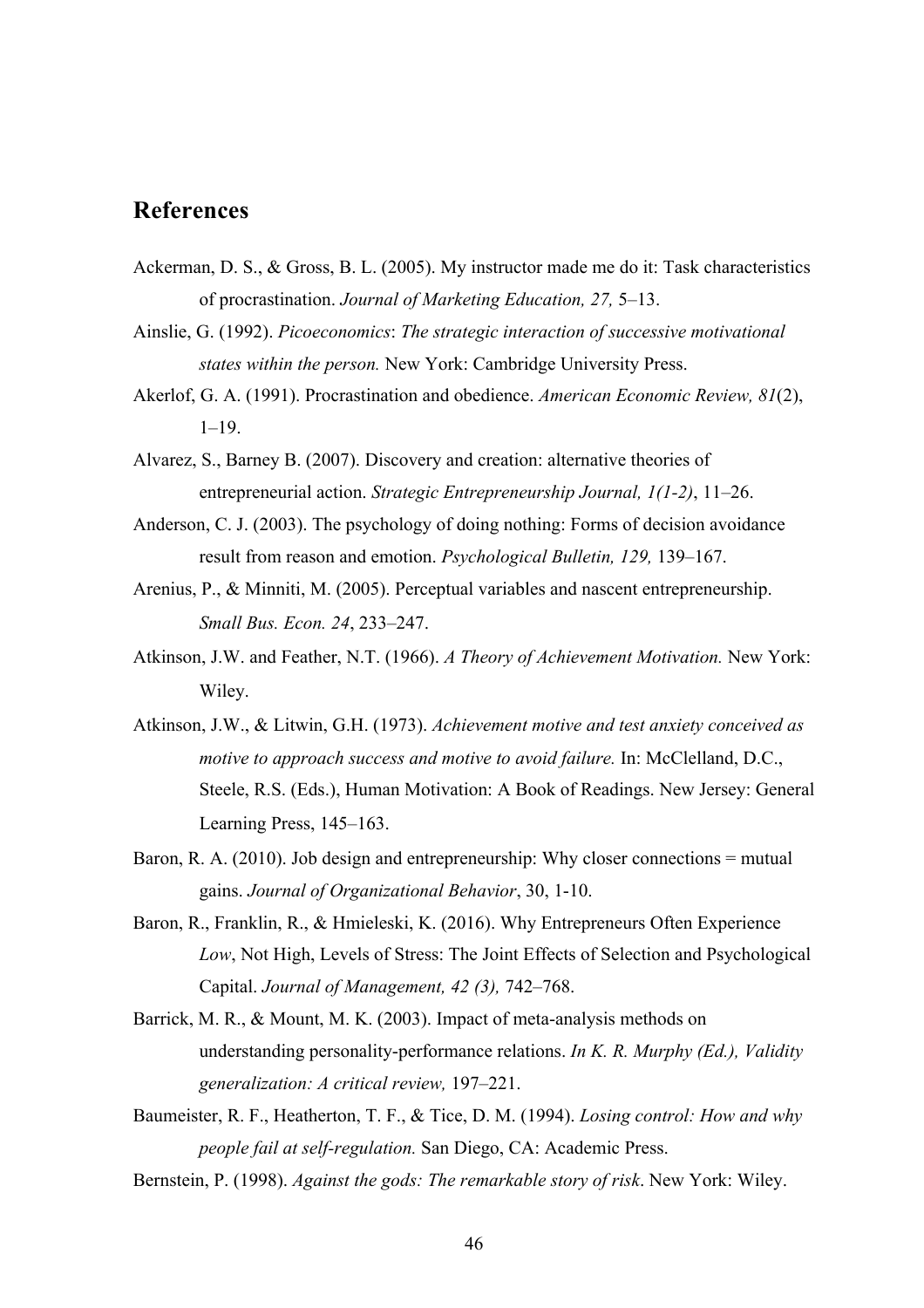## **References**

- Ackerman, D. S., & Gross, B. L. (2005). My instructor made me do it: Task characteristics of procrastination. *Journal of Marketing Education, 27,* 5–13.
- Ainslie, G. (1992). *Picoeconomics*: *The strategic interaction of successive motivational states within the person.* New York: Cambridge University Press.
- Akerlof, G. A. (1991). Procrastination and obedience. *American Economic Review, 81*(2),  $1-19.$
- Alvarez, S., Barney B. (2007). Discovery and creation: alternative theories of entrepreneurial action. *Strategic Entrepreneurship Journal, 1(1-2)*, 11–26.
- Anderson, C. J. (2003). The psychology of doing nothing: Forms of decision avoidance result from reason and emotion. *Psychological Bulletin, 129,* 139–167.
- Arenius, P., & Minniti, M. (2005). Perceptual variables and nascent entrepreneurship. *Small Bus. Econ. 24*, 233–247.
- Atkinson, J.W. and Feather, N.T. (1966). *A Theory of Achievement Motivation.* New York: Wiley.
- Atkinson, J.W., & Litwin, G.H. (1973). *Achievement motive and test anxiety conceived as motive to approach success and motive to avoid failure.* In: McClelland, D.C., Steele, R.S. (Eds.), Human Motivation: A Book of Readings. New Jersey: General Learning Press, 145–163.
- Baron, R. A. (2010). Job design and entrepreneurship: Why closer connections = mutual gains. *Journal of Organizational Behavior*, 30, 1-10.
- Baron, R., Franklin, R., & Hmieleski, K. (2016). Why Entrepreneurs Often Experience *Low*, Not High, Levels of Stress: The Joint Effects of Selection and Psychological Capital. *Journal of Management, 42 (3),* 742–768.
- Barrick, M. R., & Mount, M. K. (2003). Impact of meta-analysis methods on understanding personality-performance relations. *In K. R. Murphy (Ed.), Validity generalization: A critical review,* 197–221.
- Baumeister, R. F., Heatherton, T. F., & Tice, D. M. (1994). *Losing control: How and why people fail at self-regulation.* San Diego, CA: Academic Press.
- Bernstein, P. (1998). *Against the gods: The remarkable story of risk*. New York: Wiley.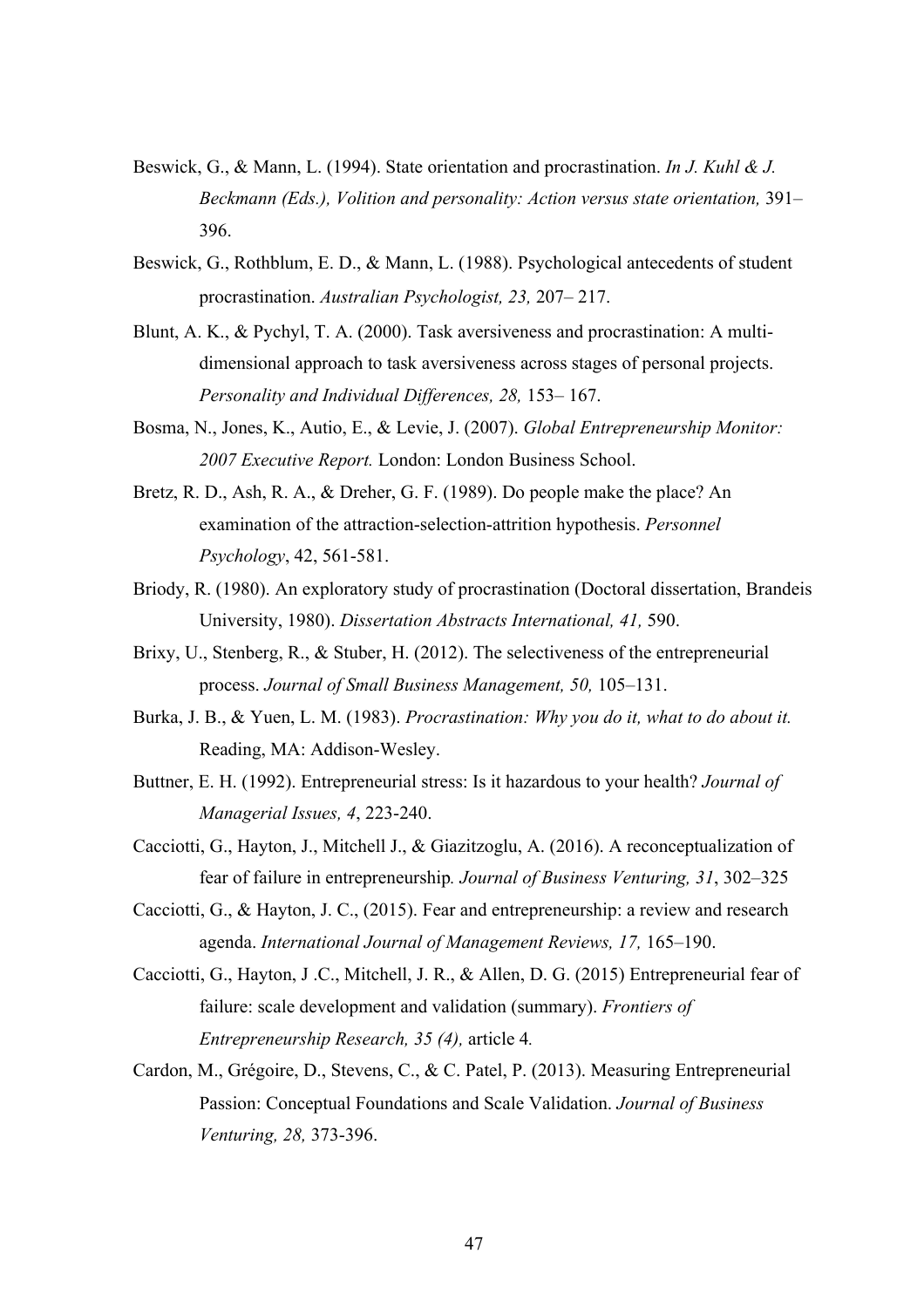- Beswick, G., & Mann, L. (1994). State orientation and procrastination. *In J. Kuhl & J. Beckmann (Eds.), Volition and personality: Action versus state orientation,* 391– 396.
- Beswick, G., Rothblum, E. D., & Mann, L. (1988). Psychological antecedents of student procrastination. *Australian Psychologist, 23,* 207– 217.
- Blunt, A. K., & Pychyl, T. A. (2000). Task aversiveness and procrastination: A multidimensional approach to task aversiveness across stages of personal projects. *Personality and Individual Differences, 28,* 153– 167.
- Bosma, N., Jones, K., Autio, E., & Levie, J. (2007). *Global Entrepreneurship Monitor: 2007 Executive Report.* London: London Business School.
- Bretz, R. D., Ash, R. A., & Dreher, G. F. (1989). Do people make the place? An examination of the attraction-selection-attrition hypothesis. *Personnel Psychology*, 42, 561-581.
- Briody, R. (1980). An exploratory study of procrastination (Doctoral dissertation, Brandeis University, 1980). *Dissertation Abstracts International, 41,* 590.
- Brixy, U., Stenberg, R., & Stuber, H. (2012). The selectiveness of the entrepreneurial process. *Journal of Small Business Management, 50,* 105–131.
- Burka, J. B., & Yuen, L. M. (1983). *Procrastination: Why you do it, what to do about it.*  Reading, MA: Addison-Wesley.
- Buttner, E. H. (1992). Entrepreneurial stress: Is it hazardous to your health? *Journal of Managerial Issues, 4*, 223-240.
- Cacciotti, G., Hayton, J., Mitchell J., & Giazitzoglu, A. (2016). A reconceptualization of fear of failure in entrepreneurship*. Journal of Business Venturing, 31*, 302–325
- Cacciotti, G., & Hayton, J. C., (2015). Fear and entrepreneurship: a review and research agenda. *International Journal of Management Reviews, 17,* 165–190.
- Cacciotti, G., Hayton, J .C., Mitchell, J. R., & Allen, D. G. (2015) Entrepreneurial fear of failure: scale development and validation (summary). *Frontiers of Entrepreneurship Research, 35 (4),* article 4*.*
- Cardon, M., Grégoire, D., Stevens, C., & C. Patel, P. (2013). Measuring Entrepreneurial Passion: Conceptual Foundations and Scale Validation. *Journal of Business Venturing, 28,* 373-396.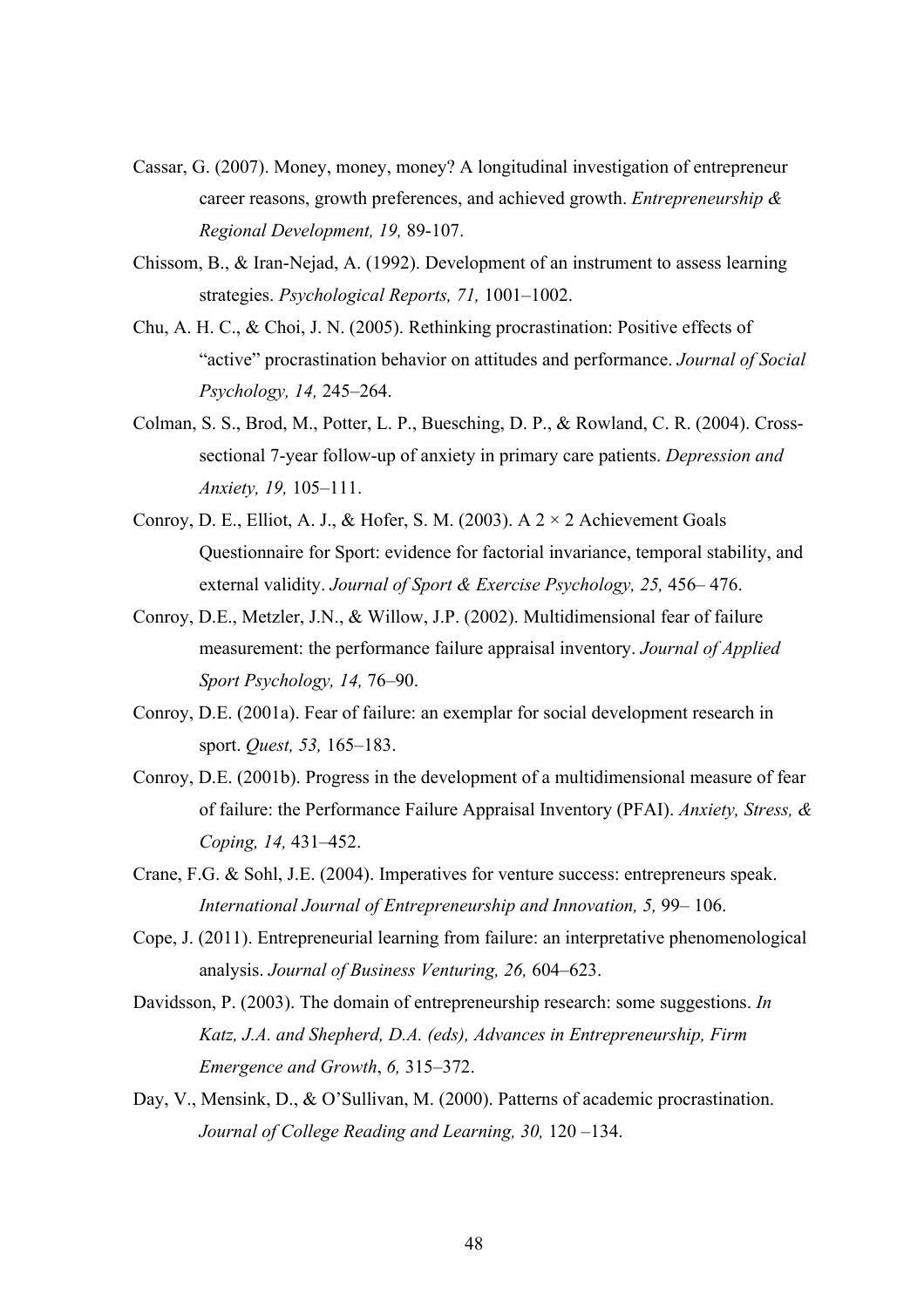- Cassar, G. (2007). Money, money, money? A longitudinal investigation of entrepreneur career reasons, growth preferences, and achieved growth. *Entrepreneurship & Regional Development, 19,* 89-107.
- Chissom, B., & Iran-Nejad, A. (1992). Development of an instrument to assess learning strategies. *Psychological Reports, 71,* 1001–1002.
- Chu, A. H. C., & Choi, J. N. (2005). Rethinking procrastination: Positive effects of "active" procrastination behavior on attitudes and performance. *Journal of Social Psychology, 14,* 245–264.
- Colman, S. S., Brod, M., Potter, L. P., Buesching, D. P., & Rowland, C. R. (2004). Crosssectional 7-year follow-up of anxiety in primary care patients. *Depression and Anxiety, 19,* 105–111.
- Conroy, D. E., Elliot, A. J., & Hofer, S. M. (2003). A  $2 \times 2$  Achievement Goals Questionnaire for Sport: evidence for factorial invariance, temporal stability, and external validity. *Journal of Sport & Exercise Psychology, 25,* 456– 476.
- Conroy, D.E., Metzler, J.N., & Willow, J.P. (2002). Multidimensional fear of failure measurement: the performance failure appraisal inventory. *Journal of Applied Sport Psychology, 14,* 76–90.
- Conroy, D.E. (2001a). Fear of failure: an exemplar for social development research in sport. *Quest, 53,* 165–183.
- Conroy, D.E. (2001b). Progress in the development of a multidimensional measure of fear of failure: the Performance Failure Appraisal Inventory (PFAI). *Anxiety, Stress, & Coping, 14,* 431–452.
- Crane, F.G. & Sohl, J.E. (2004). Imperatives for venture success: entrepreneurs speak. *International Journal of Entrepreneurship and Innovation, 5,* 99– 106.
- Cope, J. (2011). Entrepreneurial learning from failure: an interpretative phenomenological analysis. *Journal of Business Venturing, 26,* 604–623.
- Davidsson, P. (2003). The domain of entrepreneurship research: some suggestions. *In Katz, J.A. and Shepherd, D.A. (eds), Advances in Entrepreneurship, Firm Emergence and Growth*, *6,* 315–372.
- Day, V., Mensink, D., & O'Sullivan, M. (2000). Patterns of academic procrastination. *Journal of College Reading and Learning, 30,* 120 –134.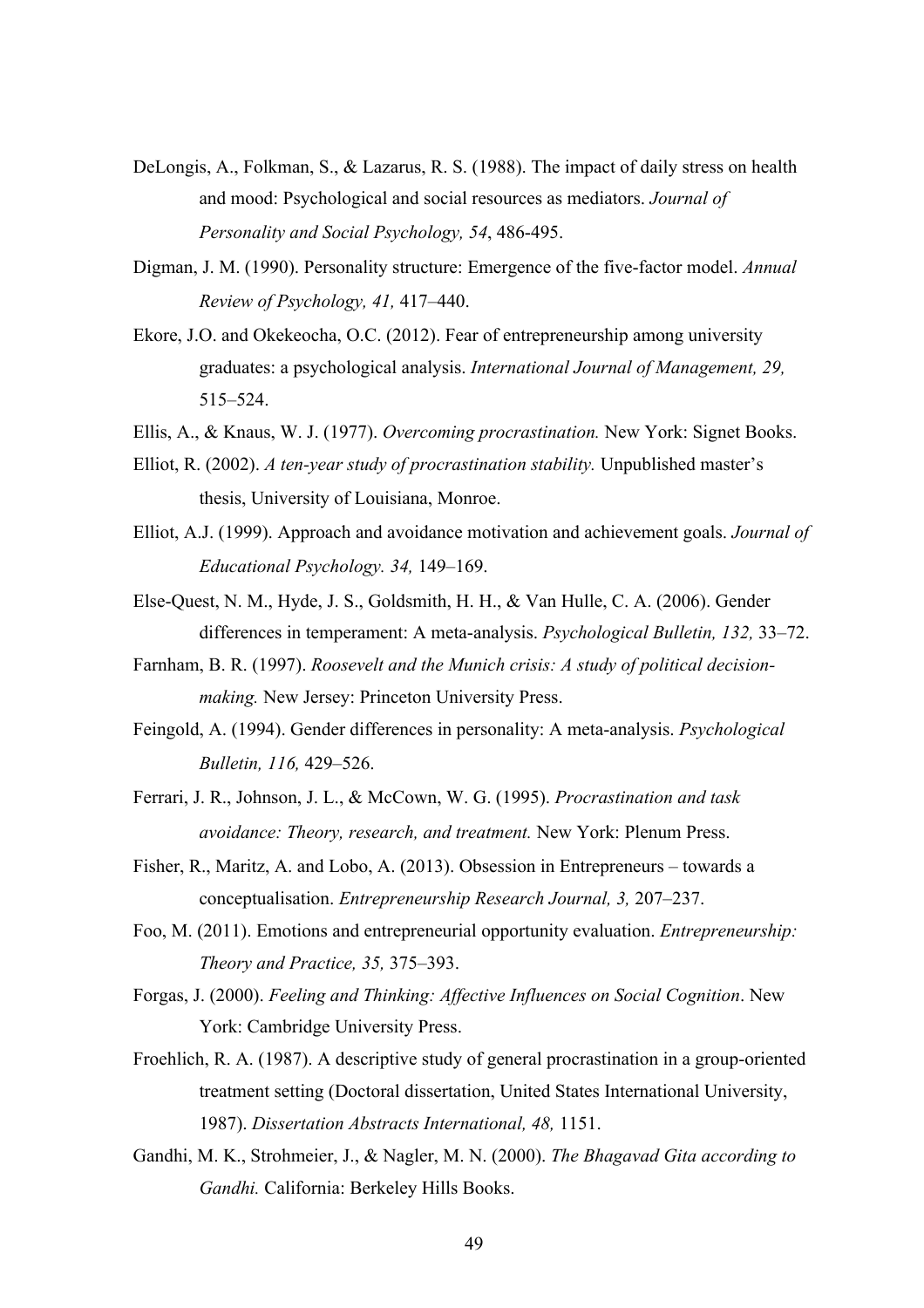- DeLongis, A., Folkman, S., & Lazarus, R. S. (1988). The impact of daily stress on health and mood: Psychological and social resources as mediators. *Journal of Personality and Social Psychology, 54*, 486-495.
- Digman, J. M. (1990). Personality structure: Emergence of the five-factor model. *Annual Review of Psychology, 41,* 417–440.
- Ekore, J.O. and Okekeocha, O.C. (2012). Fear of entrepreneurship among university graduates: a psychological analysis. *International Journal of Management, 29,* 515–524.
- Ellis, A., & Knaus, W. J. (1977). *Overcoming procrastination.* New York: Signet Books.
- Elliot, R. (2002). *A ten-year study of procrastination stability.* Unpublished master's thesis, University of Louisiana, Monroe.
- Elliot, A.J. (1999). Approach and avoidance motivation and achievement goals. *Journal of Educational Psychology. 34,* 149–169.
- Else-Quest, N. M., Hyde, J. S., Goldsmith, H. H., & Van Hulle, C. A. (2006). Gender differences in temperament: A meta-analysis. *Psychological Bulletin, 132,* 33–72.
- Farnham, B. R. (1997). *Roosevelt and the Munich crisis: A study of political decisionmaking.* New Jersey: Princeton University Press.
- Feingold, A. (1994). Gender differences in personality: A meta-analysis. *Psychological Bulletin, 116,* 429–526.
- Ferrari, J. R., Johnson, J. L., & McCown, W. G. (1995). *Procrastination and task avoidance: Theory, research, and treatment.* New York: Plenum Press.
- Fisher, R., Maritz, A. and Lobo, A. (2013). Obsession in Entrepreneurs towards a conceptualisation. *Entrepreneurship Research Journal, 3,* 207–237.
- Foo, M. (2011). Emotions and entrepreneurial opportunity evaluation. *Entrepreneurship: Theory and Practice, 35,* 375–393.
- Forgas, J. (2000). *Feeling and Thinking: Affective Influences on Social Cognition*. New York: Cambridge University Press.
- Froehlich, R. A. (1987). A descriptive study of general procrastination in a group-oriented treatment setting (Doctoral dissertation, United States International University, 1987). *Dissertation Abstracts International, 48,* 1151.
- Gandhi, M. K., Strohmeier, J., & Nagler, M. N. (2000). *The Bhagavad Gita according to Gandhi.* California: Berkeley Hills Books.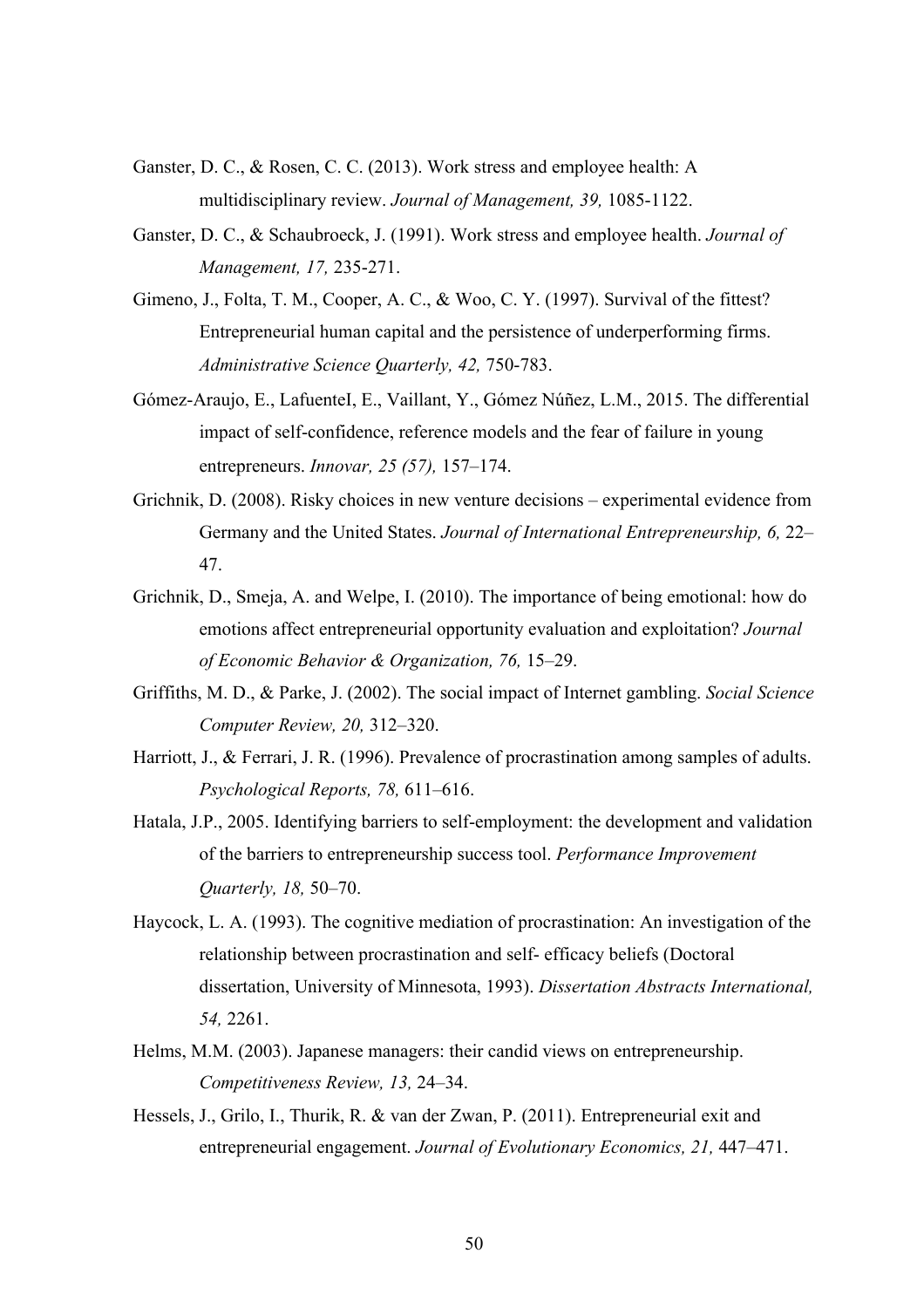- Ganster, D. C., & Rosen, C. C. (2013). Work stress and employee health: A multidisciplinary review. *Journal of Management, 39,* 1085-1122.
- Ganster, D. C., & Schaubroeck, J. (1991). Work stress and employee health. *Journal of Management, 17,* 235-271.
- Gimeno, J., Folta, T. M., Cooper, A. C., & Woo, C. Y. (1997). Survival of the fittest? Entrepreneurial human capital and the persistence of underperforming firms. *Administrative Science Quarterly, 42,* 750-783.
- Gómez-Araujo, E., LafuenteI, E., Vaillant, Y., Gómez Núñez, L.M., 2015. The differential impact of self-confidence, reference models and the fear of failure in young entrepreneurs. *Innovar, 25 (57),* 157–174.
- Grichnik, D. (2008). Risky choices in new venture decisions experimental evidence from Germany and the United States. *Journal of International Entrepreneurship, 6,* 22– 47.
- Grichnik, D., Smeja, A. and Welpe, I. (2010). The importance of being emotional: how do emotions affect entrepreneurial opportunity evaluation and exploitation? *Journal of Economic Behavior & Organization, 76,* 15–29.
- Griffiths, M. D., & Parke, J. (2002). The social impact of Internet gambling. *Social Science Computer Review, 20,* 312–320.
- Harriott, J., & Ferrari, J. R. (1996). Prevalence of procrastination among samples of adults. *Psychological Reports, 78,* 611–616.
- Hatala, J.P., 2005. Identifying barriers to self-employment: the development and validation of the barriers to entrepreneurship success tool. *Performance Improvement Quarterly, 18,* 50–70.
- Haycock, L. A. (1993). The cognitive mediation of procrastination: An investigation of the relationship between procrastination and self- efficacy beliefs (Doctoral dissertation, University of Minnesota, 1993). *Dissertation Abstracts International, 54,* 2261.
- Helms, M.M. (2003). Japanese managers: their candid views on entrepreneurship. *Competitiveness Review, 13,* 24–34.
- Hessels, J., Grilo, I., Thurik, R. & van der Zwan, P. (2011). Entrepreneurial exit and entrepreneurial engagement. *Journal of Evolutionary Economics, 21,* 447–471.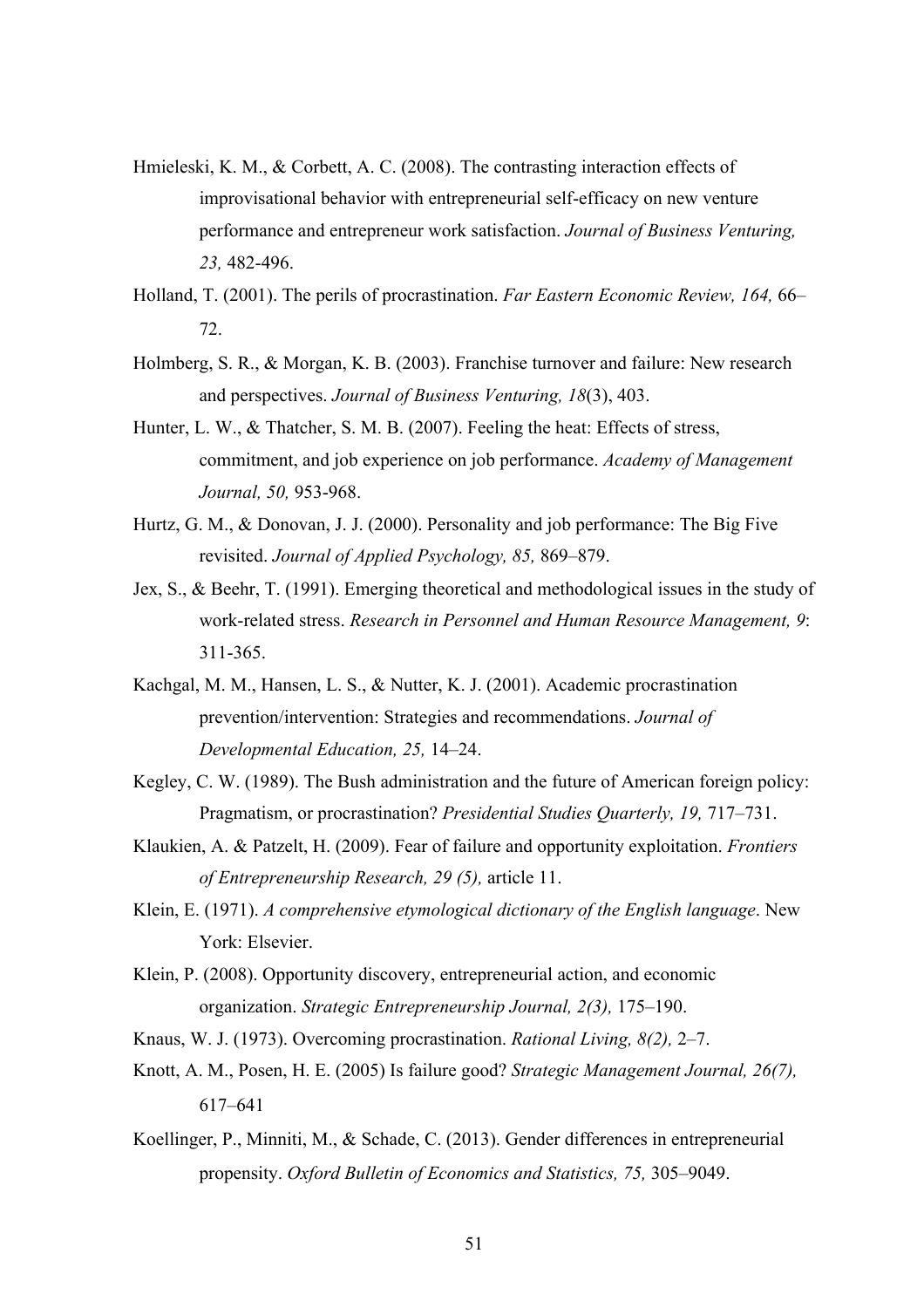- Hmieleski, K. M., & Corbett, A. C. (2008). The contrasting interaction effects of improvisational behavior with entrepreneurial self-efficacy on new venture performance and entrepreneur work satisfaction. *Journal of Business Venturing, 23,* 482-496.
- Holland, T. (2001). The perils of procrastination. *Far Eastern Economic Review, 164,* 66– 72.
- Holmberg, S. R., & Morgan, K. B. (2003). Franchise turnover and failure: New research and perspectives. *Journal of Business Venturing, 18*(3), 403.
- Hunter, L. W., & Thatcher, S. M. B. (2007). Feeling the heat: Effects of stress, commitment, and job experience on job performance. *Academy of Management Journal, 50,* 953-968.
- Hurtz, G. M., & Donovan, J. J. (2000). Personality and job performance: The Big Five revisited. *Journal of Applied Psychology, 85,* 869–879.
- Jex, S., & Beehr, T. (1991). Emerging theoretical and methodological issues in the study of work-related stress. *Research in Personnel and Human Resource Management, 9*: 311-365.
- Kachgal, M. M., Hansen, L. S., & Nutter, K. J. (2001). Academic procrastination prevention/intervention: Strategies and recommendations. *Journal of Developmental Education, 25,* 14–24.
- Kegley, C. W. (1989). The Bush administration and the future of American foreign policy: Pragmatism, or procrastination? *Presidential Studies Quarterly, 19,* 717–731.
- Klaukien, A. & Patzelt, H. (2009). Fear of failure and opportunity exploitation. *Frontiers of Entrepreneurship Research, 29 (5),* article 11.
- Klein, E. (1971). *A comprehensive etymological dictionary of the English language*. New York: Elsevier.
- Klein, P. (2008). Opportunity discovery, entrepreneurial action, and economic organization. *Strategic Entrepreneurship Journal, 2(3),* 175–190.
- Knaus, W. J. (1973). Overcoming procrastination. *Rational Living, 8(2),* 2–7.
- Knott, A. M., Posen, H. E. (2005) Is failure good? *Strategic Management Journal, 26(7),* 617–641
- Koellinger, P., Minniti, M., & Schade, C. (2013). Gender differences in entrepreneurial propensity. *Oxford Bulletin of Economics and Statistics, 75,* 305–9049.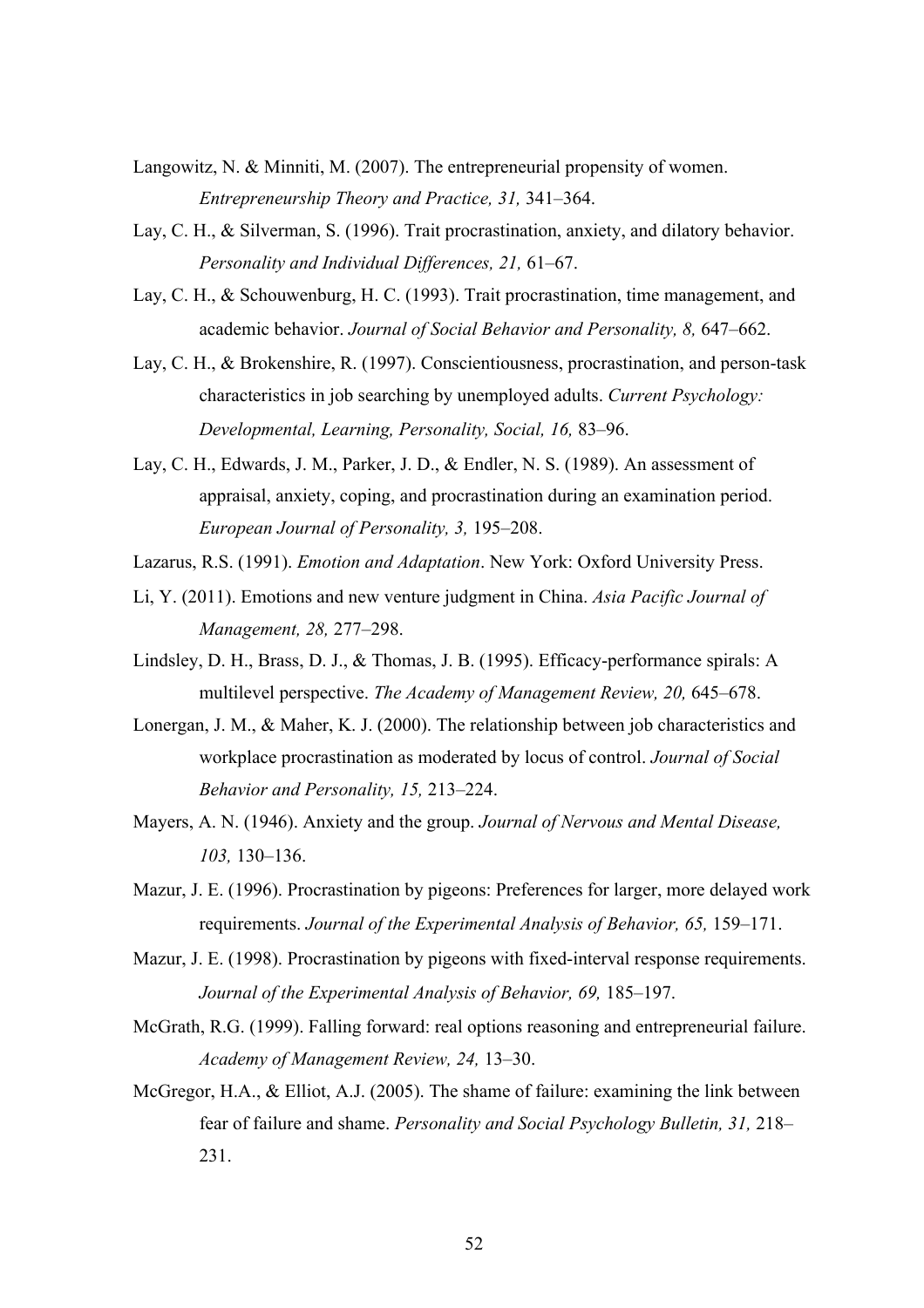- Langowitz, N. & Minniti, M. (2007). The entrepreneurial propensity of women. *Entrepreneurship Theory and Practice, 31,* 341–364.
- Lay, C. H., & Silverman, S. (1996). Trait procrastination, anxiety, and dilatory behavior. *Personality and Individual Differences, 21,* 61–67.
- Lay, C. H., & Schouwenburg, H. C. (1993). Trait procrastination, time management, and academic behavior. *Journal of Social Behavior and Personality, 8,* 647–662.
- Lay, C. H., & Brokenshire, R. (1997). Conscientiousness, procrastination, and person-task characteristics in job searching by unemployed adults. *Current Psychology: Developmental, Learning, Personality, Social, 16,* 83–96.
- Lay, C. H., Edwards, J. M., Parker, J. D., & Endler, N. S. (1989). An assessment of appraisal, anxiety, coping, and procrastination during an examination period. *European Journal of Personality, 3,* 195–208.
- Lazarus, R.S. (1991). *Emotion and Adaptation*. New York: Oxford University Press.
- Li, Y. (2011). Emotions and new venture judgment in China. *Asia Pacific Journal of Management, 28,* 277–298.
- Lindsley, D. H., Brass, D. J., & Thomas, J. B. (1995). Efficacy-performance spirals: A multilevel perspective. *The Academy of Management Review, 20,* 645–678.
- Lonergan, J. M., & Maher, K. J. (2000). The relationship between job characteristics and workplace procrastination as moderated by locus of control. *Journal of Social Behavior and Personality, 15,* 213–224.
- Mayers, A. N. (1946). Anxiety and the group. *Journal of Nervous and Mental Disease, 103,* 130–136.
- Mazur, J. E. (1996). Procrastination by pigeons: Preferences for larger, more delayed work requirements. *Journal of the Experimental Analysis of Behavior, 65,* 159–171.
- Mazur, J. E. (1998). Procrastination by pigeons with fixed-interval response requirements. Journal of the Experimental Analysis of Behavior, 69, 185-197.
- McGrath, R.G. (1999). Falling forward: real options reasoning and entrepreneurial failure. *Academy of Management Review, 24,* 13–30.
- McGregor, H.A., & Elliot, A.J. (2005). The shame of failure: examining the link between fear of failure and shame. *Personality and Social Psychology Bulletin, 31,* 218– 231.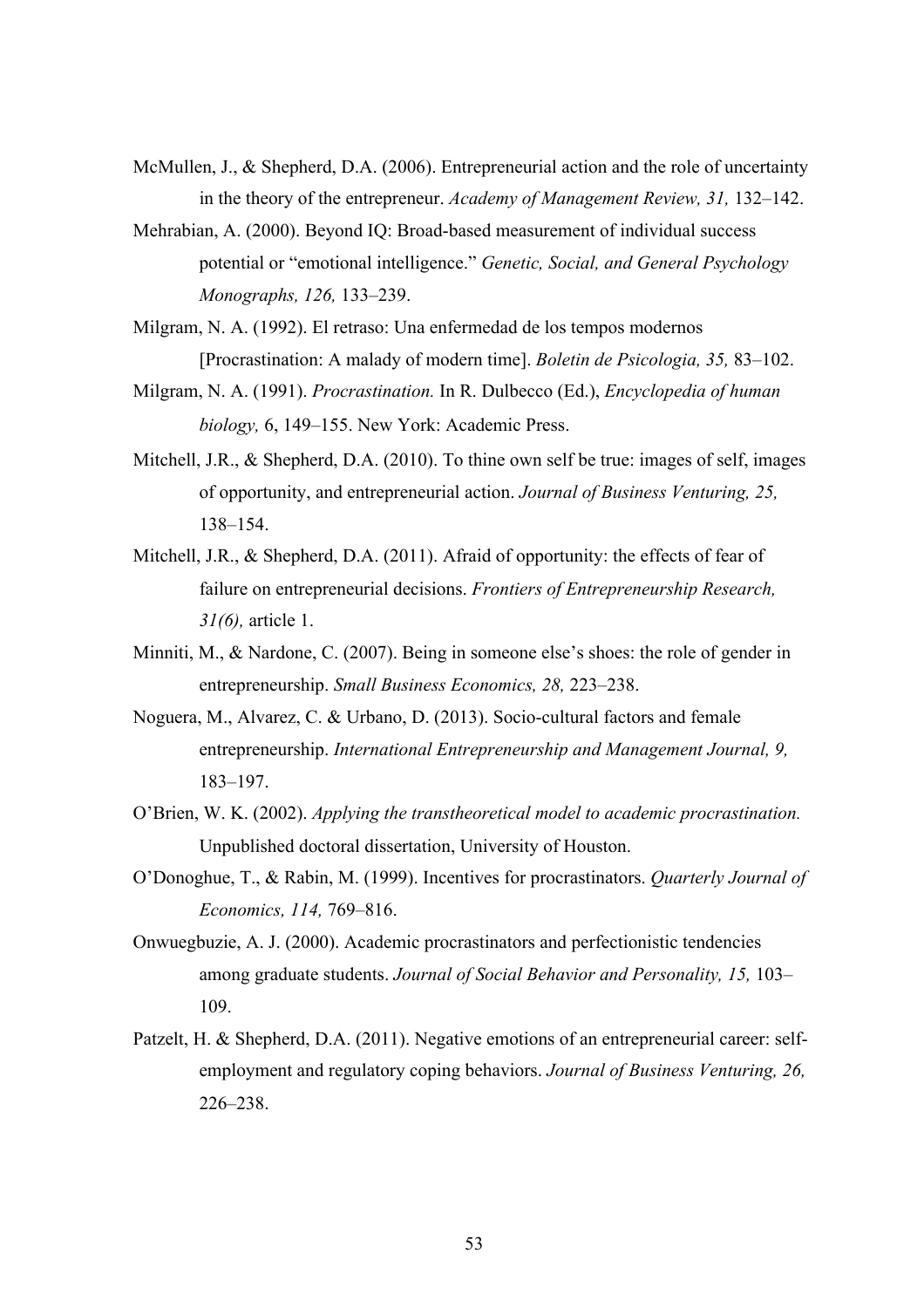- McMullen, J., & Shepherd, D.A. (2006). Entrepreneurial action and the role of uncertainty in the theory of the entrepreneur. *Academy of Management Review, 31,* 132–142.
- Mehrabian, A. (2000). Beyond IQ: Broad-based measurement of individual success potential or "emotional intelligence." *Genetic, Social, and General Psychology Monographs, 126,* 133–239.
- Milgram, N. A. (1992). El retraso: Una enfermedad de los tempos modernos [Procrastination: A malady of modern time]. *Boletin de Psicologia, 35,* 83–102.
- Milgram, N. A. (1991). *Procrastination.* In R. Dulbecco (Ed.), *Encyclopedia of human biology,* 6, 149–155. New York: Academic Press.
- Mitchell, J.R., & Shepherd, D.A. (2010). To thine own self be true: images of self, images of opportunity, and entrepreneurial action. *Journal of Business Venturing, 25,* 138–154.
- Mitchell, J.R., & Shepherd, D.A. (2011). Afraid of opportunity: the effects of fear of failure on entrepreneurial decisions. *Frontiers of Entrepreneurship Research, 31(6),* article 1.
- Minniti, M., & Nardone, C. (2007). Being in someone else's shoes: the role of gender in entrepreneurship. *Small Business Economics, 28,* 223–238.
- Noguera, M., Alvarez, C. & Urbano, D. (2013). Socio-cultural factors and female entrepreneurship. *International Entrepreneurship and Management Journal, 9,* 183–197.
- O'Brien, W. K. (2002). *Applying the transtheoretical model to academic procrastination.*  Unpublished doctoral dissertation, University of Houston.
- O'Donoghue, T., & Rabin, M. (1999). Incentives for procrastinators. *Quarterly Journal of Economics, 114,* 769–816.
- Onwuegbuzie, A. J. (2000). Academic procrastinators and perfectionistic tendencies among graduate students. *Journal of Social Behavior and Personality, 15,* 103– 109.
- Patzelt, H. & Shepherd, D.A. (2011). Negative emotions of an entrepreneurial career: selfemployment and regulatory coping behaviors. *Journal of Business Venturing, 26,* 226–238.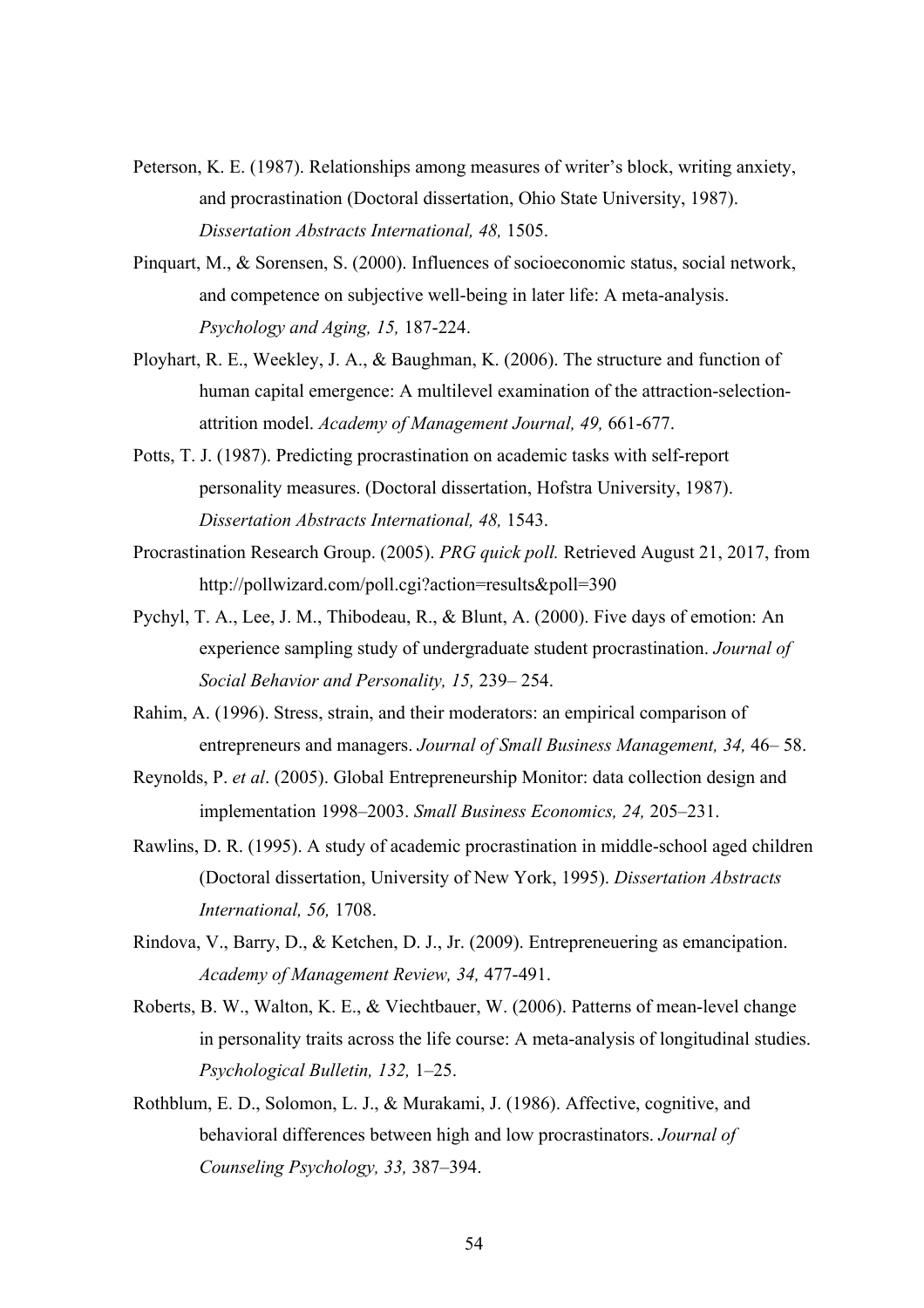- Peterson, K. E. (1987). Relationships among measures of writer's block, writing anxiety, and procrastination (Doctoral dissertation, Ohio State University, 1987). *Dissertation Abstracts International, 48,* 1505.
- Pinquart, M., & Sorensen, S. (2000). Influences of socioeconomic status, social network, and competence on subjective well-being in later life: A meta-analysis. *Psychology and Aging, 15,* 187-224.
- Ployhart, R. E., Weekley, J. A., & Baughman, K. (2006). The structure and function of human capital emergence: A multilevel examination of the attraction-selectionattrition model. *Academy of Management Journal, 49,* 661-677.
- Potts, T. J. (1987). Predicting procrastination on academic tasks with self-report personality measures. (Doctoral dissertation, Hofstra University, 1987). *Dissertation Abstracts International, 48,* 1543.
- Procrastination Research Group. (2005). *PRG quick poll.* Retrieved August 21, 2017, from http://pollwizard.com/poll.cgi?action=results&poll=390
- Pychyl, T. A., Lee, J. M., Thibodeau, R., & Blunt, A. (2000). Five days of emotion: An experience sampling study of undergraduate student procrastination. *Journal of Social Behavior and Personality, 15,* 239– 254.
- Rahim, A. (1996). Stress, strain, and their moderators: an empirical comparison of entrepreneurs and managers. *Journal of Small Business Management, 34,* 46– 58.
- Reynolds, P. *et al*. (2005). Global Entrepreneurship Monitor: data collection design and implementation 1998–2003. *Small Business Economics, 24,* 205–231.
- Rawlins, D. R. (1995). A study of academic procrastination in middle-school aged children (Doctoral dissertation, University of New York, 1995). *Dissertation Abstracts International, 56,* 1708.
- Rindova, V., Barry, D., & Ketchen, D. J., Jr. (2009). Entrepreneuering as emancipation. *Academy of Management Review, 34,* 477-491.
- Roberts, B. W., Walton, K. E., & Viechtbauer, W. (2006). Patterns of mean-level change in personality traits across the life course: A meta-analysis of longitudinal studies. *Psychological Bulletin, 132,* 1–25.
- Rothblum, E. D., Solomon, L. J., & Murakami, J. (1986). Affective, cognitive, and behavioral differences between high and low procrastinators. *Journal of Counseling Psychology, 33,* 387–394.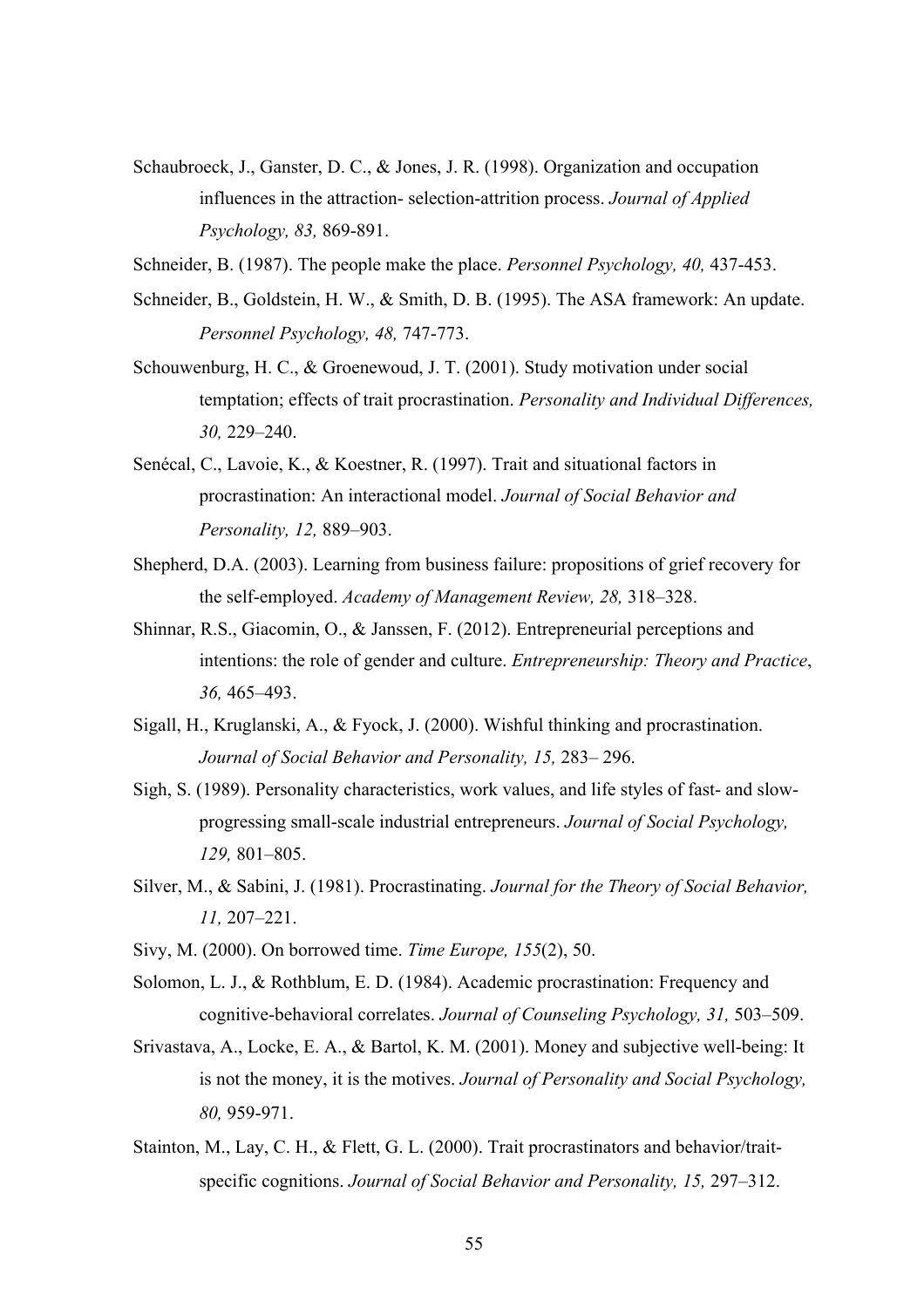- Schaubroeck, J., Ganster, D. C., & Jones, J. R. (1998). Organization and occupation influences in the attraction- selection-attrition process. *Journal of Applied Psychology, 83,* 869-891.
- Schneider, B. (1987). The people make the place. *Personnel Psychology, 40,* 437-453.
- Schneider, B., Goldstein, H. W., & Smith, D. B. (1995). The ASA framework: An update. *Personnel Psychology, 48,* 747-773.
- Schouwenburg, H. C., & Groenewoud, J. T. (2001). Study motivation under social temptation; effects of trait procrastination. *Personality and Individual Differences, 30,* 229–240.
- Senécal, C., Lavoie, K., & Koestner, R. (1997). Trait and situational factors in procrastination: An interactional model. *Journal of Social Behavior and Personality, 12,* 889–903.
- Shepherd, D.A. (2003). Learning from business failure: propositions of grief recovery for the self-employed. *Academy of Management Review, 28,* 318–328.
- Shinnar, R.S., Giacomin, O., & Janssen, F. (2012). Entrepreneurial perceptions and intentions: the role of gender and culture. *Entrepreneurship: Theory and Practice*, *36,* 465–493.
- Sigall, H., Kruglanski, A., & Fyock, J. (2000). Wishful thinking and procrastination. *Journal of Social Behavior and Personality, 15,* 283– 296.
- Sigh, S. (1989). Personality characteristics, work values, and life styles of fast- and slowprogressing small-scale industrial entrepreneurs. *Journal of Social Psychology, 129,* 801–805.
- Silver, M., & Sabini, J. (1981). Procrastinating. *Journal for the Theory of Social Behavior, 11,* 207–221.
- Sivy, M. (2000). On borrowed time. *Time Europe, 155*(2), 50.
- Solomon, L. J., & Rothblum, E. D. (1984). Academic procrastination: Frequency and cognitive-behavioral correlates. *Journal of Counseling Psychology, 31,* 503–509.
- Srivastava, A., Locke, E. A., & Bartol, K. M. (2001). Money and subjective well-being: It is not the money, it is the motives. *Journal of Personality and Social Psychology, 80,* 959-971.
- Stainton, M., Lay, C. H., & Flett, G. L. (2000). Trait procrastinators and behavior/traitspecific cognitions. *Journal of Social Behavior and Personality, 15,* 297–312.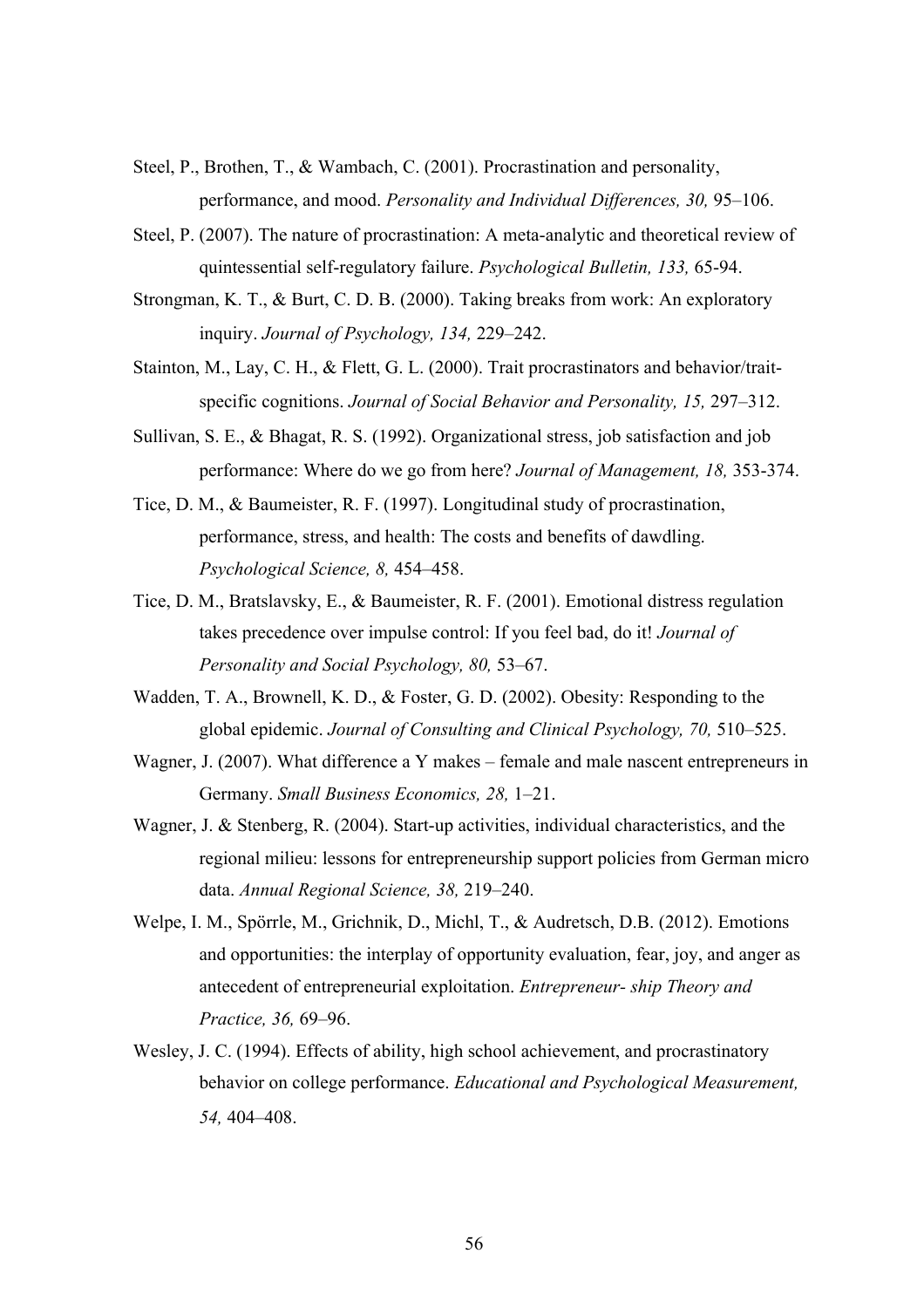- Steel, P., Brothen, T., & Wambach, C. (2001). Procrastination and personality, performance, and mood. *Personality and Individual Differences, 30,* 95–106.
- Steel, P. (2007). The nature of procrastination: A meta-analytic and theoretical review of quintessential self-regulatory failure. *Psychological Bulletin, 133,* 65-94.
- Strongman, K. T., & Burt, C. D. B. (2000). Taking breaks from work: An exploratory inquiry. *Journal of Psychology, 134,* 229–242.
- Stainton, M., Lay, C. H., & Flett, G. L. (2000). Trait procrastinators and behavior/traitspecific cognitions. *Journal of Social Behavior and Personality, 15,* 297–312.
- Sullivan, S. E., & Bhagat, R. S. (1992). Organizational stress, job satisfaction and job performance: Where do we go from here? *Journal of Management, 18,* 353-374.
- Tice, D. M., & Baumeister, R. F. (1997). Longitudinal study of procrastination, performance, stress, and health: The costs and benefits of dawdling. *Psychological Science, 8,* 454–458.
- Tice, D. M., Bratslavsky, E., & Baumeister, R. F. (2001). Emotional distress regulation takes precedence over impulse control: If you feel bad, do it! *Journal of Personality and Social Psychology, 80,* 53–67.
- Wadden, T. A., Brownell, K. D., & Foster, G. D. (2002). Obesity: Responding to the global epidemic. *Journal of Consulting and Clinical Psychology, 70,* 510–525.
- Wagner, J. (2007). What difference a Y makes female and male nascent entrepreneurs in Germany. *Small Business Economics, 28,* 1–21.
- Wagner, J. & Stenberg, R. (2004). Start-up activities, individual characteristics, and the regional milieu: lessons for entrepreneurship support policies from German micro data. *Annual Regional Science, 38,* 219–240.
- Welpe, I. M., Spörrle, M., Grichnik, D., Michl, T., & Audretsch, D.B. (2012). Emotions and opportunities: the interplay of opportunity evaluation, fear, joy, and anger as antecedent of entrepreneurial exploitation. *Entrepreneur- ship Theory and Practice, 36,* 69–96.
- Wesley, J. C. (1994). Effects of ability, high school achievement, and procrastinatory behavior on college performance. *Educational and Psychological Measurement, 54,* 404–408.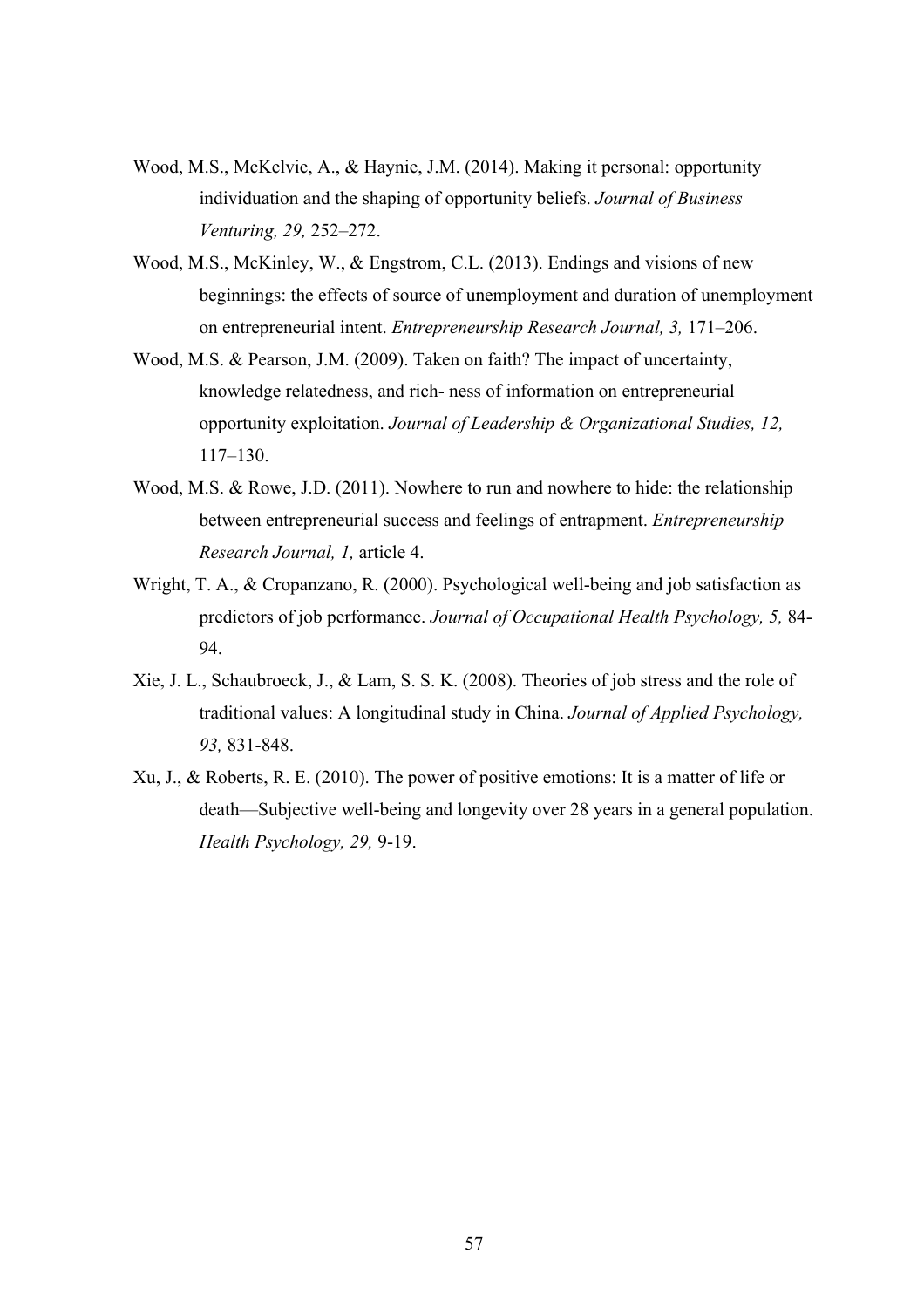- Wood, M.S., McKelvie, A., & Haynie, J.M. (2014). Making it personal: opportunity individuation and the shaping of opportunity beliefs. *Journal of Business Venturing, 29,* 252–272.
- Wood, M.S., McKinley, W., & Engstrom, C.L. (2013). Endings and visions of new beginnings: the effects of source of unemployment and duration of unemployment on entrepreneurial intent. *Entrepreneurship Research Journal, 3,* 171–206.
- Wood, M.S. & Pearson, J.M. (2009). Taken on faith? The impact of uncertainty, knowledge relatedness, and rich- ness of information on entrepreneurial opportunity exploitation. *Journal of Leadership & Organizational Studies, 12,* 117–130.
- Wood, M.S. & Rowe, J.D. (2011). Nowhere to run and nowhere to hide: the relationship between entrepreneurial success and feelings of entrapment. *Entrepreneurship Research Journal, 1,* article 4.
- Wright, T. A., & Cropanzano, R. (2000). Psychological well-being and job satisfaction as predictors of job performance. *Journal of Occupational Health Psychology, 5,* 84- 94.
- Xie, J. L., Schaubroeck, J., & Lam, S. S. K. (2008). Theories of job stress and the role of traditional values: A longitudinal study in China. *Journal of Applied Psychology, 93,* 831-848.
- Xu, J., & Roberts, R. E. (2010). The power of positive emotions: It is a matter of life or death—Subjective well-being and longevity over 28 years in a general population. *Health Psychology, 29,* 9-19.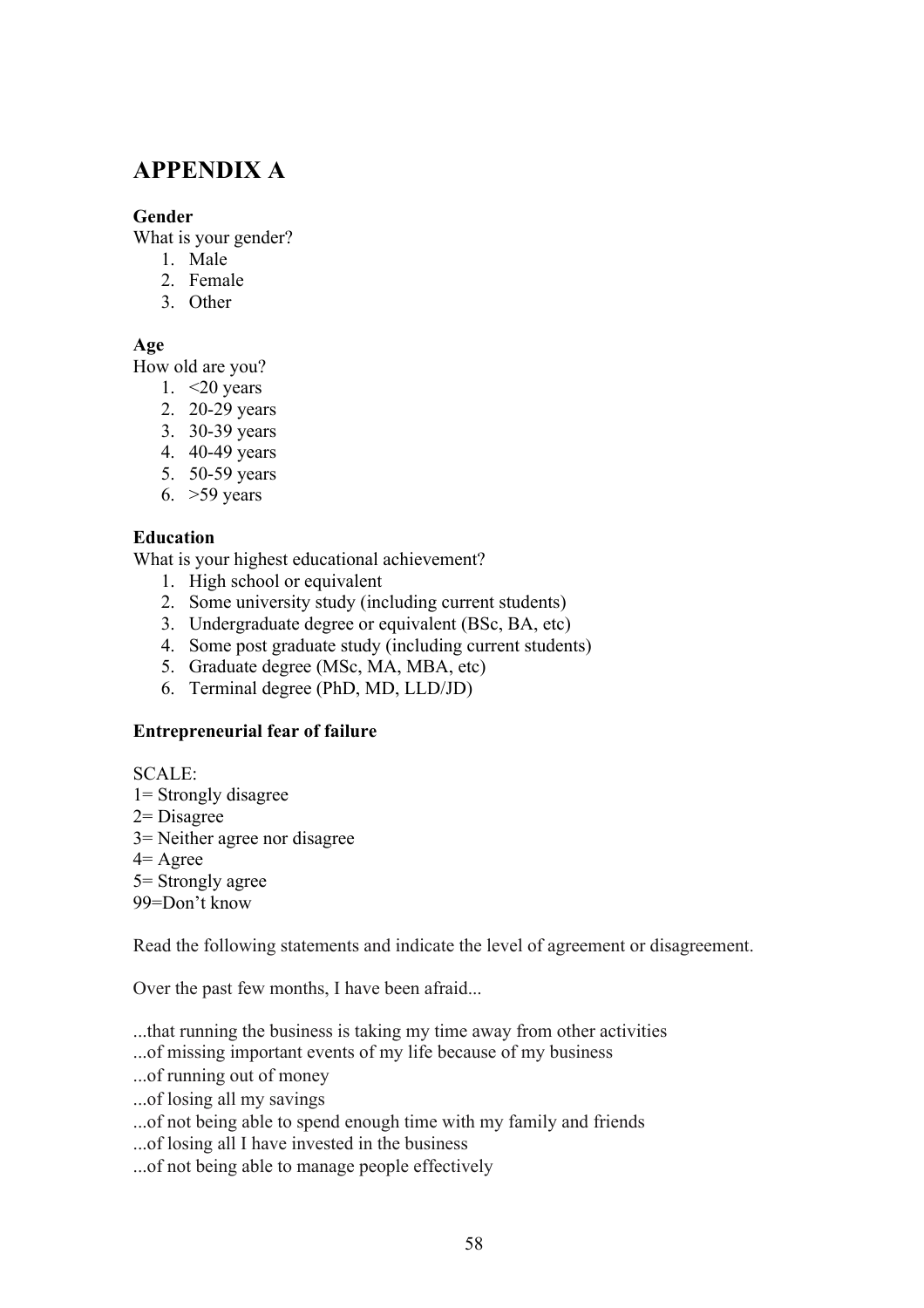# **APPENDIX A**

## **Gender**

What is your gender?

- 1. Male
- 2. Female
- 3. Other

## **Age**

How old are you?

- 1.  $\leq$ 20 years
- 2. 20-29 years
- 3. 30-39 years
- 4. 40-49 years
- 5. 50-59 years
- 6. >59 years

#### **Education**

What is your highest educational achievement?

- 1. High school or equivalent
- 2. Some university study (including current students)
- 3. Undergraduate degree or equivalent (BSc, BA, etc)
- 4. Some post graduate study (including current students)
- 5. Graduate degree (MSc, MA, MBA, etc)
- 6. Terminal degree (PhD, MD, LLD/JD)

## **Entrepreneurial fear of failure**

SCALE:

- 1= Strongly disagree
- 2= Disagree
- 3= Neither agree nor disagree
- 4= Agree
- 5= Strongly agree
- 99=Don't know

Read the following statements and indicate the level of agreement or disagreement.

Over the past few months, I have been afraid...

- ...that running the business is taking my time away from other activities
- ...of missing important events of my life because of my business
- ...of running out of money
- ...of losing all my savings
- ...of not being able to spend enough time with my family and friends
- ...of losing all I have invested in the business
- ...of not being able to manage people effectively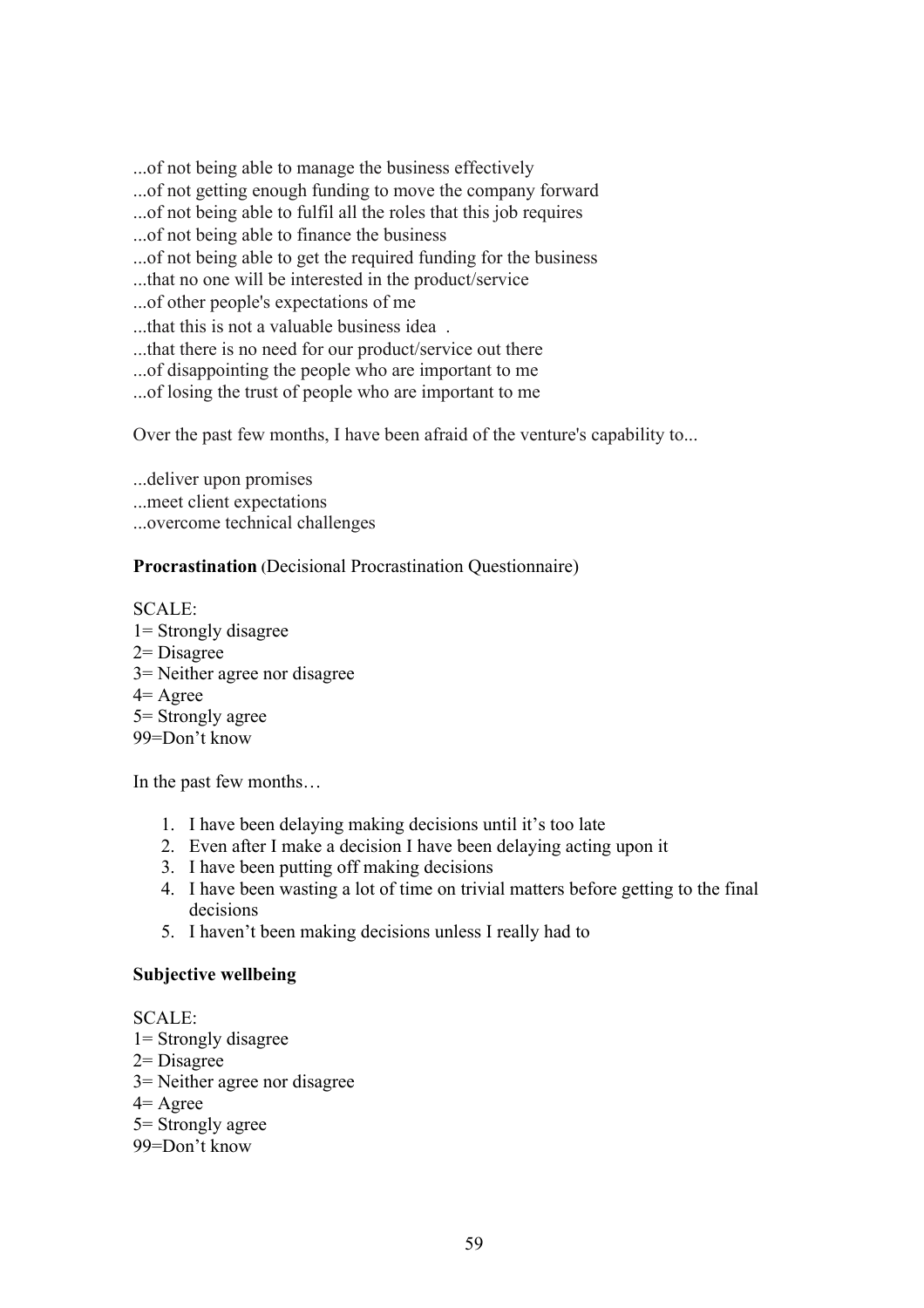...of not being able to manage the business effectively

- ...of not getting enough funding to move the company forward
- ...of not being able to fulfil all the roles that this job requires
- ...of not being able to finance the business
- ...of not being able to get the required funding for the business
- ...that no one will be interested in the product/service
- ...of other people's expectations of me
- ...that this is not a valuable business idea .
- ...that there is no need for our product/service out there
- ...of disappointing the people who are important to me
- ...of losing the trust of people who are important to me

Over the past few months, I have been afraid of the venture's capability to...

...deliver upon promises

- ...meet client expectations
- ...overcome technical challenges

## **Procrastination (**Decisional Procrastination Questionnaire)

SCALE: 1= Strongly disagree 2= Disagree 3= Neither agree nor disagree 4= Agree 5= Strongly agree 99=Don't know

In the past few months…

- 1. I have been delaying making decisions until it's too late
- 2. Even after I make a decision I have been delaying acting upon it
- 3. I have been putting off making decisions
- 4. I have been wasting a lot of time on trivial matters before getting to the final decisions
- 5. I haven't been making decisions unless I really had to

## **Subjective wellbeing**

SCALE: 1= Strongly disagree 2= Disagree 3= Neither agree nor disagree 4= Agree 5= Strongly agree 99=Don't know